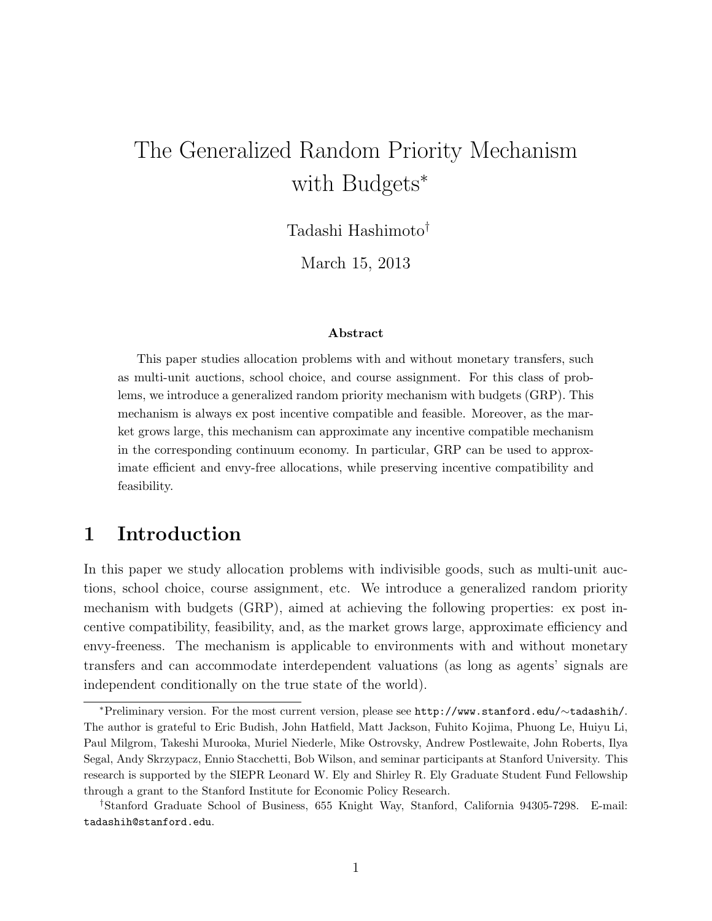# The Generalized Random Priority Mechanism with Budgets<sup>∗</sup>

Tadashi Hashimoto†

March 15, 2013

### Abstract

This paper studies allocation problems with and without monetary transfers, such as multi-unit auctions, school choice, and course assignment. For this class of problems, we introduce a generalized random priority mechanism with budgets (GRP). This mechanism is always ex post incentive compatible and feasible. Moreover, as the market grows large, this mechanism can approximate any incentive compatible mechanism in the corresponding continuum economy. In particular, GRP can be used to approximate efficient and envy-free allocations, while preserving incentive compatibility and feasibility.

# 1 Introduction

In this paper we study allocation problems with indivisible goods, such as multi-unit auctions, school choice, course assignment, etc. We introduce a generalized random priority mechanism with budgets (GRP), aimed at achieving the following properties: ex post incentive compatibility, feasibility, and, as the market grows large, approximate efficiency and envy-freeness. The mechanism is applicable to environments with and without monetary transfers and can accommodate interdependent valuations (as long as agents' signals are independent conditionally on the true state of the world).

<sup>∗</sup>Preliminary version. For the most current version, please see http://www.stanford.edu/∼tadashih/. The author is grateful to Eric Budish, John Hatfield, Matt Jackson, Fuhito Kojima, Phuong Le, Huiyu Li, Paul Milgrom, Takeshi Murooka, Muriel Niederle, Mike Ostrovsky, Andrew Postlewaite, John Roberts, Ilya Segal, Andy Skrzypacz, Ennio Stacchetti, Bob Wilson, and seminar participants at Stanford University. This research is supported by the SIEPR Leonard W. Ely and Shirley R. Ely Graduate Student Fund Fellowship through a grant to the Stanford Institute for Economic Policy Research.

<sup>†</sup>Stanford Graduate School of Business, 655 Knight Way, Stanford, California 94305-7298. E-mail: tadashih@stanford.edu.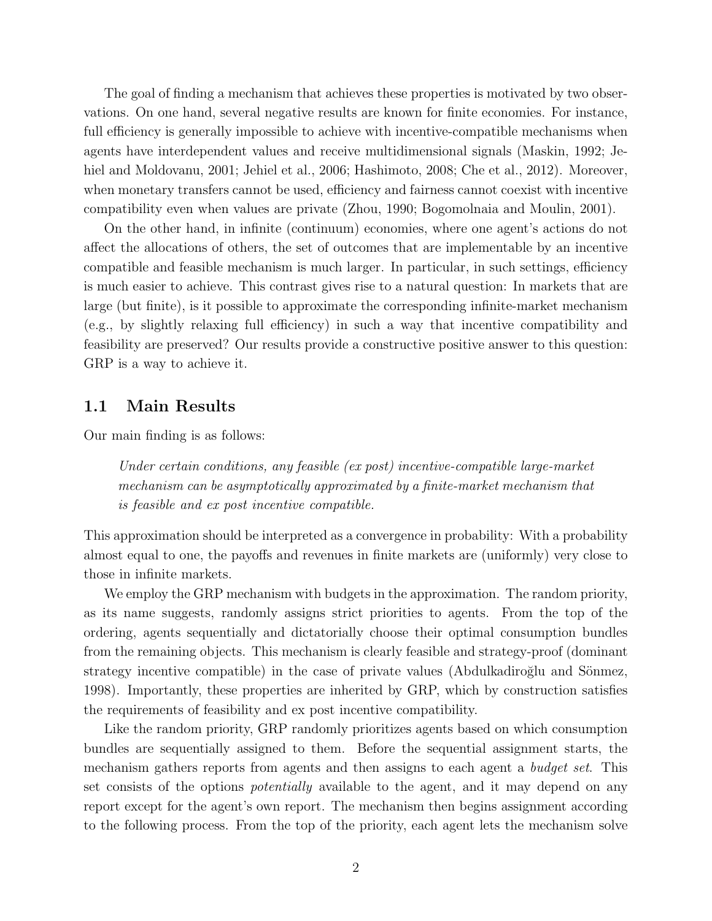The goal of finding a mechanism that achieves these properties is motivated by two observations. On one hand, several negative results are known for finite economies. For instance, full efficiency is generally impossible to achieve with incentive-compatible mechanisms when agents have interdependent values and receive multidimensional signals (Maskin, 1992; Jehiel and Moldovanu, 2001; Jehiel et al., 2006; Hashimoto, 2008; Che et al., 2012). Moreover, when monetary transfers cannot be used, efficiency and fairness cannot coexist with incentive compatibility even when values are private (Zhou, 1990; Bogomolnaia and Moulin, 2001).

On the other hand, in infinite (continuum) economies, where one agent's actions do not affect the allocations of others, the set of outcomes that are implementable by an incentive compatible and feasible mechanism is much larger. In particular, in such settings, efficiency is much easier to achieve. This contrast gives rise to a natural question: In markets that are large (but finite), is it possible to approximate the corresponding infinite-market mechanism (e.g., by slightly relaxing full efficiency) in such a way that incentive compatibility and feasibility are preserved? Our results provide a constructive positive answer to this question: GRP is a way to achieve it.

### 1.1 Main Results

Our main finding is as follows:

Under certain conditions, any feasible (ex post) incentive-compatible large-market mechanism can be asymptotically approximated by a finite-market mechanism that is feasible and ex post incentive compatible.

This approximation should be interpreted as a convergence in probability: With a probability almost equal to one, the payoffs and revenues in finite markets are (uniformly) very close to those in infinite markets.

We employ the GRP mechanism with budgets in the approximation. The random priority, as its name suggests, randomly assigns strict priorities to agents. From the top of the ordering, agents sequentially and dictatorially choose their optimal consumption bundles from the remaining objects. This mechanism is clearly feasible and strategy-proof (dominant strategy incentive compatible) in the case of private values (Abdulkadiroğlu and Sönmez, 1998). Importantly, these properties are inherited by GRP, which by construction satisfies the requirements of feasibility and ex post incentive compatibility.

Like the random priority, GRP randomly prioritizes agents based on which consumption bundles are sequentially assigned to them. Before the sequential assignment starts, the mechanism gathers reports from agents and then assigns to each agent a *budget set*. This set consists of the options potentially available to the agent, and it may depend on any report except for the agent's own report. The mechanism then begins assignment according to the following process. From the top of the priority, each agent lets the mechanism solve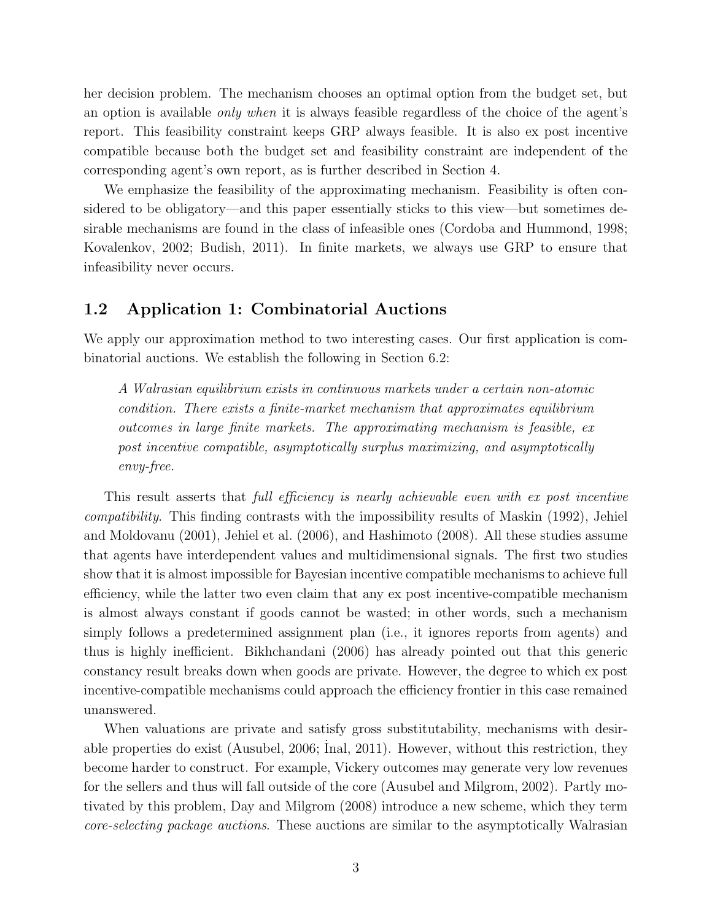her decision problem. The mechanism chooses an optimal option from the budget set, but an option is available only when it is always feasible regardless of the choice of the agent's report. This feasibility constraint keeps GRP always feasible. It is also ex post incentive compatible because both the budget set and feasibility constraint are independent of the corresponding agent's own report, as is further described in Section 4.

We emphasize the feasibility of the approximating mechanism. Feasibility is often considered to be obligatory—and this paper essentially sticks to this view—but sometimes desirable mechanisms are found in the class of infeasible ones (Cordoba and Hummond, 1998; Kovalenkov, 2002; Budish, 2011). In finite markets, we always use GRP to ensure that infeasibility never occurs.

### 1.2 Application 1: Combinatorial Auctions

We apply our approximation method to two interesting cases. Our first application is combinatorial auctions. We establish the following in Section 6.2:

A Walrasian equilibrium exists in continuous markets under a certain non-atomic condition. There exists a finite-market mechanism that approximates equilibrium outcomes in large finite markets. The approximating mechanism is feasible, ex post incentive compatible, asymptotically surplus maximizing, and asymptotically envy-free.

This result asserts that full efficiency is nearly achievable even with ex post incentive compatibility. This finding contrasts with the impossibility results of Maskin (1992), Jehiel and Moldovanu (2001), Jehiel et al. (2006), and Hashimoto (2008). All these studies assume that agents have interdependent values and multidimensional signals. The first two studies show that it is almost impossible for Bayesian incentive compatible mechanisms to achieve full efficiency, while the latter two even claim that any ex post incentive-compatible mechanism is almost always constant if goods cannot be wasted; in other words, such a mechanism simply follows a predetermined assignment plan (i.e., it ignores reports from agents) and thus is highly inefficient. Bikhchandani (2006) has already pointed out that this generic constancy result breaks down when goods are private. However, the degree to which ex post incentive-compatible mechanisms could approach the efficiency frontier in this case remained unanswered.

When valuations are private and satisfy gross substitutability, mechanisms with desirable properties do exist (Ausubel, 2006; Inal, 2011). However, without this restriction, they become harder to construct. For example, Vickery outcomes may generate very low revenues for the sellers and thus will fall outside of the core (Ausubel and Milgrom, 2002). Partly motivated by this problem, Day and Milgrom (2008) introduce a new scheme, which they term core-selecting package auctions. These auctions are similar to the asymptotically Walrasian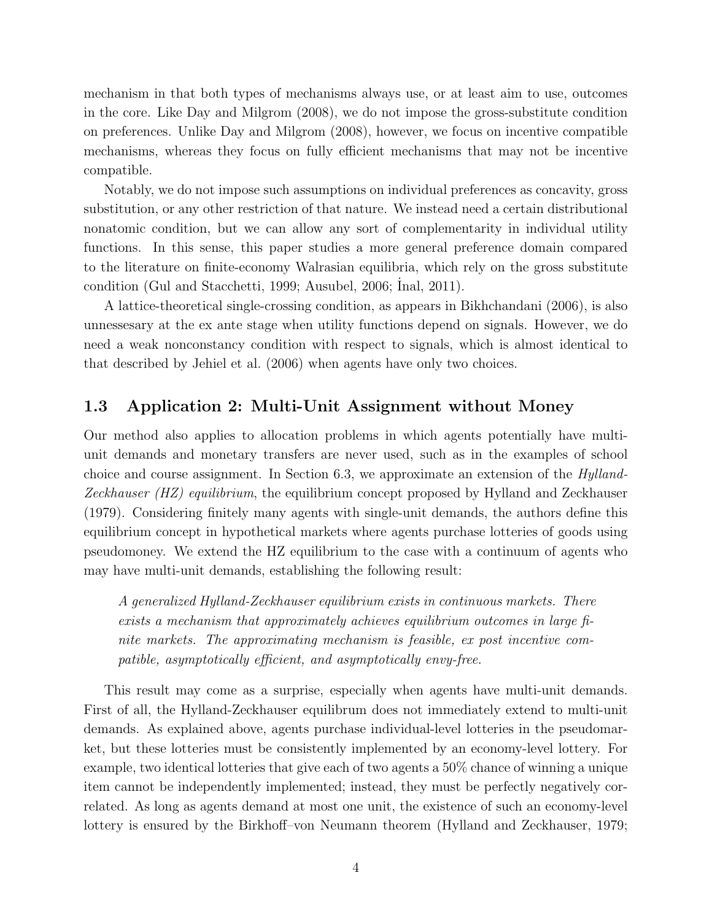mechanism in that both types of mechanisms always use, or at least aim to use, outcomes in the core. Like Day and Milgrom (2008), we do not impose the gross-substitute condition on preferences. Unlike Day and Milgrom (2008), however, we focus on incentive compatible mechanisms, whereas they focus on fully efficient mechanisms that may not be incentive compatible.

Notably, we do not impose such assumptions on individual preferences as concavity, gross substitution, or any other restriction of that nature. We instead need a certain distributional nonatomic condition, but we can allow any sort of complementarity in individual utility functions. In this sense, this paper studies a more general preference domain compared to the literature on finite-economy Walrasian equilibria, which rely on the gross substitute condition (Gul and Stacchetti, 1999; Ausubel, 2006; Inal, 2011).

A lattice-theoretical single-crossing condition, as appears in Bikhchandani (2006), is also unnessesary at the ex ante stage when utility functions depend on signals. However, we do need a weak nonconstancy condition with respect to signals, which is almost identical to that described by Jehiel et al. (2006) when agents have only two choices.

# 1.3 Application 2: Multi-Unit Assignment without Money

Our method also applies to allocation problems in which agents potentially have multiunit demands and monetary transfers are never used, such as in the examples of school choice and course assignment. In Section 6.3, we approximate an extension of the Hylland-Zeckhauser (HZ) equilibrium, the equilibrium concept proposed by Hylland and Zeckhauser (1979). Considering finitely many agents with single-unit demands, the authors define this equilibrium concept in hypothetical markets where agents purchase lotteries of goods using pseudomoney. We extend the HZ equilibrium to the case with a continuum of agents who may have multi-unit demands, establishing the following result:

A generalized Hylland-Zeckhauser equilibrium exists in continuous markets. There exists a mechanism that approximately achieves equilibrium outcomes in large finite markets. The approximating mechanism is feasible, ex post incentive compatible, asymptotically efficient, and asymptotically envy-free.

This result may come as a surprise, especially when agents have multi-unit demands. First of all, the Hylland-Zeckhauser equilibrum does not immediately extend to multi-unit demands. As explained above, agents purchase individual-level lotteries in the pseudomarket, but these lotteries must be consistently implemented by an economy-level lottery. For example, two identical lotteries that give each of two agents a 50% chance of winning a unique item cannot be independently implemented; instead, they must be perfectly negatively correlated. As long as agents demand at most one unit, the existence of such an economy-level lottery is ensured by the Birkhoff–von Neumann theorem (Hylland and Zeckhauser, 1979;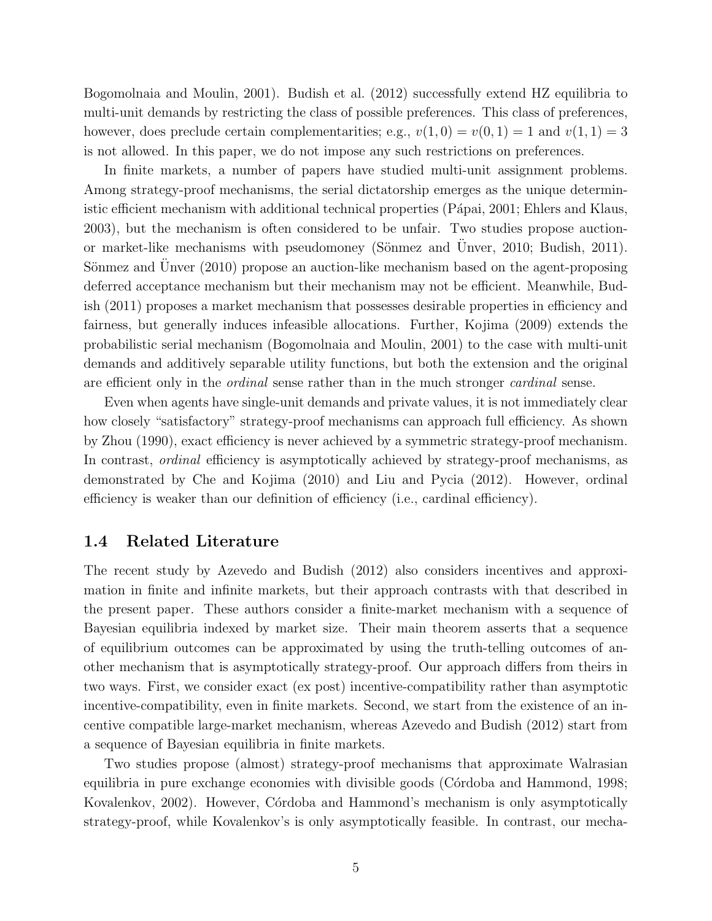Bogomolnaia and Moulin, 2001). Budish et al. (2012) successfully extend HZ equilibria to multi-unit demands by restricting the class of possible preferences. This class of preferences, however, does preclude certain complementarities; e.g.,  $v(1, 0) = v(0, 1) = 1$  and  $v(1, 1) = 3$ is not allowed. In this paper, we do not impose any such restrictions on preferences.

In finite markets, a number of papers have studied multi-unit assignment problems. Among strategy-proof mechanisms, the serial dictatorship emerges as the unique deterministic efficient mechanism with additional technical properties (Pápai, 2001; Ehlers and Klaus, 2003), but the mechanism is often considered to be unfair. Two studies propose auctionor market-like mechanisms with pseudomoney (Sönmez and Unver, 2010; Budish, 2011). Sönmez and Unver (2010) propose an auction-like mechanism based on the agent-proposing deferred acceptance mechanism but their mechanism may not be efficient. Meanwhile, Budish (2011) proposes a market mechanism that possesses desirable properties in efficiency and fairness, but generally induces infeasible allocations. Further, Kojima (2009) extends the probabilistic serial mechanism (Bogomolnaia and Moulin, 2001) to the case with multi-unit demands and additively separable utility functions, but both the extension and the original are efficient only in the ordinal sense rather than in the much stronger cardinal sense.

Even when agents have single-unit demands and private values, it is not immediately clear how closely "satisfactory" strategy-proof mechanisms can approach full efficiency. As shown by Zhou (1990), exact efficiency is never achieved by a symmetric strategy-proof mechanism. In contrast, ordinal efficiency is asymptotically achieved by strategy-proof mechanisms, as demonstrated by Che and Kojima (2010) and Liu and Pycia (2012). However, ordinal efficiency is weaker than our definition of efficiency (i.e., cardinal efficiency).

### 1.4 Related Literature

The recent study by Azevedo and Budish (2012) also considers incentives and approximation in finite and infinite markets, but their approach contrasts with that described in the present paper. These authors consider a finite-market mechanism with a sequence of Bayesian equilibria indexed by market size. Their main theorem asserts that a sequence of equilibrium outcomes can be approximated by using the truth-telling outcomes of another mechanism that is asymptotically strategy-proof. Our approach differs from theirs in two ways. First, we consider exact (ex post) incentive-compatibility rather than asymptotic incentive-compatibility, even in finite markets. Second, we start from the existence of an incentive compatible large-market mechanism, whereas Azevedo and Budish (2012) start from a sequence of Bayesian equilibria in finite markets.

Two studies propose (almost) strategy-proof mechanisms that approximate Walrasian equilibria in pure exchange economies with divisible goods (Córdoba and Hammond, 1998; Kovalenkov, 2002). However, Córdoba and Hammond's mechanism is only asymptotically strategy-proof, while Kovalenkov's is only asymptotically feasible. In contrast, our mecha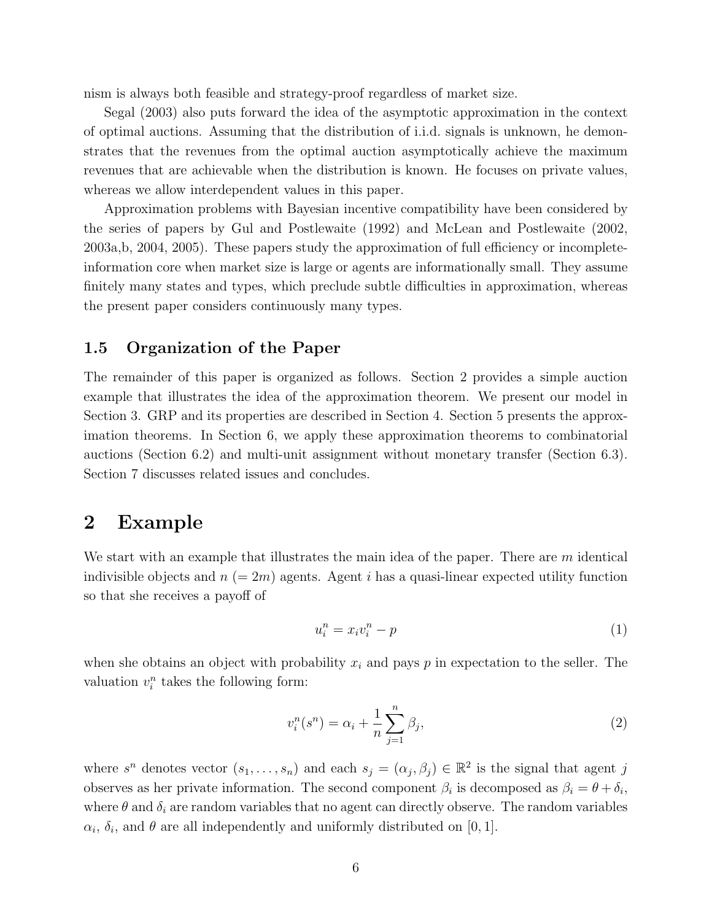nism is always both feasible and strategy-proof regardless of market size.

Segal (2003) also puts forward the idea of the asymptotic approximation in the context of optimal auctions. Assuming that the distribution of i.i.d. signals is unknown, he demonstrates that the revenues from the optimal auction asymptotically achieve the maximum revenues that are achievable when the distribution is known. He focuses on private values, whereas we allow interdependent values in this paper.

Approximation problems with Bayesian incentive compatibility have been considered by the series of papers by Gul and Postlewaite (1992) and McLean and Postlewaite (2002, 2003a,b, 2004, 2005). These papers study the approximation of full efficiency or incompleteinformation core when market size is large or agents are informationally small. They assume finitely many states and types, which preclude subtle difficulties in approximation, whereas the present paper considers continuously many types.

### 1.5 Organization of the Paper

The remainder of this paper is organized as follows. Section 2 provides a simple auction example that illustrates the idea of the approximation theorem. We present our model in Section 3. GRP and its properties are described in Section 4. Section 5 presents the approximation theorems. In Section 6, we apply these approximation theorems to combinatorial auctions (Section 6.2) and multi-unit assignment without monetary transfer (Section 6.3). Section 7 discusses related issues and concludes.

# 2 Example

We start with an example that illustrates the main idea of the paper. There are m identical indivisible objects and  $n (= 2m)$  agents. Agent i has a quasi-linear expected utility function so that she receives a payoff of

$$
u_i^n = x_i v_i^n - p \tag{1}
$$

when she obtains an object with probability  $x_i$  and pays p in expectation to the seller. The valuation  $v_i^n$  takes the following form:

$$
v_i^n(s^n) = \alpha_i + \frac{1}{n} \sum_{j=1}^n \beta_j,
$$
\n(2)

where  $s^n$  denotes vector  $(s_1, \ldots, s_n)$  and each  $s_j = (\alpha_j, \beta_j) \in \mathbb{R}^2$  is the signal that agent j observes as her private information. The second component  $\beta_i$  is decomposed as  $\beta_i = \theta + \delta_i$ , where  $\theta$  and  $\delta_i$  are random variables that no agent can directly observe. The random variables  $\alpha_i$ ,  $\delta_i$ , and  $\theta$  are all independently and uniformly distributed on [0, 1].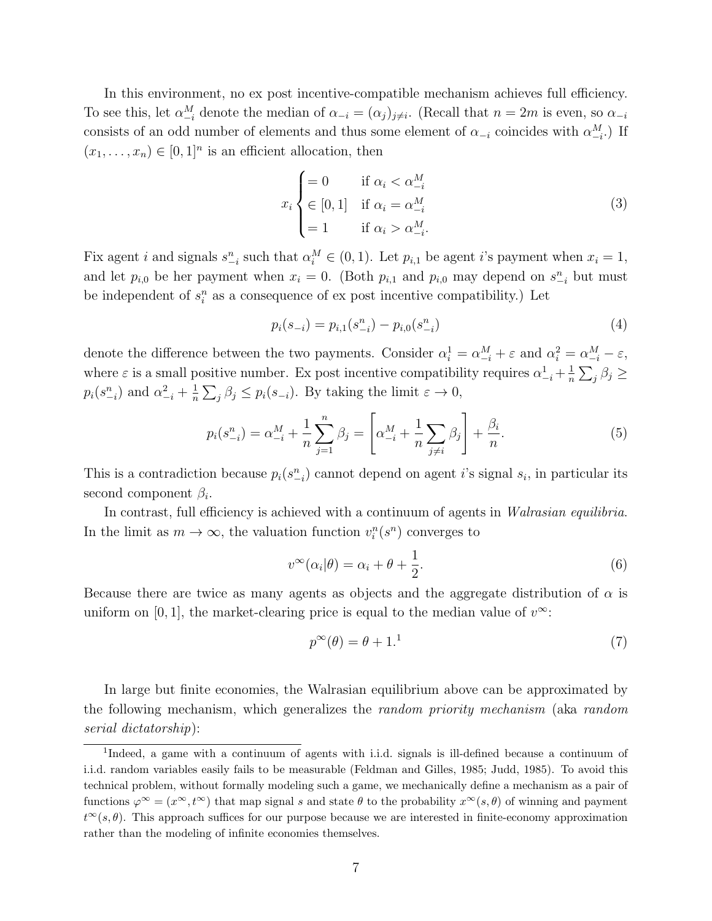In this environment, no ex post incentive-compatible mechanism achieves full efficiency. To see this, let  $\alpha_{-i}^M$  denote the median of  $\alpha_{-i} = (\alpha_j)_{j \neq i}$ . (Recall that  $n = 2m$  is even, so  $\alpha_{-i}$ consists of an odd number of elements and thus some element of  $\alpha_{-i}$  coincides with  $\alpha_{-i}^M$ .) If  $(x_1, \ldots, x_n) \in [0,1]^n$  is an efficient allocation, then

$$
x_i \begin{cases} = 0 & \text{if } \alpha_i < \alpha_{-i}^M \\ \in [0, 1] & \text{if } \alpha_i = \alpha_{-i}^M \\ = 1 & \text{if } \alpha_i > \alpha_{-i}^M. \end{cases}
$$
(3)

Fix agent i and signals  $s_{-i}^n$  such that  $\alpha_i^M \in (0,1)$ . Let  $p_{i,1}$  be agent i's payment when  $x_i = 1$ , and let  $p_{i,0}$  be her payment when  $x_i = 0$ . (Both  $p_{i,1}$  and  $p_{i,0}$  may depend on  $s_{-i}^n$  but must be independent of  $s_i^n$  as a consequence of ex post incentive compatibility.) Let

$$
p_i(s_{-i}) = p_{i,1}(s_{-i}^n) - p_{i,0}(s_{-i}^n)
$$
\n(4)

denote the difference between the two payments. Consider  $\alpha_i^1 = \alpha_{-i}^M + \varepsilon$  and  $\alpha_i^2 = \alpha_{-i}^M - \varepsilon$ , where  $\varepsilon$  is a small positive number. Ex post incentive compatibility requires  $\alpha_{-i}^1 + \frac{1}{n}$  $\frac{1}{n}\sum_j \beta_j \geq$  $p_i(s_{-i}^n)$  and  $\alpha_{-i}^2 + \frac{1}{n}$  $\frac{1}{n}\sum_{j}\beta_{j} \leq p_{i}(s_{-i})$ . By taking the limit  $\varepsilon \to 0$ ,

$$
p_i(s_{-i}^n) = \alpha_{-i}^M + \frac{1}{n} \sum_{j=1}^n \beta_j = \left[ \alpha_{-i}^M + \frac{1}{n} \sum_{j \neq i} \beta_j \right] + \frac{\beta_i}{n}.
$$
 (5)

This is a contradiction because  $p_i(s_{-i}^n)$  cannot depend on agent *i*'s signal  $s_i$ , in particular its second component  $\beta_i$ .

In contrast, full efficiency is achieved with a continuum of agents in Walrasian equilibria. In the limit as  $m \to \infty$ , the valuation function  $v_i^n(s^n)$  converges to

$$
v^{\infty}(\alpha_i|\theta) = \alpha_i + \theta + \frac{1}{2}.
$$
\n(6)

Because there are twice as many agents as objects and the aggregate distribution of  $\alpha$  is uniform on [0, 1], the market-clearing price is equal to the median value of  $v^{\infty}$ :

$$
p^{\infty}(\theta) = \theta + 1.^{1}
$$
\n<sup>(7)</sup>

In large but finite economies, the Walrasian equilibrium above can be approximated by the following mechanism, which generalizes the random priority mechanism (aka random serial dictatorship):

<sup>&</sup>lt;sup>1</sup>Indeed, a game with a continuum of agents with i.i.d. signals is ill-defined because a continuum of i.i.d. random variables easily fails to be measurable (Feldman and Gilles, 1985; Judd, 1985). To avoid this technical problem, without formally modeling such a game, we mechanically define a mechanism as a pair of functions  $\varphi^{\infty} = (x^{\infty}, t^{\infty})$  that map signal s and state  $\theta$  to the probability  $x^{\infty}(s, \theta)$  of winning and payment  $t^{\infty}(s, \theta)$ . This approach suffices for our purpose because we are interested in finite-economy approximation rather than the modeling of infinite economies themselves.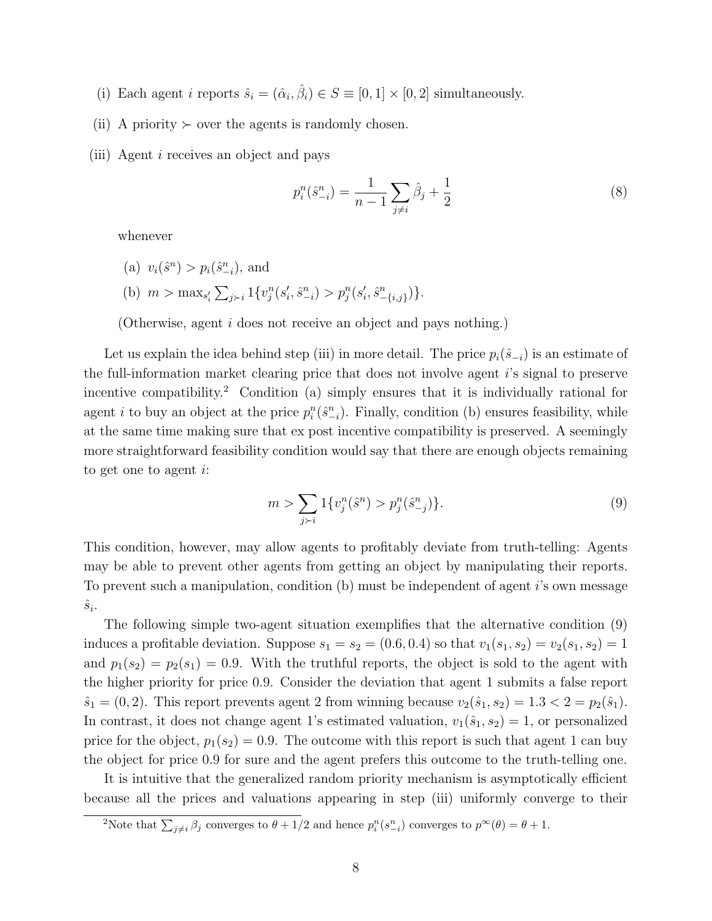- (i) Each agent *i* reports  $\hat{s}_i = (\hat{\alpha}_i, \hat{\beta}_i) \in S \equiv [0, 1] \times [0, 2]$  simultaneously.
- (ii) A priority  $\succ$  over the agents is randomly chosen.
- (iii) Agent i receives an object and pays

$$
p_i^n(\hat{s}_{-i}^n) = \frac{1}{n-1} \sum_{j \neq i} \hat{\beta}_j + \frac{1}{2}
$$
 (8)

whenever

- (a)  $v_i(\hat{s}^n) > p_i(\hat{s}_{-i}^n)$ , and
- (b)  $m > \max_{s'_i} \sum_{j \succ i} 1\{v_j^n(s'_i, \hat{s}_{-i}^n) > p_j^n(s'_i, \hat{s}_{-\{i,j\}}^n)\}.$

(Otherwise, agent i does not receive an object and pays nothing.)

Let us explain the idea behind step (iii) in more detail. The price  $p_i(\hat{s}_{-i})$  is an estimate of the full-information market clearing price that does not involve agent i's signal to preserve incentive compatibility.<sup>2</sup> Condition (a) simply ensures that it is individually rational for agent *i* to buy an object at the price  $p_i^n(\hat{s}_{-i}^n)$ . Finally, condition (b) ensures feasibility, while at the same time making sure that ex post incentive compatibility is preserved. A seemingly more straightforward feasibility condition would say that there are enough objects remaining to get one to agent i:

$$
m > \sum_{j>i} 1\{v_j^n(\hat{s}^n) > p_j^n(\hat{s}_{-j}^n)\}.
$$
\n(9)

This condition, however, may allow agents to profitably deviate from truth-telling: Agents may be able to prevent other agents from getting an object by manipulating their reports. To prevent such a manipulation, condition (b) must be independent of agent i's own message  $\hat{s}_i$ .

The following simple two-agent situation exemplifies that the alternative condition (9) induces a profitable deviation. Suppose  $s_1 = s_2 = (0.6, 0.4)$  so that  $v_1(s_1, s_2) = v_2(s_1, s_2) = 1$ and  $p_1(s_2) = p_2(s_1) = 0.9$ . With the truthful reports, the object is sold to the agent with the higher priority for price 0.9. Consider the deviation that agent 1 submits a false report  $\hat{s}_1 = (0, 2)$ . This report prevents agent 2 from winning because  $v_2(\hat{s}_1, s_2) = 1.3 < 2 = p_2(\hat{s}_1)$ . In contrast, it does not change agent 1's estimated valuation,  $v_1(\hat{s}_1, s_2) = 1$ , or personalized price for the object,  $p_1(s_2) = 0.9$ . The outcome with this report is such that agent 1 can buy the object for price 0.9 for sure and the agent prefers this outcome to the truth-telling one.

It is intuitive that the generalized random priority mechanism is asymptotically efficient because all the prices and valuations appearing in step (iii) uniformly converge to their

<sup>&</sup>lt;sup>2</sup>Note that  $\sum_{j\neq i} \beta_j$  converges to  $\theta + 1/2$  and hence  $p_i^n(s_{-i}^n)$  converges to  $p^{\infty}(\theta) = \theta + 1$ .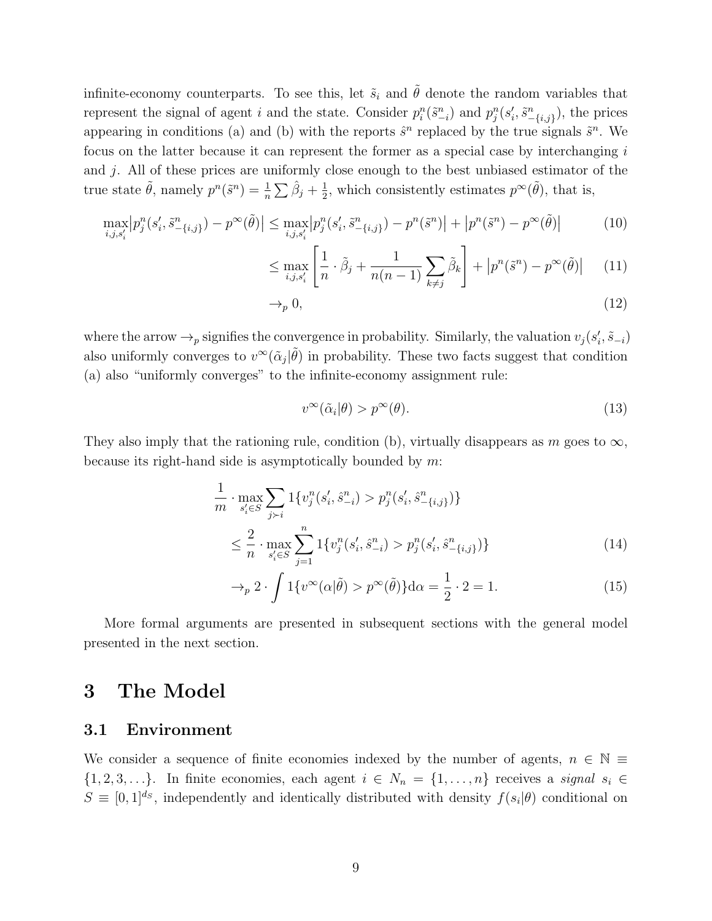infinite-economy counterparts. To see this, let  $\tilde{s}_i$  and  $\tilde{\theta}$  denote the random variables that represent the signal of agent i and the state. Consider  $p_i^n(\tilde{s}_{-i}^n)$  and  $p_j^n(s'_i, \tilde{s}_{-\{i,j\}}^n)$ , the prices appearing in conditions (a) and (b) with the reports  $\hat{s}^n$  replaced by the true signals  $\tilde{s}^n$ . We focus on the latter because it can represent the former as a special case by interchanging i and j. All of these prices are uniformly close enough to the best unbiased estimator of the true state  $\tilde{\theta}$ , namely  $p^n(\tilde{s}^n) = \frac{1}{n} \sum \hat{\beta}_j + \frac{1}{2}$  $\frac{1}{2}$ , which consistently estimates  $p^{\infty}(\tilde{\theta})$ , that is,

$$
\max_{i,j,s_i'} \left| p_j^n(s_i',\tilde{s}_{-\{i,j\}}^n) - p^\infty(\tilde{\theta}) \right| \le \max_{i,j,s_i'} \left| p_j^n(s_i',\tilde{s}_{-\{i,j\}}^n) - p^n(\tilde{s}^n) \right| + \left| p^n(\tilde{s}^n) - p^\infty(\tilde{\theta}) \right| \tag{10}
$$

$$
\leq \max_{i,j,s'_i} \left[ \frac{1}{n} \cdot \tilde{\beta}_j + \frac{1}{n(n-1)} \sum_{k \neq j} \tilde{\beta}_k \right] + \left| p^n(\tilde{s}^n) - p^\infty(\tilde{\theta}) \right| \tag{11}
$$

$$
\to_p 0,\tag{12}
$$

where the arrow  $\rightarrow_p$  signifies the convergence in probability. Similarly, the valuation  $v_j(s'_i, \tilde{s}_{-i})$ also uniformly converges to  $v^{\infty}(\tilde{\alpha}_j|\tilde{\theta})$  in probability. These two facts suggest that condition (a) also "uniformly converges" to the infinite-economy assignment rule:

$$
v^{\infty}(\tilde{\alpha}_i|\theta) > p^{\infty}(\theta). \tag{13}
$$

They also imply that the rationing rule, condition (b), virtually disappears as m goes to  $\infty$ , because its right-hand side is asymptotically bounded by  $m$ .

$$
\frac{1}{m} \cdot \max_{s_i' \in S} \sum_{j \succ i} 1\{v_j^n(s_i', \hat{s}_{-i}^n) > p_j^n(s_i', \hat{s}_{-i,j})\} \\
\leq \frac{2}{n} \cdot \max_{s_i' \in S} \sum_{j=1}^n 1\{v_j^n(s_i', \hat{s}_{-i}^n) > p_j^n(s_i', \hat{s}_{-i,j}^n)\}\n\tag{14}
$$

$$
\to_p 2 \cdot \int 1\{v^\infty(\alpha|\tilde{\theta}) > p^\infty(\tilde{\theta})\} d\alpha = \frac{1}{2} \cdot 2 = 1. \tag{15}
$$

More formal arguments are presented in subsequent sections with the general model presented in the next section.

# 3 The Model

### 3.1 Environment

We consider a sequence of finite economies indexed by the number of agents,  $n \in \mathbb{N} \equiv$  $\{1, 2, 3, \ldots\}$ . In finite economies, each agent  $i \in N_n = \{1, \ldots, n\}$  receives a signal  $s_i \in \{1, 2, 3, \ldots\}$ .  $S \equiv [0,1]^{d_S}$ , independently and identically distributed with density  $f(s_i|\theta)$  conditional on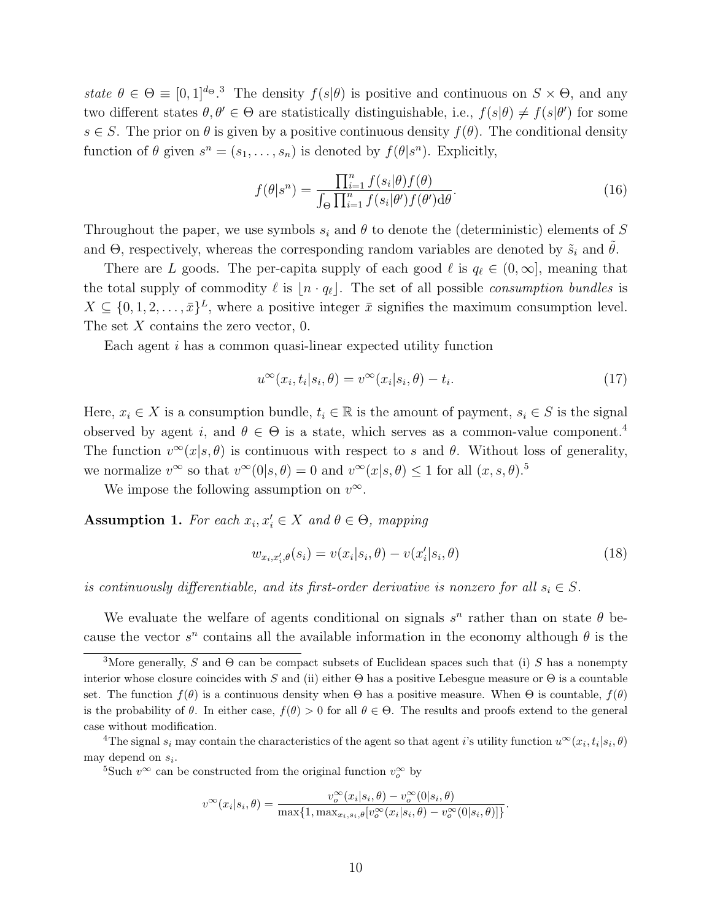state  $\theta \in \Theta \equiv [0,1]^{d_{\Theta}}$ .<sup>3</sup> The density  $f(s|\theta)$  is positive and continuous on  $S \times \Theta$ , and any two different states  $\theta, \theta' \in \Theta$  are statistically distinguishable, i.e.,  $f(s|\theta) \neq f(s|\theta')$  for some  $s \in S$ . The prior on  $\theta$  is given by a positive continuous density  $f(\theta)$ . The conditional density function of  $\theta$  given  $s^n = (s_1, \ldots, s_n)$  is denoted by  $f(\theta | s^n)$ . Explicitly,

$$
f(\theta|s^n) = \frac{\prod_{i=1}^n f(s_i|\theta) f(\theta)}{\int_{\Theta} \prod_{i=1}^n f(s_i|\theta') f(\theta') d\theta}.
$$
\n(16)

Throughout the paper, we use symbols  $s_i$  and  $\theta$  to denote the (deterministic) elements of S and  $\Theta$ , respectively, whereas the corresponding random variables are denoted by  $\tilde{s}_i$  and  $\theta$ .

There are L goods. The per-capita supply of each good  $\ell$  is  $q_{\ell} \in (0,\infty]$ , meaning that the total supply of commodity  $\ell$  is  $|n \cdot q_\ell|$ . The set of all possible consumption bundles is  $X \subseteq \{0, 1, 2, \ldots, \bar{x}\}^L$ , where a positive integer  $\bar{x}$  signifies the maximum consumption level. The set  $X$  contains the zero vector, 0.

Each agent i has a common quasi-linear expected utility function

$$
u^{\infty}(x_i, t_i|s_i, \theta) = v^{\infty}(x_i|s_i, \theta) - t_i.
$$
\n(17)

Here,  $x_i \in X$  is a consumption bundle,  $t_i \in \mathbb{R}$  is the amount of payment,  $s_i \in S$  is the signal observed by agent i, and  $\theta \in \Theta$  is a state, which serves as a common-value component.<sup>4</sup> The function  $v^{\infty}(x|s, \theta)$  is continuous with respect to s and  $\theta$ . Without loss of generality, we normalize  $v^{\infty}$  so that  $v^{\infty}(0|s, \theta) = 0$  and  $v^{\infty}(x|s, \theta) \leq 1$  for all  $(x, s, \theta)$ .<sup>5</sup>

We impose the following assumption on  $v^{\infty}$ .

Assumption 1. For each  $x_i, x'_i \in X$  and  $\theta \in \Theta$ , mapping

$$
w_{x_i, x'_i, \theta}(s_i) = v(x_i|s_i, \theta) - v(x'_i|s_i, \theta)
$$
\n
$$
(18)
$$

is continuously differentiable, and its first-order derivative is nonzero for all  $s_i \in S$ .

We evaluate the welfare of agents conditional on signals  $s^n$  rather than on state  $\theta$  because the vector  $s^n$  contains all the available information in the economy although  $\theta$  is the

<sup>5</sup>Such  $v^{\infty}$  can be constructed from the original function  $v_o^{\infty}$  by

$$
v^{\infty}(x_i|s_i,\theta) = \frac{v_o^{\infty}(x_i|s_i,\theta) - v_o^{\infty}(0|s_i,\theta)}{\max\{1,\max_{x_i,s_i,\theta}[v_o^{\infty}(x_i|s_i,\theta) - v_o^{\infty}(0|s_i,\theta)]\}}.
$$

<sup>&</sup>lt;sup>3</sup>More generally, S and  $\Theta$  can be compact subsets of Euclidean spaces such that (i) S has a nonempty interior whose closure coincides with S and (ii) either  $\Theta$  has a positive Lebesgue measure or  $\Theta$  is a countable set. The function  $f(\theta)$  is a continuous density when  $\Theta$  has a positive measure. When  $\Theta$  is countable,  $f(\theta)$ is the probability of  $\theta$ . In either case,  $f(\theta) > 0$  for all  $\theta \in \Theta$ . The results and proofs extend to the general case without modification.

<sup>&</sup>lt;sup>4</sup>The signal  $s_i$  may contain the characteristics of the agent so that agent i's utility function  $u^{\infty}(x_i, t_i | s_i, \theta)$ may depend on  $s_i$ .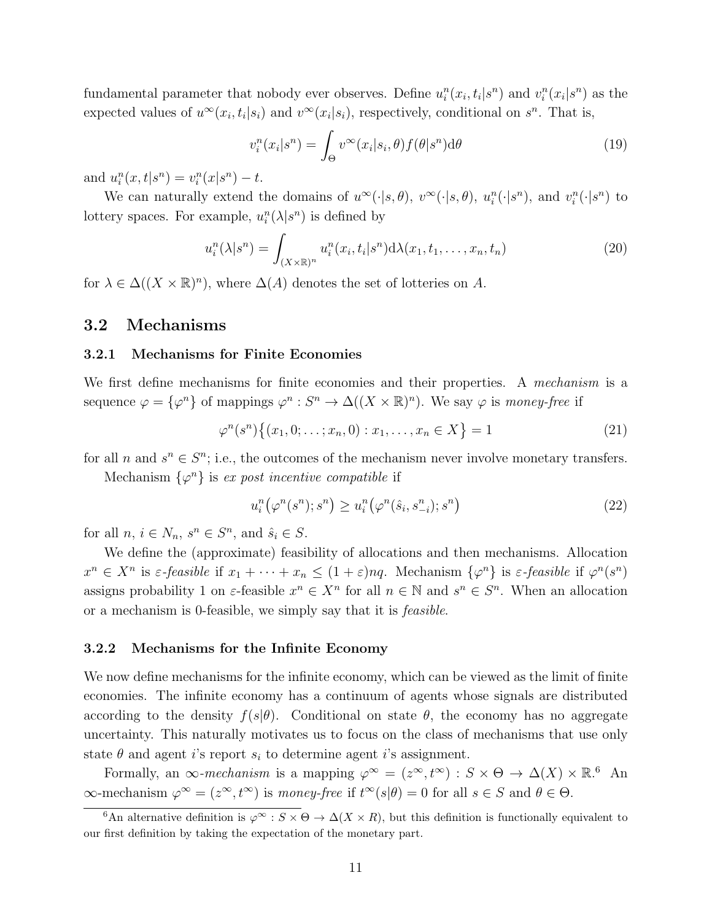fundamental parameter that nobody ever observes. Define  $u_i^n(x_i, t_i|s^n)$  and  $v_i^n(x_i|s^n)$  as the expected values of  $u^{\infty}(x_i,t_i|s_i)$  and  $v^{\infty}(x_i|s_i)$ , respectively, conditional on  $s^n$ . That is,

$$
v_i^n(x_i|s^n) = \int_{\Theta} v^{\infty}(x_i|s_i, \theta) f(\theta|s^n) d\theta \tag{19}
$$

and  $u_i^n(x, t | s^n) = v_i^n(x | s^n) - t$ .

We can naturally extend the domains of  $u^{\infty}(\cdot|s,\theta)$ ,  $v^{\infty}(\cdot|s,\theta)$ ,  $u_i^n(\cdot|s^n)$ , and  $v_i^n(\cdot|s^n)$  to lottery spaces. For example,  $u_i^n(\lambda | s^n)$  is defined by

$$
u_i^n(\lambda|s^n) = \int_{(X \times \mathbb{R})^n} u_i^n(x_i, t_i|s^n) d\lambda(x_1, t_1, \dots, x_n, t_n)
$$
 (20)

for  $\lambda \in \Delta((X \times \mathbb{R})^n)$ , where  $\Delta(A)$  denotes the set of lotteries on A.

### 3.2 Mechanisms

#### 3.2.1 Mechanisms for Finite Economies

We first define mechanisms for finite economies and their properties. A mechanism is a sequence  $\varphi = {\varphi^n}$  of mappings  $\varphi^n : S^n \to \Delta((X \times \mathbb{R})^n)$ . We say  $\varphi$  is money-free if

$$
\varphi^n(s^n) \{(x_1, 0; \dots; x_n, 0) : x_1, \dots, x_n \in X\} = 1
$$
\n(21)

for all n and  $s^n \in S^n$ ; i.e., the outcomes of the mechanism never involve monetary transfers.

Mechanism  $\{\varphi^n\}$  is expost incentive compatible if

$$
u_i^n(\varphi^n(s^n);s^n) \ge u_i^n(\varphi^n(\hat{s}_i,s_{-i}^n);s^n)
$$
\n
$$
(22)
$$

for all  $n, i \in N_n$ ,  $s^n \in S^n$ , and  $\hat{s}_i \in S$ .

We define the (approximate) feasibility of allocations and then mechanisms. Allocation  $x^n \in X^n$  is  $\varepsilon$ -feasible if  $x_1 + \cdots + x_n \leq (1+\varepsilon)nq$ . Mechanism  $\{\varphi^n\}$  is  $\varepsilon$ -feasible if  $\varphi^n(s^n)$ assigns probability 1 on  $\varepsilon$ -feasible  $x^n \in X^n$  for all  $n \in \mathbb{N}$  and  $s^n \in S^n$ . When an allocation or a mechanism is 0-feasible, we simply say that it is feasible.

#### 3.2.2 Mechanisms for the Infinite Economy

We now define mechanisms for the infinite economy, which can be viewed as the limit of finite economies. The infinite economy has a continuum of agents whose signals are distributed according to the density  $f(s|\theta)$ . Conditional on state  $\theta$ , the economy has no aggregate uncertainty. This naturally motivates us to focus on the class of mechanisms that use only state  $\theta$  and agent i's report  $s_i$  to determine agent i's assignment.

Formally, an  $\infty$ -mechanism is a mapping  $\varphi^{\infty} = (z^{\infty}, t^{\infty}) : S \times \Theta \to \Delta(X) \times \mathbb{R}^{6}$  An  $\infty$ -mechanism  $\varphi^{\infty} = (z^{\infty}, t^{\infty})$  is money-free if  $t^{\infty}(s|\theta) = 0$  for all  $s \in S$  and  $\theta \in \Theta$ .

<sup>&</sup>lt;sup>6</sup>An alternative definition is  $\varphi^{\infty}$  :  $S \times \Theta \to \Delta(X \times R)$ , but this definition is functionally equivalent to our first definition by taking the expectation of the monetary part.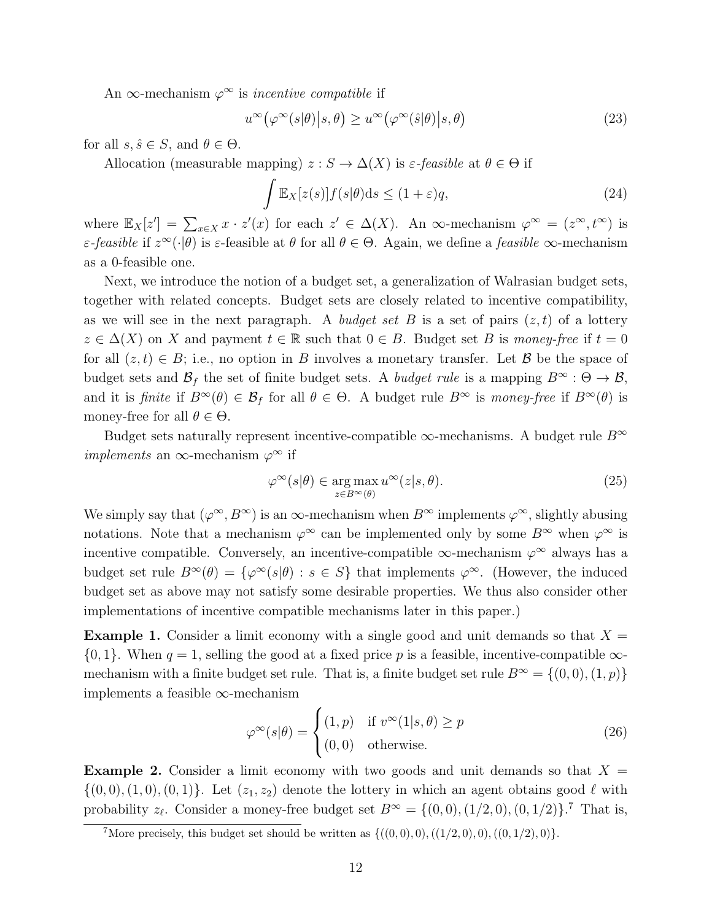An  $\infty$ -mechanism  $\varphi^{\infty}$  is *incentive compatible* if

$$
u^{\infty}(\varphi^{\infty}(s|\theta)|s,\theta) \ge u^{\infty}(\varphi^{\infty}(\hat{s}|\theta)|s,\theta)
$$
\n(23)

for all  $s, \hat{s} \in S$ , and  $\theta \in \Theta$ .

Allocation (measurable mapping)  $z : S \to \Delta(X)$  is  $\varepsilon$ -feasible at  $\theta \in \Theta$  if

$$
\int \mathbb{E}_X[z(s)]f(s|\theta)ds \le (1+\varepsilon)q,\tag{24}
$$

where  $\mathbb{E}_X[z'] = \sum_{x \in X} x \cdot z'(x)$  for each  $z' \in \Delta(X)$ . An  $\infty$ -mechanism  $\varphi^{\infty} = (z^{\infty}, t^{\infty})$  is  $\varepsilon$ -feasible if  $z^{\infty}(\cdot|\theta)$  is  $\varepsilon$ -feasible at  $\theta$  for all  $\theta \in \Theta$ . Again, we define a *feasible*  $\infty$ -mechanism as a 0-feasible one.

Next, we introduce the notion of a budget set, a generalization of Walrasian budget sets, together with related concepts. Budget sets are closely related to incentive compatibility, as we will see in the next paragraph. A budget set B is a set of pairs  $(z, t)$  of a lottery  $z \in \Delta(X)$  on X and payment  $t \in \mathbb{R}$  such that  $0 \in B$ . Budget set B is money-free if  $t = 0$ for all  $(z, t) \in B$ ; i.e., no option in B involves a monetary transfer. Let B be the space of budget sets and  $\mathcal{B}_f$  the set of finite budget sets. A *budget rule* is a mapping  $B^{\infty} : \Theta \to \mathcal{B}$ , and it is finite if  $B^{\infty}(\theta) \in \mathcal{B}_f$  for all  $\theta \in \Theta$ . A budget rule  $B^{\infty}$  is money-free if  $B^{\infty}(\theta)$  is money-free for all  $\theta \in \Theta$ .

Budget sets naturally represent incentive-compatible  $\infty$ -mechanisms. A budget rule  $B^{\infty}$ *implements* an  $\infty$ -mechanism  $\varphi^{\infty}$  if

$$
\varphi^{\infty}(s|\theta) \in \underset{z \in B^{\infty}(\theta)}{\arg \max} u^{\infty}(z|s,\theta). \tag{25}
$$

We simply say that  $(\varphi^{\infty}, B^{\infty})$  is an  $\infty$ -mechanism when  $B^{\infty}$  implements  $\varphi^{\infty}$ , slightly abusing notations. Note that a mechanism  $\varphi^{\infty}$  can be implemented only by some  $B^{\infty}$  when  $\varphi^{\infty}$  is incentive compatible. Conversely, an incentive-compatible  $\infty$ -mechanism  $\varphi^{\infty}$  always has a budget set rule  $B^{\infty}(\theta) = {\varphi^{\infty}(s|\theta) : s \in S}$  that implements  $\varphi^{\infty}$ . (However, the induced budget set as above may not satisfy some desirable properties. We thus also consider other implementations of incentive compatible mechanisms later in this paper.)

**Example 1.** Consider a limit economy with a single good and unit demands so that  $X =$  $\{0, 1\}$ . When  $q = 1$ , selling the good at a fixed price p is a feasible, incentive-compatible  $\infty$ mechanism with a finite budget set rule. That is, a finite budget set rule  $B^{\infty} = \{(0,0), (1, p)\}\$ implements a feasible ∞-mechanism

$$
\varphi^{\infty}(s|\theta) = \begin{cases} (1,p) & \text{if } v^{\infty}(1|s,\theta) \ge p \\ (0,0) & \text{otherwise.} \end{cases}
$$
 (26)

**Example 2.** Consider a limit economy with two goods and unit demands so that  $X =$  $\{(0,0), (1,0), (0,1)\}.$  Let  $(z_1, z_2)$  denote the lottery in which an agent obtains good  $\ell$  with probability  $z_{\ell}$ . Consider a money-free budget set  $B^{\infty} = \{(0,0), (1/2, 0), (0, 1/2)\}$ .<sup>7</sup> That is,

<sup>&</sup>lt;sup>7</sup>More precisely, this budget set should be written as  $\{((0,0),0),((1/2,0),0),((0,1/2),0)\}.$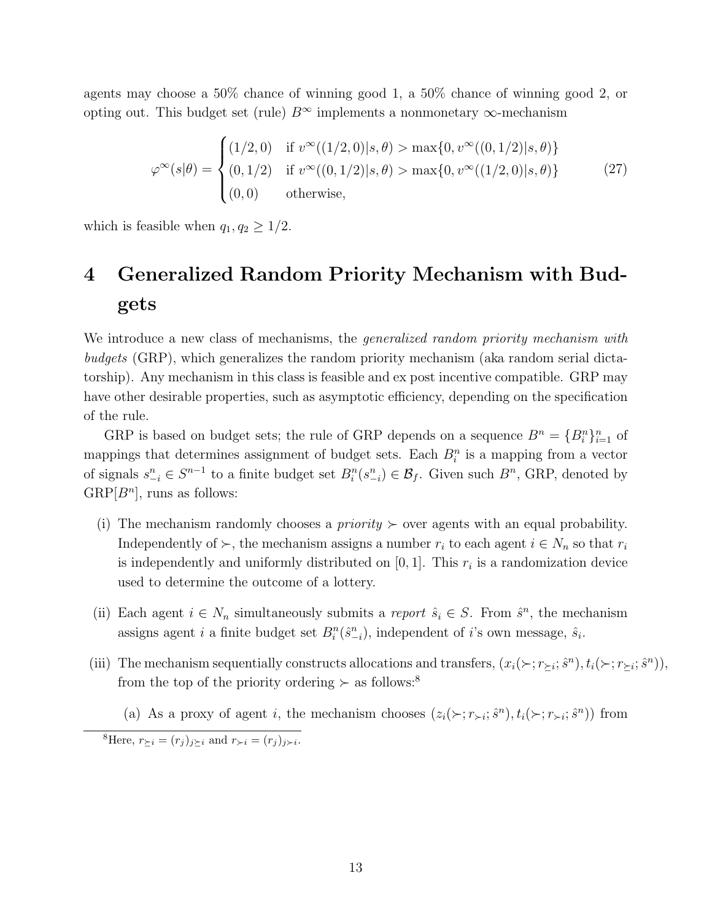agents may choose a 50% chance of winning good 1, a 50% chance of winning good 2, or opting out. This budget set (rule)  $B^{\infty}$  implements a nonmonetary  $\infty$ -mechanism

$$
\varphi^{\infty}(s|\theta) = \begin{cases}\n(1/2,0) & \text{if } v^{\infty}((1/2,0)|s,\theta) > \max\{0, v^{\infty}((0,1/2)|s,\theta)\} \\
(0,1/2) & \text{if } v^{\infty}((0,1/2)|s,\theta) > \max\{0, v^{\infty}((1/2,0)|s,\theta)\} \\
(0,0) & \text{otherwise,} \n\end{cases}
$$
\n(27)

which is feasible when  $q_1, q_2 \geq 1/2$ .

# 4 Generalized Random Priority Mechanism with Budgets

We introduce a new class of mechanisms, the *generalized random priority mechanism with* budgets (GRP), which generalizes the random priority mechanism (aka random serial dictatorship). Any mechanism in this class is feasible and ex post incentive compatible. GRP may have other desirable properties, such as asymptotic efficiency, depending on the specification of the rule.

GRP is based on budget sets; the rule of GRP depends on a sequence  $B^n = \{B_i^n\}_{i=1}^n$  of mappings that determines assignment of budget sets. Each  $B_i^n$  is a mapping from a vector of signals  $s_{-i}^n \in S^{n-1}$  to a finite budget set  $B_i^n(s_{-i}^n) \in \mathcal{B}_f$ . Given such  $B^n$ , GRP, denoted by  $\text{GRP}[B^n]$ , runs as follows:

- (i) The mechanism randomly chooses a *priority*  $\succ$  over agents with an equal probability. Independently of  $\succ$ , the mechanism assigns a number  $r_i$  to each agent  $i \in N_n$  so that  $r_i$ is independently and uniformly distributed on  $[0, 1]$ . This  $r_i$  is a randomization device used to determine the outcome of a lottery.
- (ii) Each agent  $i \in N_n$  simultaneously submits a *report*  $\hat{s}_i \in S$ . From  $\hat{s}^n$ , the mechanism assigns agent *i* a finite budget set  $B_i^n(\hat{s}_{-i}^n)$ , independent of *i*'s own message,  $\hat{s}_i$ .
- (iii) The mechanism sequentially constructs allocations and transfers,  $(x_i(\succ; r_{\succeq i}; \hat{s}^n), t_i(\succ; r_{\succeq i}; \hat{s}^n)),$ from the top of the priority ordering  $\succ$  as follows:<sup>8</sup>
	- (a) As a proxy of agent i, the mechanism chooses  $(z_i(\succ; r_{\succ i}; \hat{s}^n), t_i(\succ; r_{\succ i}; \hat{s}^n))$  from

<sup>8</sup>Here,  $r_{\geq i} = (r_j)_{j\geq i}$  and  $r_{\succ i} = (r_j)_{j\geq i}$ .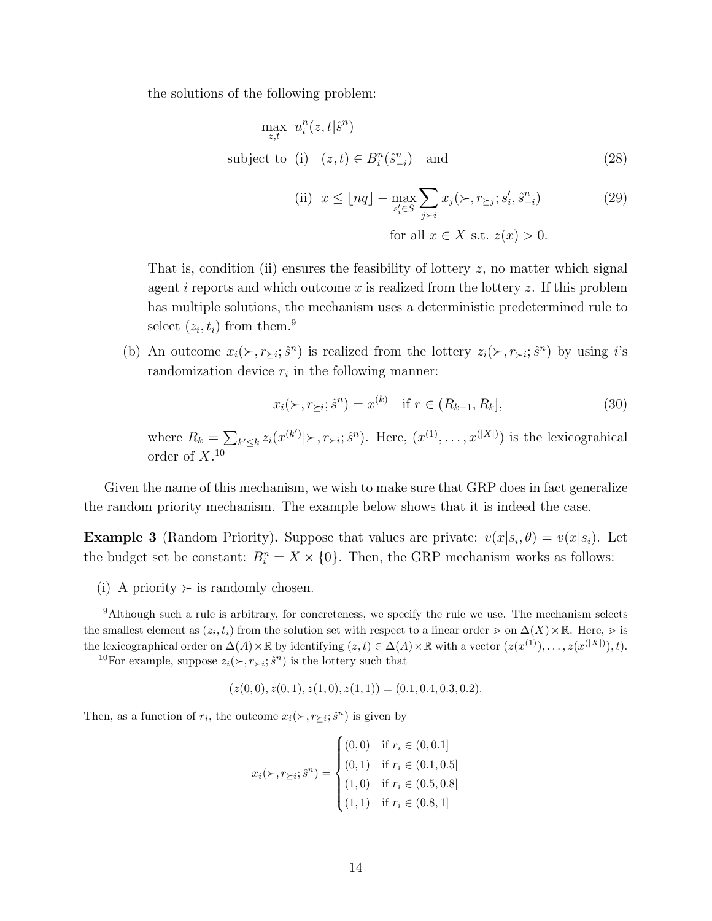the solutions of the following problem:

$$
\max_{z,t} u_i^n(z,t|\hat{s}^n)
$$
\nsubject to (i)  $(z,t) \in B_i^n(\hat{s}_{-i}^n)$  and\n
$$
(28)
$$

(ii) 
$$
x \leq \lfloor nq \rfloor - \max_{s_i' \in S} \sum_{j \succ i} x_j(\succ, r_{\succeq j}; s_i', \hat{s}_{-i}^n)
$$
  
for all  $x \in X$  s.t.  $z(x) > 0$ . (29)

That is, condition (ii) ensures the feasibility of lottery  $z$ , no matter which signal agent i reports and which outcome x is realized from the lottery  $z$ . If this problem has multiple solutions, the mechanism uses a deterministic predetermined rule to select  $(z_i, t_i)$  from them.<sup>9</sup>

(b) An outcome  $x_i(\succ, r_{\succeq i}; \hat{s}^n)$  is realized from the lottery  $z_i(\succ, r_{\succ i}; \hat{s}^n)$  by using *i*'s randomization device  $r_i$  in the following manner:

$$
x_i(\succ, r_{\succeq i}; \hat{s}^n) = x^{(k)} \quad \text{if } r \in (R_{k-1}, R_k], \tag{30}
$$

where  $R_k = \sum_{k' \leq k} z_i(x^{(k')} | \rangle, r_{\succ i}; \hat{s}^n)$ . Here,  $(x^{(1)}, \ldots, x^{(|X|)})$  is the lexicograhical order of  $X$ <sup>10</sup>

Given the name of this mechanism, we wish to make sure that GRP does in fact generalize the random priority mechanism. The example below shows that it is indeed the case.

**Example 3** (Random Priority). Suppose that values are private:  $v(x|s_i, \theta) = v(x|s_i)$ . Let the budget set be constant:  $B_i^n = X \times \{0\}$ . Then, the GRP mechanism works as follows:

(i) A priority  $\succ$  is randomly chosen.

<sup>10</sup>For example, suppose  $z_i(\succ, r_{\succ i}; \hat{s}^n)$  is the lottery such that

$$
(z(0,0), z(0,1), z(1,0), z(1,1)) = (0.1, 0.4, 0.3, 0.2).
$$

Then, as a function of  $r_i$ , the outcome  $x_i(\succ, r_{\succeq i}; \hat{s}^n)$  is given by

$$
x_i(\succ, r_{\succeq i}; \hat{s}^n) = \begin{cases} (0,0) & \text{if } r_i \in (0,0.1] \\ (0,1) & \text{if } r_i \in (0.1,0.5] \\ (1,0) & \text{if } r_i \in (0.5,0.8] \\ (1,1) & \text{if } r_i \in (0.8,1] \end{cases}
$$

<sup>&</sup>lt;sup>9</sup>Although such a rule is arbitrary, for concreteness, we specify the rule we use. The mechanism selects the smallest element as  $(z_i, t_i)$  from the solution set with respect to a linear order  $\geq$  on  $\Delta(X) \times \mathbb{R}$ . Here,  $\geq$  is the lexicographical order on  $\Delta(A) \times \mathbb{R}$  by identifying  $(z, t) \in \Delta(A) \times \mathbb{R}$  with a vector  $(z(x^{(1)}), \ldots, z(x^{(|X|)}), t)$ .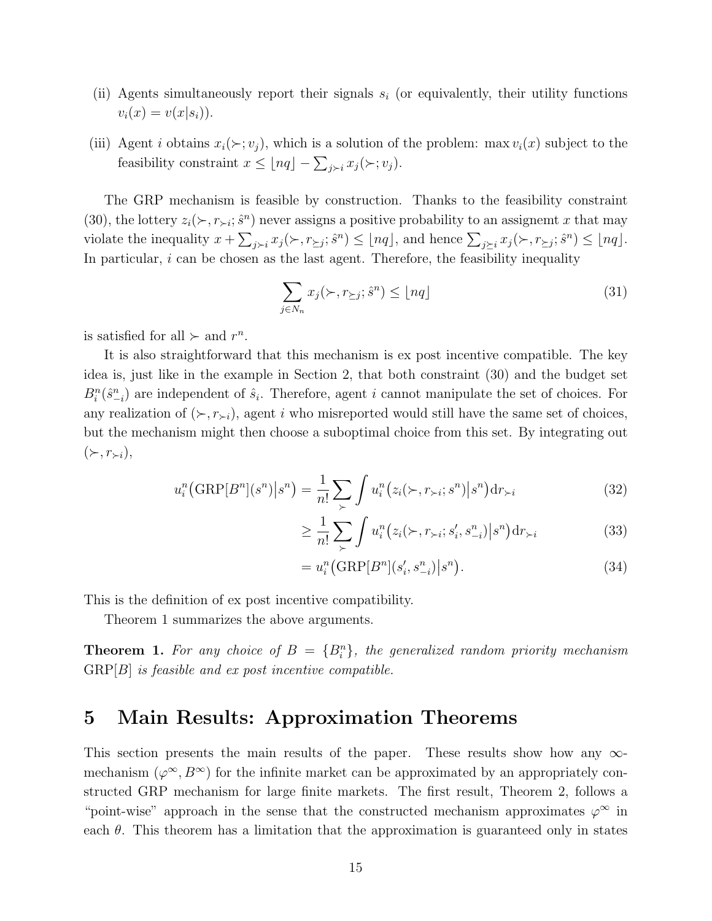- (ii) Agents simultaneously report their signals  $s_i$  (or equivalently, their utility functions  $v_i(x) = v(x|s_i)).$
- (iii) Agent *i* obtains  $x_i(\succ; v_j)$ , which is a solution of the problem: max  $v_i(x)$  subject to the feasibility constraint  $x \leq \lfloor nq \rfloor - \sum_{j>i} x_j(\succ; v_j)$ .

The GRP mechanism is feasible by construction. Thanks to the feasibility constraint (30), the lottery  $z_i(\succ, r_{\succ i}; \hat{s}^n)$  never assigns a positive probability to an assignemt x that may violate the inequality  $x + \sum_{j>i} x_j(\succ, r_{\succeq j}; \hat{s}^n) \leq \lfloor nq \rfloor$ , and hence  $\sum_{j\succeq i} x_j(\succ, r_{\succeq j}; \hat{s}^n) \leq \lfloor nq \rfloor$ . In particular,  $i$  can be chosen as the last agent. Therefore, the feasibility inequality

$$
\sum_{j \in N_n} x_j(\succ, r_{\succeq j}; \hat{s}^n) \le \lfloor nq \rfloor \tag{31}
$$

is satisfied for all  $\succ$  and  $r^n$ .

It is also straightforward that this mechanism is ex post incentive compatible. The key idea is, just like in the example in Section 2, that both constraint (30) and the budget set  $B_i^n(\hat{s}_{-i}^n)$  are independent of  $\hat{s}_i$ . Therefore, agent i cannot manipulate the set of choices. For any realization of  $(\succ, r_{\succ i})$ , agent i who misreported would still have the same set of choices, but the mechanism might then choose a suboptimal choice from this set. By integrating out  $(\succ, r_{\succ i}),$ 

$$
u_i^n\big(\text{GRP}[B^n](s^n)\big|s^n\big) = \frac{1}{n!} \sum_{\succ} \int u_i^n\big(z_i(\succ, r_{\succ i}; s^n)\big|s^n\big) \mathrm{d}r_{\succ i} \tag{32}
$$

$$
\geq \frac{1}{n!} \sum_{\succ} \int u_i^n \big( z_i(\succ, r_{\succ i}; s_i', s_{-i}^n) \big| s^n \big) \mathrm{d}r_{\succ i} \tag{33}
$$

$$
=u_i^n\big(\text{GRP}[B^n](s_i', s_{-i}^n)\big|s^n\big).
$$
\n(34)

This is the definition of ex post incentive compatibility.

Theorem 1 summarizes the above arguments.

**Theorem 1.** For any choice of  $B = {B<sub>i</sub><sup>n</sup>}$ , the generalized random priority mechanism  $GRP[B]$  is feasible and ex post incentive compatible.

# 5 Main Results: Approximation Theorems

This section presents the main results of the paper. These results show how any  $\infty$ mechanism  $(\varphi^{\infty}, B^{\infty})$  for the infinite market can be approximated by an appropriately constructed GRP mechanism for large finite markets. The first result, Theorem 2, follows a "point-wise" approach in the sense that the constructed mechanism approximates  $\varphi^{\infty}$  in each  $\theta$ . This theorem has a limitation that the approximation is guaranteed only in states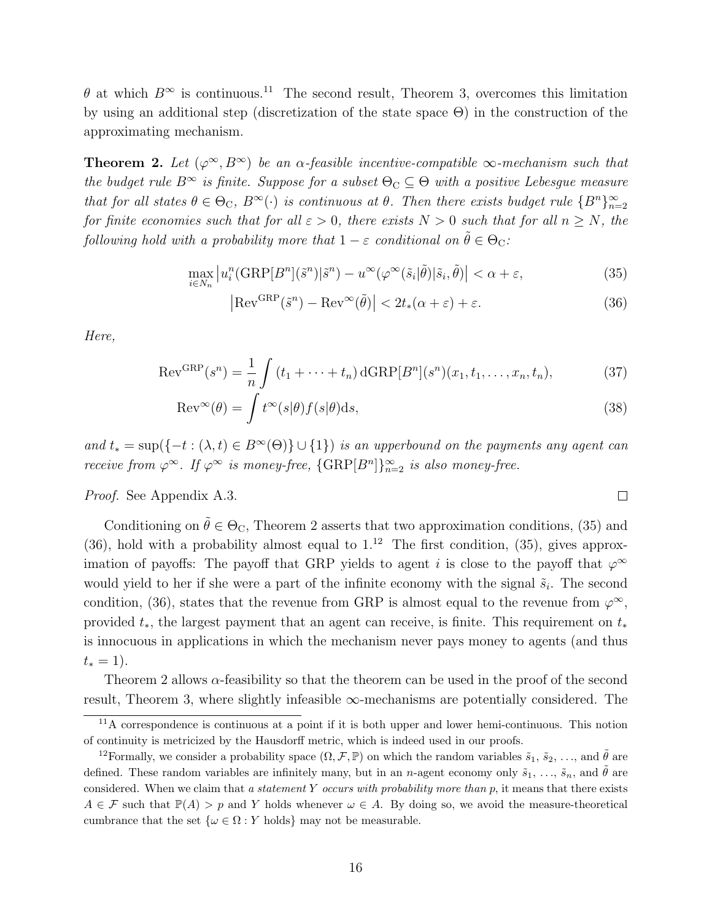$\theta$  at which  $B^{\infty}$  is continuous.<sup>11</sup> The second result, Theorem 3, overcomes this limitation by using an additional step (discretization of the state space Θ) in the construction of the approximating mechanism.

**Theorem 2.** Let  $(\varphi^{\infty}, B^{\infty})$  be an  $\alpha$ -feasible incentive-compatible  $\infty$ -mechanism such that the budget rule  $B^{\infty}$  is finite. Suppose for a subset  $\Theta_{\text{C}} \subseteq \Theta$  with a positive Lebesgue measure that for all states  $\theta \in \Theta_{\mathbb{C}}$ ,  $B^{\infty}(\cdot)$  is continuous at  $\theta$ . Then there exists budget rule  $\{B^n\}_{n=2}^{\infty}$ for finite economies such that for all  $\varepsilon > 0$ , there exists  $N > 0$  such that for all  $n \ge N$ , the following hold with a probability more that  $1 - \varepsilon$  conditional on  $\tilde{\theta} \in \Theta_{\mathbb{C}}$ :

$$
\max_{i \in N_n} \left| u_i^n(\text{GRP}[B^n](\tilde{s}^n)|\tilde{s}^n) - u^\infty(\varphi^\infty(\tilde{s}_i|\tilde{\theta})|\tilde{s}_i, \tilde{\theta}) \right| < \alpha + \varepsilon,\tag{35}
$$

$$
\left| \text{Rev}^{\text{GRP}}(\tilde{s}^n) - \text{Rev}^{\infty}(\tilde{\theta}) \right| < 2t_*(\alpha + \varepsilon) + \varepsilon. \tag{36}
$$

 $\Box$ 

Here,

$$
Rev^{GRP}(s^n) = \frac{1}{n} \int (t_1 + \dots + t_n) dGRP[B^n](s^n)(x_1, t_1, \dots, x_n, t_n),
$$
 (37)

$$
\text{Rev}^{\infty}(\theta) = \int t^{\infty}(s|\theta) f(s|\theta) \text{d}s,\tag{38}
$$

and  $t_* = \sup(\{-t : (\lambda, t) \in B^{\infty}(\Theta)\} \cup \{1\})$  is an upperbound on the payments any agent can receive from  $\varphi^{\infty}$ . If  $\varphi^{\infty}$  is money-free,  $\{\text{GRP}[B^n]\}_{n=2}^{\infty}$  is also money-free.

Proof. See Appendix A.3.

Conditioning on  $\tilde{\theta} \in \Theta_{\mathcal{C}}$ , Theorem 2 asserts that two approximation conditions, (35) and (36), hold with a probability almost equal to  $1^{12}$ . The first condition, (35), gives approximation of payoffs: The payoff that GRP yields to agent i is close to the payoff that  $\varphi^{\infty}$ would yield to her if she were a part of the infinite economy with the signal  $\tilde{s}_i$ . The second condition, (36), states that the revenue from GRP is almost equal to the revenue from  $\varphi^{\infty}$ , provided  $t_*,$  the largest payment that an agent can receive, is finite. This requirement on  $t_*$ is innocuous in applications in which the mechanism never pays money to agents (and thus  $t_* = 1$ ).

Theorem 2 allows  $\alpha$ -feasibility so that the theorem can be used in the proof of the second result, Theorem 3, where slightly infeasible  $\infty$ -mechanisms are potentially considered. The

 $11$ A correspondence is continuous at a point if it is both upper and lower hemi-continuous. This notion of continuity is metricized by the Hausdorff metric, which is indeed used in our proofs.

<sup>&</sup>lt;sup>12</sup>Formally, we consider a probability space  $(\Omega, \mathcal{F}, \mathbb{P})$  on which the random variables  $\tilde{s}_1, \tilde{s}_2, \ldots$ , and  $\hat{\theta}$  are defined. These random variables are infinitely many, but in an n-agent economy only  $\tilde{s}_1, \ldots, \tilde{s}_n$ , and  $\tilde{\theta}$  are considered. When we claim that a statement Y occurs with probability more than  $p$ , it means that there exists  $A \in \mathcal{F}$  such that  $\mathbb{P}(A) > p$  and Y holds whenever  $\omega \in A$ . By doing so, we avoid the measure-theoretical cumbrance that the set  $\{\omega \in \Omega : Y \text{ holds}\}\$  may not be measurable.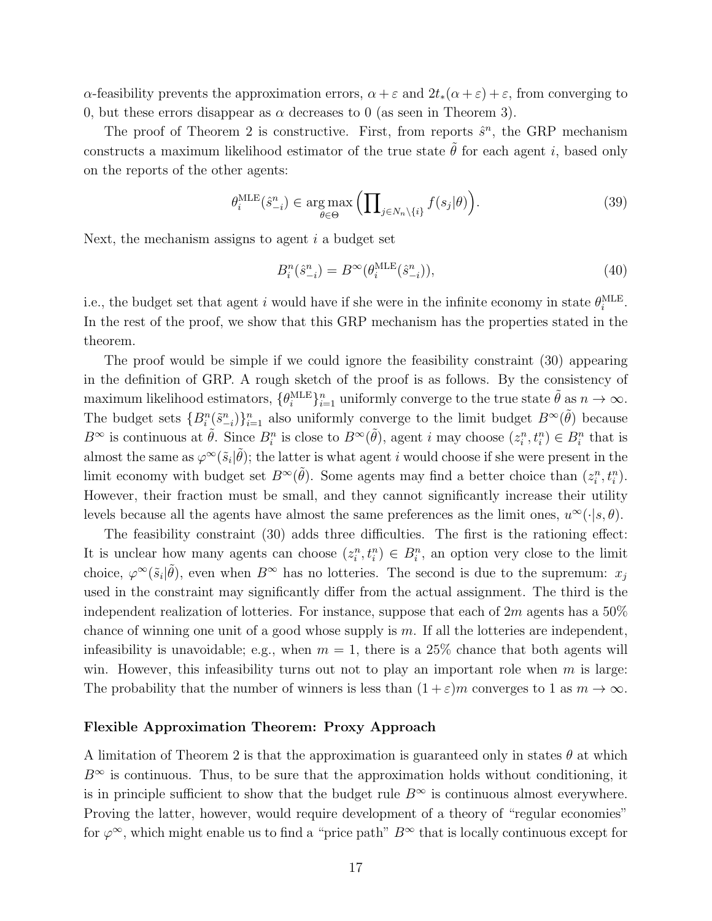α-feasibility prevents the approximation errors,  $\alpha + \varepsilon$  and  $2t_*(\alpha + \varepsilon) + \varepsilon$ , from converging to 0, but these errors disappear as  $\alpha$  decreases to 0 (as seen in Theorem 3).

The proof of Theorem 2 is constructive. First, from reports  $\hat{s}^n$ , the GRP mechanism constructs a maximum likelihood estimator of the true state  $\tilde{\theta}$  for each agent i, based only on the reports of the other agents:

$$
\theta_i^{\text{MLE}}(\hat{s}_{-i}^n) \in \underset{\theta \in \Theta}{\text{arg max}} \left( \prod_{j \in N_n \setminus \{i\}} f(s_j | \theta) \right). \tag{39}
$$

Next, the mechanism assigns to agent  $i$  a budget set

$$
B_i^n(\hat{s}_{-i}^n) = B^\infty(\theta_i^{\text{MLE}}(\hat{s}_{-i}^n)),\tag{40}
$$

i.e., the budget set that agent i would have if she were in the infinite economy in state  $\theta_i^{\text{MLE}}$ . In the rest of the proof, we show that this GRP mechanism has the properties stated in the theorem.

The proof would be simple if we could ignore the feasibility constraint (30) appearing in the definition of GRP. A rough sketch of the proof is as follows. By the consistency of maximum likelihood estimators,  $\{\theta_i^{\text{MLE}}\}_{i=1}^n$  uniformly converge to the true state  $\tilde{\theta}$  as  $n \to \infty$ . The budget sets  ${B_i^n(\tilde{s}_{-i}^n)}_{i=1}^n$  also uniformly converge to the limit budget  $B^{\infty}(\tilde{\theta})$  because  $B^{\infty}$  is continuous at  $\tilde{\theta}$ . Since  $B_i^n$  is close to  $B^{\infty}(\tilde{\theta})$ , agent i may choose  $(z_i^n, t_i^n) \in B_i^n$  that is almost the same as  $\varphi^{\infty}(\tilde{s}_i|\tilde{\theta});$  the latter is what agent i would choose if she were present in the limit economy with budget set  $B^{\infty}(\tilde{\theta})$ . Some agents may find a better choice than  $(z_i^n, t_i^n)$ . However, their fraction must be small, and they cannot significantly increase their utility levels because all the agents have almost the same preferences as the limit ones,  $u^{\infty}(\cdot | s, \theta)$ .

The feasibility constraint (30) adds three difficulties. The first is the rationing effect: It is unclear how many agents can choose  $(z_i^n, t_i^n) \in B_i^n$ , an option very close to the limit choice,  $\varphi^{\infty}(\tilde{s}_i|\tilde{\theta})$ , even when  $B^{\infty}$  has no lotteries. The second is due to the supremum:  $x_j$ used in the constraint may significantly differ from the actual assignment. The third is the independent realization of lotteries. For instance, suppose that each of  $2m$  agents has a  $50\%$ chance of winning one unit of a good whose supply is  $m$ . If all the lotteries are independent, infeasibility is unavoidable; e.g., when  $m = 1$ , there is a 25% chance that both agents will win. However, this infeasibility turns out not to play an important role when  $m$  is large: The probability that the number of winners is less than  $(1 + \varepsilon)m$  converges to 1 as  $m \to \infty$ .

#### Flexible Approximation Theorem: Proxy Approach

A limitation of Theorem 2 is that the approximation is guaranteed only in states  $\theta$  at which  $B^{\infty}$  is continuous. Thus, to be sure that the approximation holds without conditioning, it is in principle sufficient to show that the budget rule  $B^{\infty}$  is continuous almost everywhere. Proving the latter, however, would require development of a theory of "regular economies" for  $\varphi^{\infty}$ , which might enable us to find a "price path"  $B^{\infty}$  that is locally continuous except for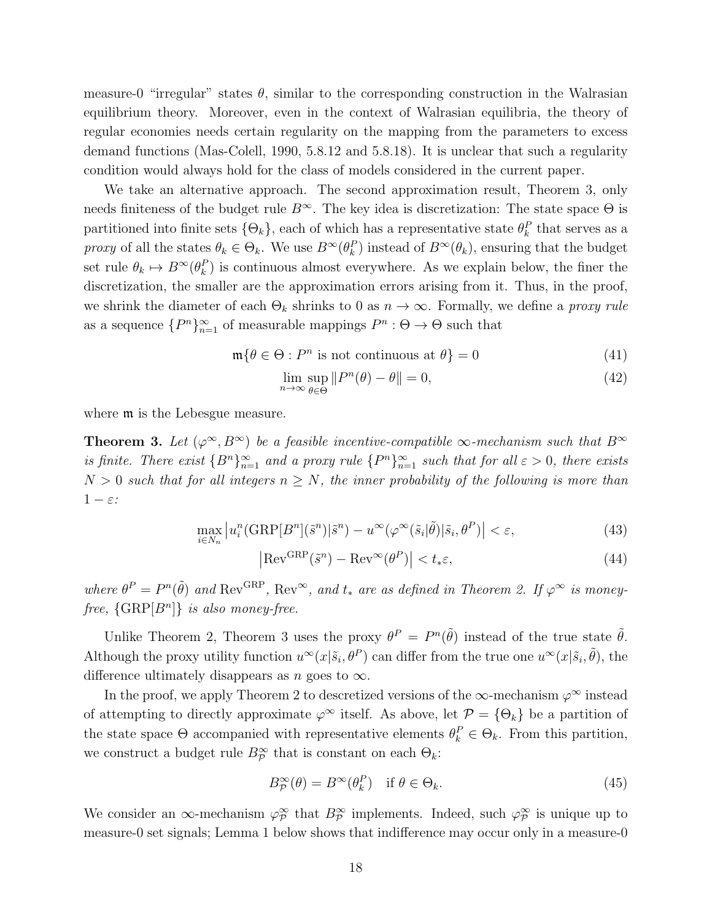measure-0 "irregular" states  $\theta$ , similar to the corresponding construction in the Walrasian equilibrium theory. Moreover, even in the context of Walrasian equilibria, the theory of regular economies needs certain regularity on the mapping from the parameters to excess demand functions (Mas-Colell, 1990, 5.8.12 and 5.8.18). It is unclear that such a regularity condition would always hold for the class of models considered in the current paper.

We take an alternative approach. The second approximation result, Theorem 3, only needs finiteness of the budget rule  $B^{\infty}$ . The key idea is discretization: The state space  $\Theta$  is partitioned into finite sets  $\{\Theta_k\}$ , each of which has a representative state  $\theta_k^P$  that serves as a proxy of all the states  $\theta_k \in \Theta_k$ . We use  $B^{\infty}(\theta_k^P)$  instead of  $B^{\infty}(\theta_k)$ , ensuring that the budget set rule  $\theta_k \mapsto B^{\infty}(\theta_k^P)$  is continuous almost everywhere. As we explain below, the finer the discretization, the smaller are the approximation errors arising from it. Thus, in the proof, we shrink the diameter of each  $\Theta_k$  shrinks to 0 as  $n \to \infty$ . Formally, we define a *proxy rule* as a sequence  ${P^n}_{n=1}^{\infty}$  of measurable mappings  $P^n : \Theta \to \Theta$  such that

$$
\mathfrak{m}\{\theta \in \Theta : P^n \text{ is not continuous at } \theta\} = 0 \tag{41}
$$

$$
\lim_{n \to \infty} \sup_{\theta \in \Theta} ||P^n(\theta) - \theta|| = 0,
$$
\n(42)

where **m** is the Lebesgue measure.

**Theorem 3.** Let  $(\varphi^{\infty}, B^{\infty})$  be a feasible incentive-compatible  $\infty$ -mechanism such that  $B^{\infty}$ is finite. There exist  ${B^n}_{n=1}^{\infty}$  and a proxy rule  ${P^n}_{n=1}^{\infty}$  such that for all  $\varepsilon > 0$ , there exists  $N > 0$  such that for all integers  $n \geq N$ , the inner probability of the following is more than  $1 - \varepsilon$ :

$$
\max_{i \in N_n} \left| u_i^n \left( \text{GRP}[B^n](\tilde{s}^n) | \tilde{s}^n \right) - u^\infty(\varphi^\infty(\tilde{s}_i | \tilde{\theta}) | \tilde{s}_i, \theta^P) \right| < \varepsilon,\tag{43}
$$

$$
\left| \text{Rev}^{\text{GRP}}(\tilde{s}^n) - \text{Rev}^{\infty}(\theta^P) \right| < t_* \varepsilon,\tag{44}
$$

where  $\theta^P = P^n(\tilde{\theta})$  and Rev<sup>GRP</sup>, Rev<sup>∞</sup>, and  $t_*$  are as defined in Theorem 2. If  $\varphi^{\infty}$  is moneyfree,  $\{ \text{GRP}[B^n] \}$  is also money-free.

Unlike Theorem 2, Theorem 3 uses the proxy  $\theta^P = P^{\eta}(\tilde{\theta})$  instead of the true state  $\tilde{\theta}$ . Although the proxy utility function  $u^{\infty}(x|\tilde{s}_i, \theta^P)$  can differ from the true one  $u^{\infty}(x|\tilde{s}_i, \tilde{\theta})$ , the difference ultimately disappears as n goes to  $\infty$ .

In the proof, we apply Theorem 2 to descretized versions of the  $\infty$ -mechanism  $\varphi^{\infty}$  instead of attempting to directly approximate  $\varphi^{\infty}$  itself. As above, let  $\mathcal{P} = \{\Theta_k\}$  be a partition of the state space  $\Theta$  accompanied with representative elements  $\theta_k^P \in \Theta_k$ . From this partition, we construct a budget rule  $B_P^{\infty}$  that is constant on each  $\Theta_k$ :

$$
B_{\mathcal{P}}^{\infty}(\theta) = B^{\infty}(\theta_k^P) \quad \text{if } \theta \in \Theta_k. \tag{45}
$$

We consider an  $\infty$ -mechanism  $\varphi_{\mathcal{P}}^{\infty}$  that  $B_{\mathcal{P}}^{\infty}$  implements. Indeed, such  $\varphi_{\mathcal{P}}^{\infty}$  is unique up to measure-0 set signals; Lemma 1 below shows that indifference may occur only in a measure-0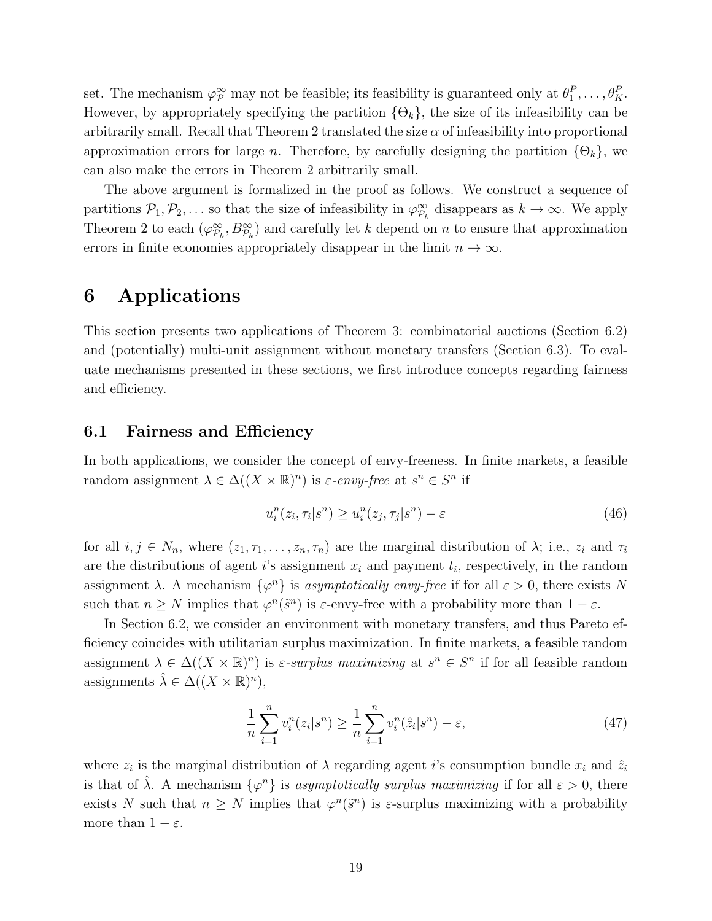set. The mechanism  $\varphi_{\mathcal{P}}^{\infty}$  may not be feasible; its feasibility is guaranteed only at  $\theta_1^P, \ldots, \theta_K^P$ . However, by appropriately specifying the partition  $\{\Theta_k\}$ , the size of its infeasibility can be arbitrarily small. Recall that Theorem 2 translated the size  $\alpha$  of infeasibility into proportional approximation errors for large *n*. Therefore, by carefully designing the partition  $\{\Theta_k\}$ , we can also make the errors in Theorem 2 arbitrarily small.

The above argument is formalized in the proof as follows. We construct a sequence of partitions  $\mathcal{P}_1, \mathcal{P}_2, \ldots$  so that the size of infeasibility in  $\varphi_{\mathcal{P}_k}^{\infty}$  disappears as  $k \to \infty$ . We apply Theorem 2 to each  $(\varphi_{\mathcal{P}_k}^{\infty}, B_{\mathcal{P}_k}^{\infty})$  and carefully let k depend on n to ensure that approximation errors in finite economies appropriately disappear in the limit  $n \to \infty$ .

# 6 Applications

This section presents two applications of Theorem 3: combinatorial auctions (Section 6.2) and (potentially) multi-unit assignment without monetary transfers (Section 6.3). To evaluate mechanisms presented in these sections, we first introduce concepts regarding fairness and efficiency.

### 6.1 Fairness and Efficiency

In both applications, we consider the concept of envy-freeness. In finite markets, a feasible random assignment  $\lambda \in \Delta((X \times \mathbb{R})^n)$  is  $\varepsilon$ -envy-free at  $s^n \in S^n$  if

$$
u_i^n(z_i, \tau_i | s^n) \ge u_i^n(z_j, \tau_j | s^n) - \varepsilon \tag{46}
$$

for all  $i, j \in N_n$ , where  $(z_1, \tau_1, \ldots, z_n, \tau_n)$  are the marginal distribution of  $\lambda$ ; i.e.,  $z_i$  and  $\tau_i$ are the distributions of agent i's assignment  $x_i$  and payment  $t_i$ , respectively, in the random assignment  $\lambda$ . A mechanism  $\{\varphi^n\}$  is asymptotically envy-free if for all  $\varepsilon > 0$ , there exists N such that  $n \geq N$  implies that  $\varphi^n(\tilde{s}^n)$  is  $\varepsilon$ -envy-free with a probability more than  $1 - \varepsilon$ .

In Section 6.2, we consider an environment with monetary transfers, and thus Pareto efficiency coincides with utilitarian surplus maximization. In finite markets, a feasible random assignment  $\lambda \in \Delta((X \times \mathbb{R})^n)$  is  $\varepsilon$ -surplus maximizing at  $s^n \in S^n$  if for all feasible random assignments  $\hat{\lambda} \in \Delta((X \times \mathbb{R})^n)$ ,

$$
\frac{1}{n}\sum_{i=1}^{n}v_i^n(z_i|s^n) \ge \frac{1}{n}\sum_{i=1}^{n}v_i^n(\hat{z}_i|s^n) - \varepsilon,\tag{47}
$$

where  $z_i$  is the marginal distribution of  $\lambda$  regarding agent i's consumption bundle  $x_i$  and  $\hat{z}_i$ is that of  $\hat{\lambda}$ . A mechanism  $\{\varphi^n\}$  is asymptotically surplus maximizing if for all  $\varepsilon > 0$ , there exists N such that  $n \geq N$  implies that  $\varphi^{n}(\tilde{s}^{n})$  is  $\varepsilon$ -surplus maximizing with a probability more than  $1 - \varepsilon$ .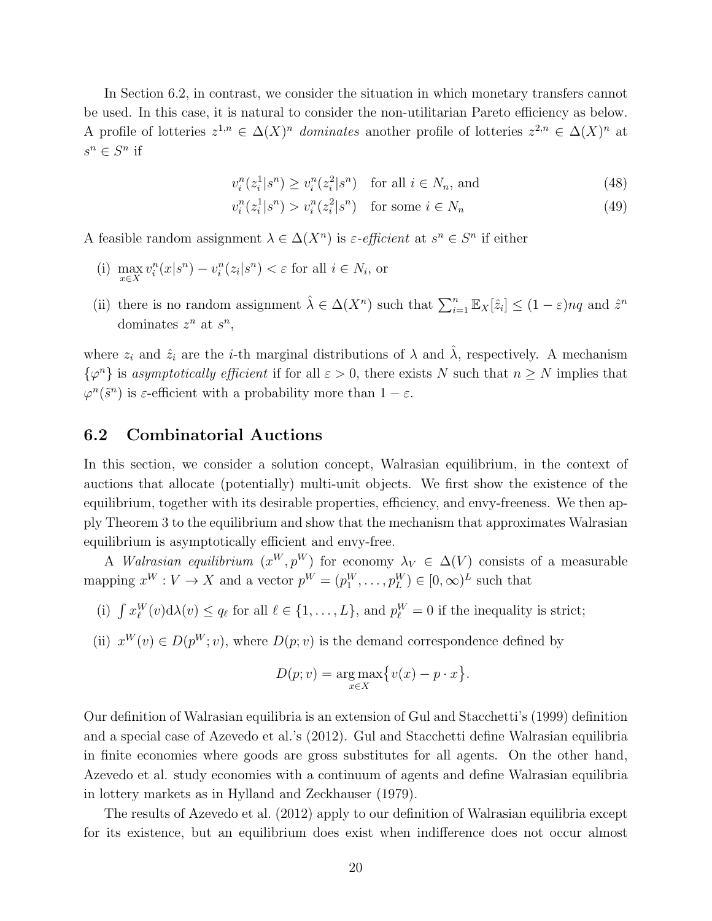In Section 6.2, in contrast, we consider the situation in which monetary transfers cannot be used. In this case, it is natural to consider the non-utilitarian Pareto efficiency as below. A profile of lotteries  $z^{1,n} \in \Delta(X)^n$  dominates another profile of lotteries  $z^{2,n} \in \Delta(X)^n$  at  $s^n \in S^n$  if

$$
v_i^n(z_i^1|s^n) \ge v_i^n(z_i^2|s^n) \quad \text{for all } i \in N_n \text{, and} \tag{48}
$$

$$
v_i^n(z_i^1|s^n) > v_i^n(z_i^2|s^n) \quad \text{for some } i \in N_n \tag{49}
$$

A feasible random assignment  $\lambda \in \Delta(X^n)$  is  $\varepsilon$ -efficient at  $s^n \in S^n$  if either

- (i)  $\max_{x \in X} v_i^n(x|s^n) v_i^n(z_i|s^n) < \varepsilon$  for all  $i \in N_i$ , or
- (ii) there is no random assignment  $\hat{\lambda} \in \Delta(X^n)$  such that  $\sum_{i=1}^n \mathbb{E}_X[\hat{z}_i] \leq (1-\varepsilon)nq$  and  $\hat{z}^n$ dominates  $z^n$  at  $s^n$ ,

where  $z_i$  and  $\hat{z}_i$  are the *i*-th marginal distributions of  $\lambda$  and  $\hat{\lambda}$ , respectively. A mechanism  $\{\varphi^n\}$  is asymptotically efficient if for all  $\varepsilon > 0$ , there exists N such that  $n \geq N$  implies that  $\varphi^{n}(\tilde{s}^{n})$  is  $\varepsilon$ -efficient with a probability more than  $1 - \varepsilon$ .

### 6.2 Combinatorial Auctions

In this section, we consider a solution concept, Walrasian equilibrium, in the context of auctions that allocate (potentially) multi-unit objects. We first show the existence of the equilibrium, together with its desirable properties, efficiency, and envy-freeness. We then apply Theorem 3 to the equilibrium and show that the mechanism that approximates Walrasian equilibrium is asymptotically efficient and envy-free.

A *Walrasian equilibrium*  $(x^W, p^W)$  for economy  $\lambda_V \in \Delta(V)$  consists of a measurable mapping  $x^W : V \to X$  and a vector  $p^W = (p_1^W, \dots, p_L^W) \in [0, \infty)^L$  such that

(i)  $\int x_{\ell}^{W}(v) d\lambda(v) \leq q_{\ell}$  for all  $\ell \in \{1, ..., L\}$ , and  $p_{\ell}^{W} = 0$  if the inequality is strict;

(ii)  $x^W(v) \in D(p^W; v)$ , where  $D(p; v)$  is the demand correspondence defined by

$$
D(p; v) = \underset{x \in X}{\arg \max} \{v(x) - p \cdot x\}.
$$

Our definition of Walrasian equilibria is an extension of Gul and Stacchetti's (1999) definition and a special case of Azevedo et al.'s (2012). Gul and Stacchetti define Walrasian equilibria in finite economies where goods are gross substitutes for all agents. On the other hand, Azevedo et al. study economies with a continuum of agents and define Walrasian equilibria in lottery markets as in Hylland and Zeckhauser (1979).

The results of Azevedo et al. (2012) apply to our definition of Walrasian equilibria except for its existence, but an equilibrium does exist when indifference does not occur almost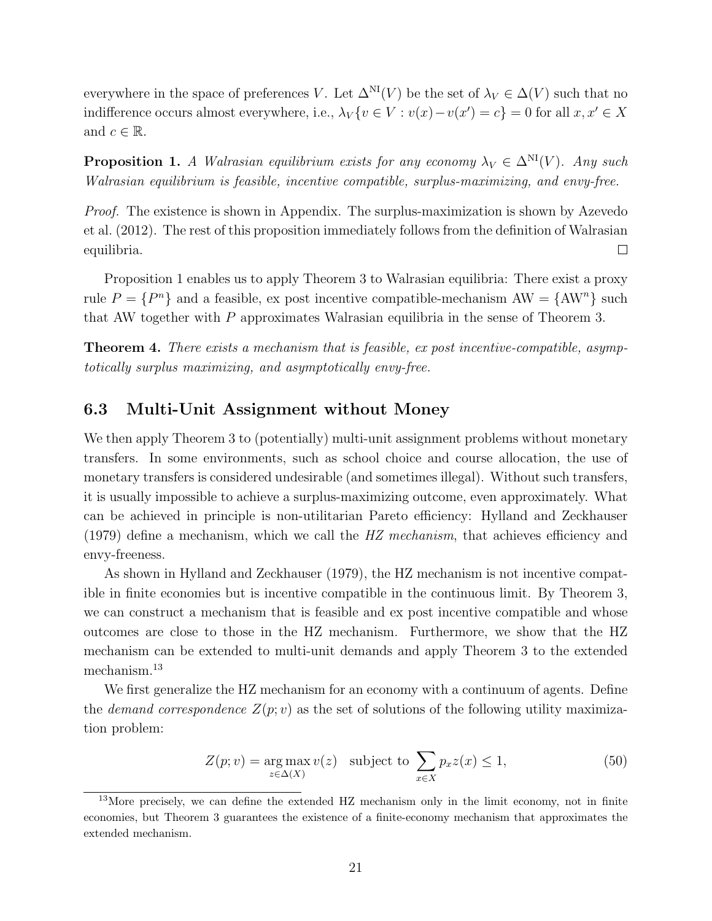everywhere in the space of preferences V. Let  $\Delta^{NI}(V)$  be the set of  $\lambda_V \in \Delta(V)$  such that no indifference occurs almost everywhere, i.e.,  $\lambda_V \{ v \in V : v(x) - v(x') = c \} = 0$  for all  $x, x' \in X$ and  $c \in \mathbb{R}$ .

**Proposition 1.** A Walrasian equilibrium exists for any economy  $\lambda_V \in \Delta^{NI}(V)$ . Any such Walrasian equilibrium is feasible, incentive compatible, surplus-maximizing, and envy-free.

Proof. The existence is shown in Appendix. The surplus-maximization is shown by Azevedo et al. (2012). The rest of this proposition immediately follows from the definition of Walrasian equilibria.  $\Box$ 

Proposition 1 enables us to apply Theorem 3 to Walrasian equilibria: There exist a proxy rule  $P = \{P^n\}$  and a feasible, ex post incentive compatible-mechanism  $AW = \{AW^n\}$  such that AW together with P approximates Walrasian equilibria in the sense of Theorem 3.

Theorem 4. There exists a mechanism that is feasible, ex post incentive-compatible, asymptotically surplus maximizing, and asymptotically envy-free.

# 6.3 Multi-Unit Assignment without Money

We then apply Theorem 3 to (potentially) multi-unit assignment problems without monetary transfers. In some environments, such as school choice and course allocation, the use of monetary transfers is considered undesirable (and sometimes illegal). Without such transfers, it is usually impossible to achieve a surplus-maximizing outcome, even approximately. What can be achieved in principle is non-utilitarian Pareto efficiency: Hylland and Zeckhauser  $(1979)$  define a mechanism, which we call the HZ mechanism, that achieves efficiency and envy-freeness.

As shown in Hylland and Zeckhauser (1979), the HZ mechanism is not incentive compatible in finite economies but is incentive compatible in the continuous limit. By Theorem 3, we can construct a mechanism that is feasible and ex post incentive compatible and whose outcomes are close to those in the HZ mechanism. Furthermore, we show that the HZ mechanism can be extended to multi-unit demands and apply Theorem 3 to the extended mechanism.<sup>13</sup>

We first generalize the HZ mechanism for an economy with a continuum of agents. Define the *demand correspondence*  $Z(p; v)$  as the set of solutions of the following utility maximization problem:

$$
Z(p; v) = \underset{z \in \Delta(X)}{\arg \max} v(z) \quad \text{subject to} \quad \sum_{x \in X} p_x z(x) \le 1,
$$
 (50)

<sup>&</sup>lt;sup>13</sup>More precisely, we can define the extended HZ mechanism only in the limit economy, not in finite economies, but Theorem 3 guarantees the existence of a finite-economy mechanism that approximates the extended mechanism.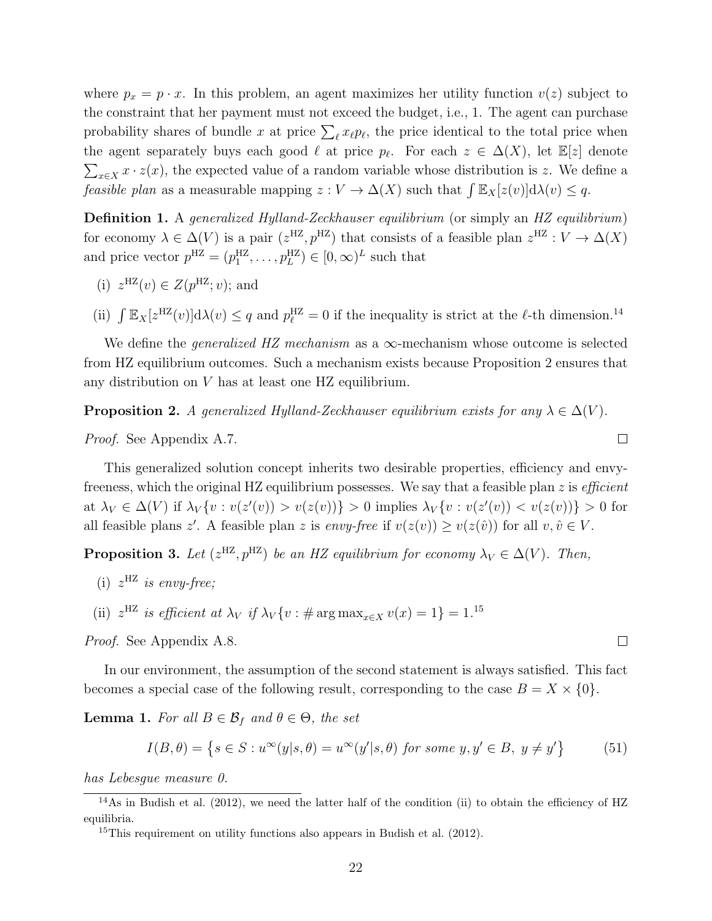where  $p_x = p \cdot x$ . In this problem, an agent maximizes her utility function  $v(z)$  subject to the constraint that her payment must not exceed the budget, i.e., 1. The agent can purchase probability shares of bundle x at price  $\sum_{\ell} x_{\ell} p_{\ell}$ , the price identical to the total price when the agent separately buys each good  $\ell$  at price  $p_{\ell}$ . For each  $z \in \Delta(X)$ , let  $\mathbb{E}[z]$  denote  $\sum_{x \in X} x \cdot z(x)$ , the expected value of a random variable whose distribution is z. We define a feasible plan as a measurable mapping  $z: V \to \Delta(X)$  such that  $\int \mathbb{E}_X[z(v)] d\lambda(v) \leq q$ .

Definition 1. A generalized Hylland-Zeckhauser equilibrium (or simply an HZ equilibrium) for economy  $\lambda \in \Delta(V)$  is a pair  $(z^{HZ}, p^{HZ})$  that consists of a feasible plan  $z^{HZ}: V \to \Delta(X)$ and price vector  $p^{HZ} = (p_1^{HZ}, \ldots, p_L^{HZ}) \in [0, \infty)^L$  such that

- (i)  $z^{HZ}(v) \in Z(p^{HZ};v)$ ; and
- (ii)  $\int \mathbb{E}_X[z^{HZ}(v)]d\lambda(v) \leq q$  and  $p_{\ell}^{HZ} = 0$  if the inequality is strict at the  $\ell$ -th dimension.<sup>14</sup>

We define the *generalized HZ mechanism* as a  $\infty$ -mechanism whose outcome is selected from HZ equilibrium outcomes. Such a mechanism exists because Proposition 2 ensures that any distribution on V has at least one HZ equilibrium.

**Proposition 2.** A generalized Hylland-Zeckhauser equilibrium exists for any  $\lambda \in \Delta(V)$ .

Proof. See Appendix A.7.

This generalized solution concept inherits two desirable properties, efficiency and envyfreeness, which the original HZ equilibrium possesses. We say that a feasible plan z is *efficient* at  $\lambda_V \in \Delta(V)$  if  $\lambda_V \{v : v(z'(v)) > v(z(v))\} > 0$  implies  $\lambda_V \{v : v(z'(v)) < v(z(v))\} > 0$  for all feasible plans z'. A feasible plan z is envy-free if  $v(z(v)) \ge v(z(\hat{v}))$  for all  $v, \hat{v} \in V$ .

**Proposition 3.** Let  $(z^{HZ}, p^{HZ})$  be an HZ equilibrium for economy  $\lambda_V \in \Delta(V)$ . Then,

- (i)  $z^{HZ}$  is envy-free;
- (ii)  $z^{\text{HZ}}$  is efficient at  $\lambda_V$  if  $\lambda_V \{v : \text{\# arg max}_{x \in X} v(x) = 1\} = 1.15$

Proof. See Appendix A.8.

In our environment, the assumption of the second statement is always satisfied. This fact becomes a special case of the following result, corresponding to the case  $B = X \times \{0\}$ .

**Lemma 1.** For all  $B \in \mathcal{B}_f$  and  $\theta \in \Theta$ , the set

$$
I(B, \theta) = \left\{ s \in S : u^{\infty}(y|s, \theta) = u^{\infty}(y'|s, \theta) \text{ for some } y, y' \in B, y \neq y' \right\}
$$
(51)

has Lebesgue measure 0.

 $\Box$ 

 $\Box$ 

 $\frac{14}{4}$ As in Budish et al. (2012), we need the latter half of the condition (ii) to obtain the efficiency of HZ equilibria.

<sup>15</sup>This requirement on utility functions also appears in Budish et al. (2012).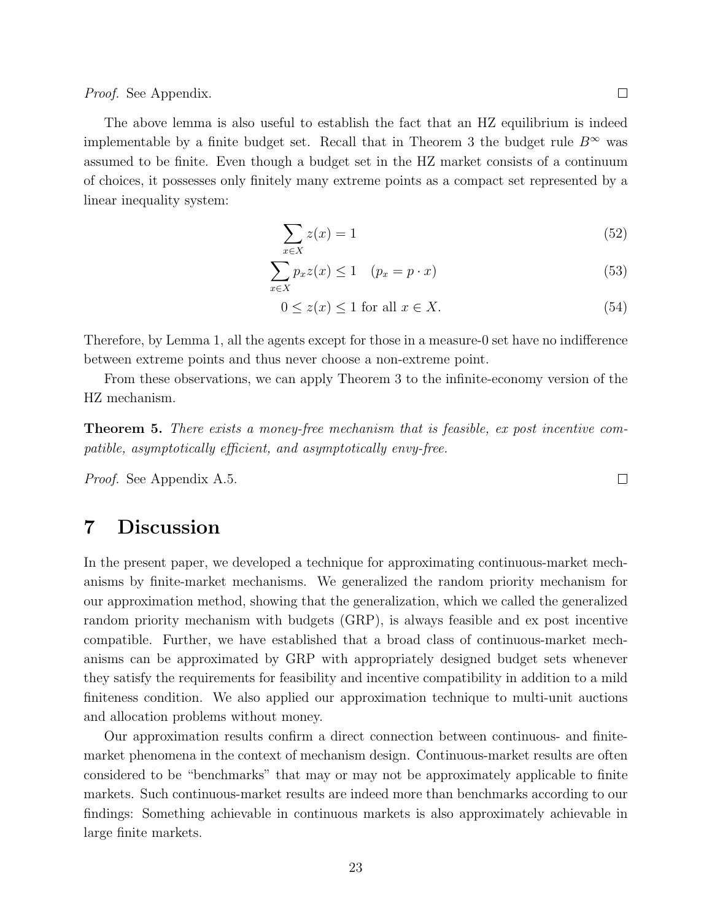$\Box$ 

Proof. See Appendix.

The above lemma is also useful to establish the fact that an HZ equilibrium is indeed implementable by a finite budget set. Recall that in Theorem 3 the budget rule  $B^{\infty}$  was assumed to be finite. Even though a budget set in the HZ market consists of a continuum of choices, it possesses only finitely many extreme points as a compact set represented by a linear inequality system:

$$
\sum_{x \in X} z(x) = 1 \tag{52}
$$

$$
\sum_{x \in X} p_x z(x) \le 1 \quad (p_x = p \cdot x) \tag{53}
$$

$$
0 \le z(x) \le 1 \text{ for all } x \in X. \tag{54}
$$

Therefore, by Lemma 1, all the agents except for those in a measure-0 set have no indifference between extreme points and thus never choose a non-extreme point.

From these observations, we can apply Theorem 3 to the infinite-economy version of the HZ mechanism.

Theorem 5. There exists a money-free mechanism that is feasible, ex post incentive compatible, asymptotically efficient, and asymptotically envy-free.

Proof. See Appendix A.5.

# 7 Discussion

In the present paper, we developed a technique for approximating continuous-market mechanisms by finite-market mechanisms. We generalized the random priority mechanism for our approximation method, showing that the generalization, which we called the generalized random priority mechanism with budgets (GRP), is always feasible and ex post incentive compatible. Further, we have established that a broad class of continuous-market mechanisms can be approximated by GRP with appropriately designed budget sets whenever they satisfy the requirements for feasibility and incentive compatibility in addition to a mild finiteness condition. We also applied our approximation technique to multi-unit auctions and allocation problems without money.

Our approximation results confirm a direct connection between continuous- and finitemarket phenomena in the context of mechanism design. Continuous-market results are often considered to be "benchmarks" that may or may not be approximately applicable to finite markets. Such continuous-market results are indeed more than benchmarks according to our findings: Something achievable in continuous markets is also approximately achievable in large finite markets.

 $\Box$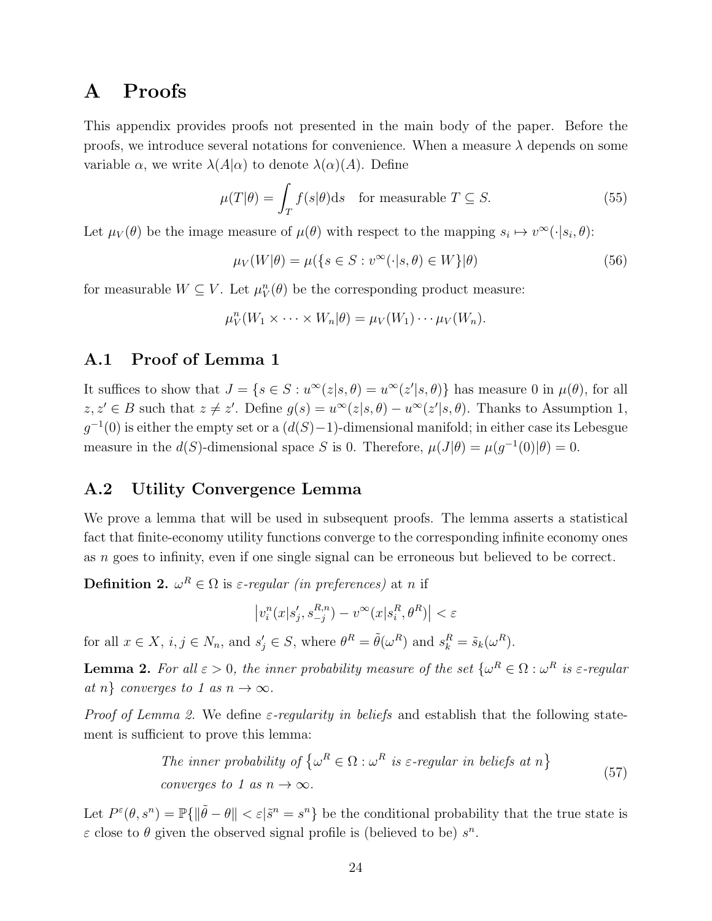# A Proofs

This appendix provides proofs not presented in the main body of the paper. Before the proofs, we introduce several notations for convenience. When a measure  $\lambda$  depends on some variable  $\alpha$ , we write  $\lambda(A|\alpha)$  to denote  $\lambda(\alpha)(A)$ . Define

$$
\mu(T|\theta) = \int_{T} f(s|\theta) \, \text{d}s \quad \text{for measurable } T \subseteq S. \tag{55}
$$

Let  $\mu_V(\theta)$  be the image measure of  $\mu(\theta)$  with respect to the mapping  $s_i \mapsto v^{\infty}(\cdot | s_i, \theta)$ :

$$
\mu_V(W|\theta) = \mu({s \in S : v^\infty(\cdot|s,\theta) \in W}|\theta)
$$
\n(56)

for measurable  $W \subseteq V$ . Let  $\mu_V^n(\theta)$  be the corresponding product measure:

$$
\mu_V^n(W_1 \times \cdots \times W_n | \theta) = \mu_V(W_1) \cdots \mu_V(W_n).
$$

# A.1 Proof of Lemma 1

It suffices to show that  $J = \{s \in S : u^{\infty}(z|s, \theta) = u^{\infty}(z'|s, \theta)\}\$  has measure 0 in  $\mu(\theta)$ , for all  $z, z' \in B$  such that  $z \neq z'$ . Define  $g(s) = u^{\infty}(z|s, \theta) - u^{\infty}(z'|s, \theta)$ . Thanks to Assumption 1,  $g^{-1}(0)$  is either the empty set or a  $(d(S)-1)$ -dimensional manifold; in either case its Lebesgue measure in the  $d(S)$ -dimensional space S is 0. Therefore,  $\mu(J|\theta) = \mu(g^{-1}(0)|\theta) = 0$ .

# A.2 Utility Convergence Lemma

We prove a lemma that will be used in subsequent proofs. The lemma asserts a statistical fact that finite-economy utility functions converge to the corresponding infinite economy ones as n goes to infinity, even if one single signal can be erroneous but believed to be correct.

**Definition 2.**  $\omega^R \in \Omega$  is  $\varepsilon$ -regular (in preferences) at n if

$$
\left|v_i^n(x|s'_j, s_{-j}^{R,n}) - v^\infty(x|s_i^R, \theta^R)\right| < \varepsilon
$$

for all  $x \in X$ ,  $i, j \in N_n$ , and  $s'_j \in S$ , where  $\theta^R = \tilde{\theta}(\omega^R)$  and  $s_k^R = \tilde{s}_k(\omega^R)$ .

**Lemma 2.** For all  $\varepsilon > 0$ , the inner probability measure of the set  $\{\omega^R \in \Omega : \omega^R$  is  $\varepsilon$ -regular at n} converges to 1 as  $n \to \infty$ .

*Proof of Lemma 2.* We define  $\varepsilon$ -regularity in beliefs and establish that the following statement is sufficient to prove this lemma:

The inner probability of 
$$
\{\omega^R \in \Omega : \omega^R \text{ is } \varepsilon\text{-regular in beliefs at } n\}
$$
  
converges to 1 as  $n \to \infty$ . (57)

Let  $P^{\varepsilon}(\theta, s^n) = \mathbb{P}\{\|\tilde{\theta} - \theta\| < \varepsilon | \tilde{s}^n = s^n\}$  be the conditional probability that the true state is  $\varepsilon$  close to  $\theta$  given the observed signal profile is (believed to be)  $s^n$ .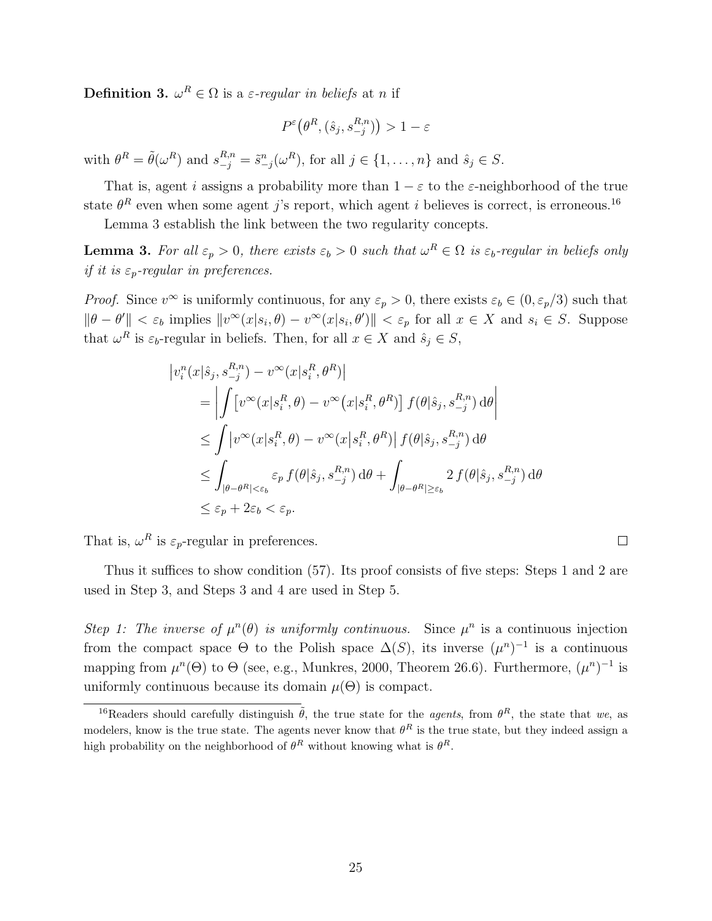**Definition 3.**  $\omega^R \in \Omega$  is a  $\varepsilon$ -regular in beliefs at n if

$$
P^{\varepsilon}(\theta^R, (\hat{s}_j, s_{-j}^{R,n})) > 1 - \varepsilon
$$

with  $\theta^R = \tilde{\theta}(\omega^R)$  and  $s_{-j}^{R,n} = \tilde{s}_{-j}^n(\omega^R)$ , for all  $j \in \{1, \ldots, n\}$  and  $\hat{s}_j \in S$ .

That is, agent i assigns a probability more than  $1 - \varepsilon$  to the  $\varepsilon$ -neighborhood of the true state  $\theta^R$  even when some agent j's report, which agent i believes is correct, is erroneous.<sup>16</sup>

Lemma 3 establish the link between the two regularity concepts.

**Lemma 3.** For all  $\varepsilon_p > 0$ , there exists  $\varepsilon_b > 0$  such that  $\omega^R \in \Omega$  is  $\varepsilon_b$ -regular in beliefs only if it is  $\varepsilon_p$ -regular in preferences.

*Proof.* Since  $v^{\infty}$  is uniformly continuous, for any  $\varepsilon_p > 0$ , there exists  $\varepsilon_b \in (0, \varepsilon_p/3)$  such that  $\|\theta - \theta'\| < \varepsilon_b$  implies  $\|v^\infty(x|s_i, \theta) - v^\infty(x|s_i, \theta')\| < \varepsilon_p$  for all  $x \in X$  and  $s_i \in S$ . Suppose that  $\omega^R$  is  $\varepsilon_b$ -regular in beliefs. Then, for all  $x \in X$  and  $\hat{s}_j \in S$ ,

$$
\begin{split}\n\left|v_i^n(x|\hat{s}_j, s_{-j}^{R,n}) - v^\infty(x|s_i^R, \theta^R)\right| \\
&= \left| \int \left[v^\infty(x|s_i^R, \theta) - v^\infty(x|s_i^R, \theta^R)\right] f(\theta|\hat{s}_j, s_{-j}^{R,n}) d\theta \right| \\
&\leq \int \left|v^\infty(x|s_i^R, \theta) - v^\infty(x|s_i^R, \theta^R)\right| f(\theta|\hat{s}_j, s_{-j}^{R,n}) d\theta \\
&\leq \int_{|\theta - \theta^R| < \varepsilon_b} \varepsilon_p f(\theta|\hat{s}_j, s_{-j}^{R,n}) d\theta + \int_{|\theta - \theta^R| \geq \varepsilon_b} 2 f(\theta|\hat{s}_j, s_{-j}^{R,n}) d\theta \\
&\leq \varepsilon_p + 2\varepsilon_b < \varepsilon_p.\n\end{split}
$$

That is,  $\omega^R$  is  $\varepsilon_p$ -regular in preferences.

Thus it suffices to show condition (57). Its proof consists of five steps: Steps 1 and 2 are used in Step 3, and Steps 3 and 4 are used in Step 5.

 $\Box$ 

Step 1: The inverse of  $\mu^n(\theta)$  is uniformly continuous. Since  $\mu^n$  is a continuous injection from the compact space  $\Theta$  to the Polish space  $\Delta(S)$ , its inverse  $(\mu^n)^{-1}$  is a continuous mapping from  $\mu^{n}(\Theta)$  to  $\Theta$  (see, e.g., Munkres, 2000, Theorem 26.6). Furthermore,  $(\mu^{n})^{-1}$  is uniformly continuous because its domain  $\mu(\Theta)$  is compact.

<sup>&</sup>lt;sup>16</sup>Readers should carefully distinguish  $\tilde{\theta}$ , the true state for the *agents*, from  $\theta^R$ , the state that we, as modelers, know is the true state. The agents never know that  $\theta^R$  is the true state, but they indeed assign a high probability on the neighborhood of  $\theta^R$  without knowing what is  $\theta^R$ .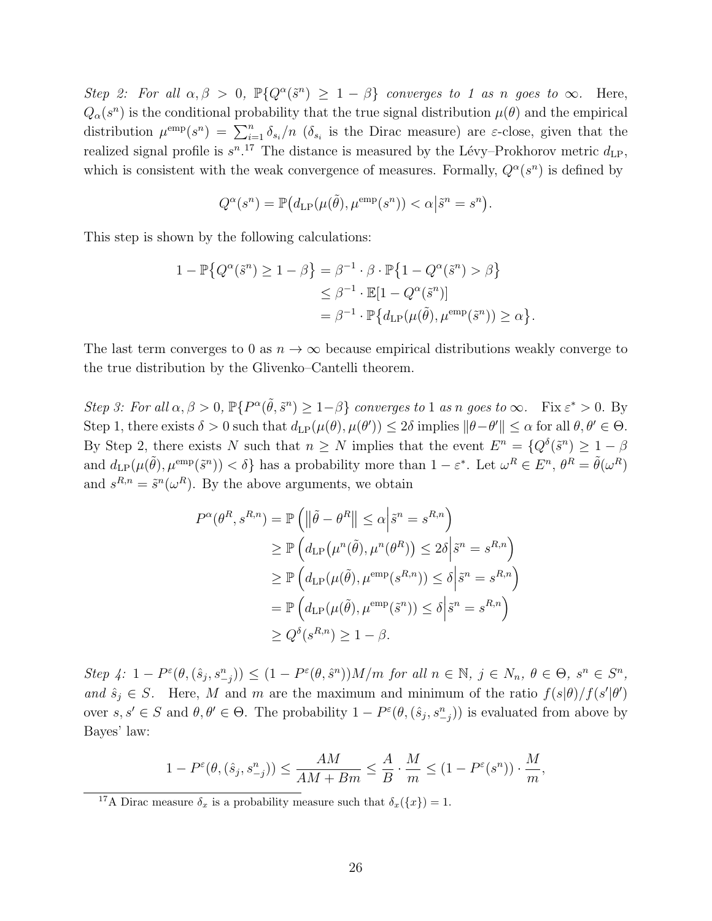Step 2: For all  $\alpha, \beta > 0$ ,  $\mathbb{P}\{Q^{\alpha}(\tilde{s}^n) \geq 1-\beta\}$  converges to 1 as n goes to  $\infty$ . Here,  $Q_{\alpha}(s^{n})$  is the conditional probability that the true signal distribution  $\mu(\theta)$  and the empirical distribution  $\mu^{\text{emp}}(s^n) = \sum_{i=1}^n \delta_{s_i}/n$  ( $\delta_{s_i}$  is the Dirac measure) are  $\varepsilon$ -close, given that the realized signal profile is  $s^{n}$ .<sup>17</sup> The distance is measured by the Lévy–Prokhorov metric  $d_{\text{LP}}$ , which is consistent with the weak convergence of measures. Formally,  $Q^{\alpha}(s^n)$  is defined by

$$
Q^{\alpha}(s^n) = \mathbb{P}(d_{\text{LP}}(\mu(\tilde{\theta}), \mu^{\text{emp}}(s^n)) < \alpha \big| \tilde{s}^n = s^n \big).
$$

This step is shown by the following calculations:

$$
1 - \mathbb{P}\{Q^{\alpha}(\tilde{s}^{n}) \ge 1 - \beta\} = \beta^{-1} \cdot \beta \cdot \mathbb{P}\{1 - Q^{\alpha}(\tilde{s}^{n}) > \beta\}
$$
  

$$
\le \beta^{-1} \cdot \mathbb{E}[1 - Q^{\alpha}(\tilde{s}^{n})]
$$
  

$$
= \beta^{-1} \cdot \mathbb{P}\{d_{\text{LP}}(\mu(\tilde{\theta}), \mu^{\text{emp}}(\tilde{s}^{n})) \ge \alpha\}.
$$

The last term converges to 0 as  $n \to \infty$  because empirical distributions weakly converge to the true distribution by the Glivenko–Cantelli theorem.

Step 3: For all  $\alpha, \beta > 0$ ,  $\mathbb{P}\{P^{\alpha}(\tilde{\theta}, \tilde{s}^n) \geq 1-\beta\}$  converges to 1 as n goes to  $\infty$ . Fix  $\varepsilon^* > 0$ . By Step 1, there exists  $\delta > 0$  such that  $d_{LP}(\mu(\theta), \mu(\theta')) \leq 2\delta$  implies  $\|\theta - \theta'\| \leq \alpha$  for all  $\theta, \theta' \in \Theta$ . By Step 2, there exists N such that  $n \geq N$  implies that the event  $E^n = \{Q^{\delta}(\tilde{s}^n) \geq 1 - \beta\}$ and  $d_{\text{LP}}(\mu(\tilde{\theta}), \mu^{\text{emp}}(\tilde{s}^n)) < \delta$  has a probability more than  $1 - \varepsilon^*$ . Let  $\omega^R \in E^n$ ,  $\theta^R = \tilde{\theta}(\omega^R)$ and  $s^{R,n} = \tilde{s}^n(\omega^R)$ . By the above arguments, we obtain

$$
P^{\alpha}(\theta^{R}, s^{R,n}) = \mathbb{P}\left(\left\|\tilde{\theta} - \theta^{R}\right\| \leq \alpha \left|\tilde{s}^{n} = s^{R,n}\right.\right)
$$
  
\n
$$
\geq \mathbb{P}\left(d_{\text{LP}}\left(\mu^{n}(\tilde{\theta}), \mu^{n}(\theta^{R})\right) \leq 2\delta \left|\tilde{s}^{n} = s^{R,n}\right.\right)
$$
  
\n
$$
\geq \mathbb{P}\left(d_{\text{LP}}(\mu(\tilde{\theta}), \mu^{\text{emp}}(s^{R,n})) \leq \delta \left|\tilde{s}^{n} = s^{R,n}\right.\right)
$$
  
\n
$$
= \mathbb{P}\left(d_{\text{LP}}(\mu(\tilde{\theta}), \mu^{\text{emp}}(\tilde{s}^{n})) \leq \delta \left|\tilde{s}^{n} = s^{R,n}\right.\right)
$$
  
\n
$$
\geq Q^{\delta}(s^{R,n}) \geq 1 - \beta.
$$

 $Step \ \n\{A: 1 - P^{\varepsilon}(\theta, (\hat{s}_j, s_{-j}^n)) \leq (1 - P^{\varepsilon}(\theta, \hat{s}^n)) M/m \ \nfor \ all \ n \in \mathbb{N}, \ j \in N_n, \ \theta \in \Theta, \ s^n \in S^n,$ and  $\hat{s}_j \in S$ . Here, M and m are the maximum and minimum of the ratio  $f(s|\theta)/f(s'|\theta')$ over  $s, s' \in S$  and  $\theta, \theta' \in \Theta$ . The probability  $1 - P^{\varepsilon}(\theta, (\hat{s}_j, s_{-j}^n))$  is evaluated from above by Bayes' law:

$$
1 - P^{\varepsilon}(\theta, (\hat{s}_j, s^n_{-j})) \le \frac{AM}{AM + Bm} \le \frac{A}{B} \cdot \frac{M}{m} \le (1 - P^{\varepsilon}(s^n)) \cdot \frac{M}{m},
$$

<sup>17</sup>A Dirac measure  $\delta_x$  is a probability measure such that  $\delta_x({x}) = 1$ .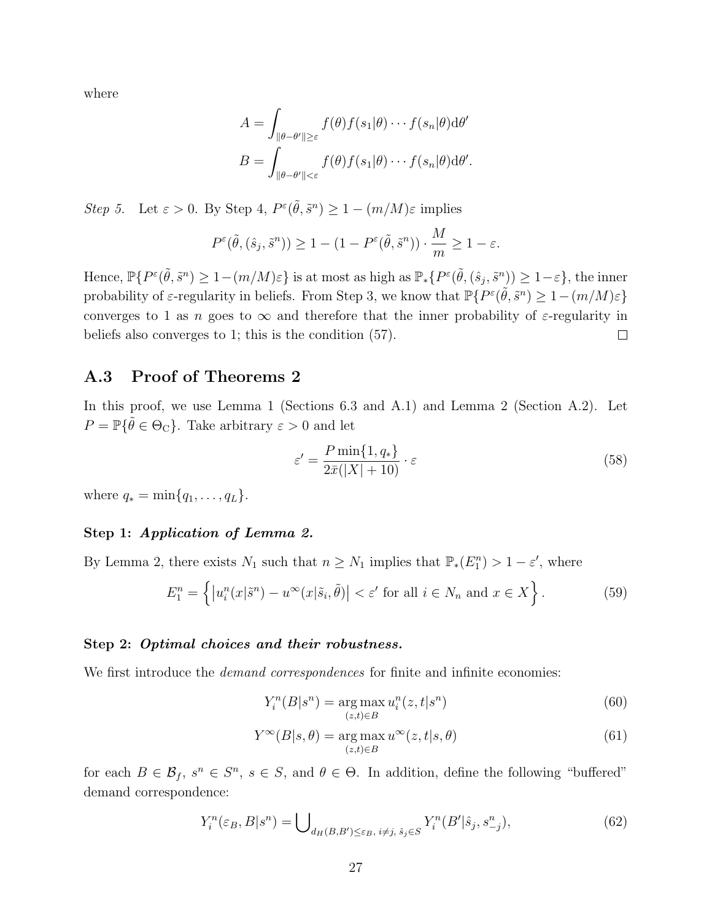where

$$
A = \int_{\|\theta - \theta'\| \geq \varepsilon} f(\theta) f(s_1|\theta) \cdots f(s_n|\theta) d\theta'
$$

$$
B = \int_{\|\theta - \theta'\| < \varepsilon} f(\theta) f(s_1|\theta) \cdots f(s_n|\theta) d\theta'.
$$

Step 5. Let  $\varepsilon > 0$ . By Step 4,  $P^{\varepsilon}(\tilde{\theta}, \tilde{s}^n) \geq 1 - (m/M)\varepsilon$  implies

$$
P^{\varepsilon}(\tilde{\theta},(\hat{s}_j,\tilde{s}^n)) \ge 1 - (1 - P^{\varepsilon}(\tilde{\theta},\tilde{s}^n)) \cdot \frac{M}{m} \ge 1 - \varepsilon.
$$

Hence,  $\mathbb{P}\{P^{\varepsilon}(\tilde{\theta},\tilde{s}^n) \geq 1 - (m/M)\varepsilon\}$  is at most as high as  $\mathbb{P}_*\{P^{\varepsilon}(\tilde{\theta},(\hat{s}_j,\tilde{s}^n)) \geq 1-\varepsilon\}$ , the inner probability of  $\varepsilon$ -regularity in beliefs. From Step 3, we know that  $\mathbb{P}\{P^{\varepsilon}(\tilde{\theta},\tilde{s}^n) \geq 1 - (m/M)\varepsilon\}$ converges to 1 as n goes to  $\infty$  and therefore that the inner probability of  $\varepsilon$ -regularity in beliefs also converges to 1; this is the condition (57).  $\Box$ 

### A.3 Proof of Theorems 2

In this proof, we use Lemma 1 (Sections 6.3 and A.1) and Lemma 2 (Section A.2). Let  $P = \mathbb{P}\{\tilde{\theta} \in \Theta_{\mathcal{C}}\}$ . Take arbitrary  $\varepsilon > 0$  and let

$$
\varepsilon' = \frac{P \min\{1, q_*\}}{2\bar{x}(|X| + 10)} \cdot \varepsilon \tag{58}
$$

where  $q_* = \min\{q_1, \ldots, q_L\}.$ 

### Step 1: Application of Lemma 2.

By Lemma 2, there exists  $N_1$  such that  $n \ge N_1$  implies that  $\mathbb{P}_*(E_1^n) > 1 - \varepsilon'$ , where

$$
E_1^n = \left\{ \left| u_i^n(x|\tilde{s}^n) - u^\infty(x|\tilde{s}_i, \tilde{\theta}) \right| < \varepsilon' \text{ for all } i \in N_n \text{ and } x \in X \right\}. \tag{59}
$$

#### Step 2: Optimal choices and their robustness.

We first introduce the *demand correspondences* for finite and infinite economies:

$$
Y_i^n(B|s^n) = \underset{(z,t)\in B}{\text{arg}\max} u_i^n(z,t|s^n)
$$
\n
$$
(60)
$$

$$
Y^{\infty}(B|s,\theta) = \underset{(z,t)\in B}{\arg\max} u^{\infty}(z,t|s,\theta)
$$
\n(61)

for each  $B \in \mathcal{B}_f$ ,  $s^n \in S^n$ ,  $s \in S$ , and  $\theta \in \Theta$ . In addition, define the following "buffered" demand correspondence:

$$
Y_i^n(\varepsilon_B, B|s^n) = \bigcup_{d_H(B, B') \le \varepsilon_B, i \ne j, \ s_j \in S} Y_i^n(B'|s_j, s^n_{-j}),\tag{62}
$$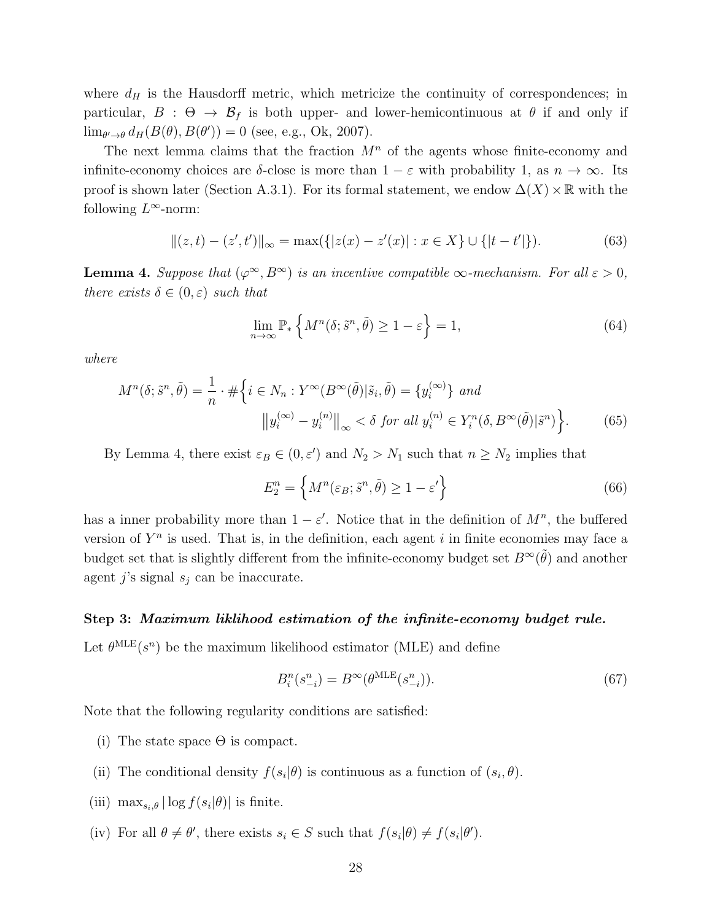where  $d_H$  is the Hausdorff metric, which metricize the continuity of correspondences; in particular,  $B : \Theta \to \mathcal{B}_f$  is both upper- and lower-hemicontinuous at  $\theta$  if and only if  $\lim_{\theta' \to \theta} d_H(B(\theta), B(\theta')) = 0$  (see, e.g., Ok, 2007).

The next lemma claims that the fraction  $M<sup>n</sup>$  of the agents whose finite-economy and infinite-economy choices are  $\delta$ -close is more than  $1 - \varepsilon$  with probability 1, as  $n \to \infty$ . Its proof is shown later (Section A.3.1). For its formal statement, we endow  $\Delta(X) \times \mathbb{R}$  with the following  $L^{\infty}$ -norm:

$$
||(z,t) - (z',t')||_{\infty} = \max(\{|z(x) - z'(x)| : x \in X\} \cup \{|t - t'|\}).
$$
\n(63)

**Lemma 4.** Suppose that  $(\varphi^{\infty}, B^{\infty})$  is an incentive compatible  $\infty$ -mechanism. For all  $\varepsilon > 0$ , there exists  $\delta \in (0, \varepsilon)$  such that

$$
\lim_{n \to \infty} \mathbb{P}_* \left\{ M^n(\delta; \tilde{s}^n, \tilde{\theta}) \ge 1 - \varepsilon \right\} = 1,\tag{64}
$$

where

$$
M^{n}(\delta; \tilde{s}^{n}, \tilde{\theta}) = \frac{1}{n} \cdot \# \left\{ i \in N_{n} : Y^{\infty}(B^{\infty}(\tilde{\theta}) | \tilde{s}_{i}, \tilde{\theta}) = \{ y_{i}^{(\infty)} \} \text{ and }
$$

$$
\left\| y_{i}^{(\infty)} - y_{i}^{(n)} \right\|_{\infty} < \delta \text{ for all } y_{i}^{(n)} \in Y_{i}^{n}(\delta, B^{\infty}(\tilde{\theta}) | \tilde{s}^{n}) \right\}.
$$
 (65)

By Lemma 4, there exist  $\varepsilon_B \in (0, \varepsilon')$  and  $N_2 > N_1$  such that  $n \ge N_2$  implies that

$$
E_2^n = \left\{ M^n(\varepsilon_B; \tilde{s}^n, \tilde{\theta}) \ge 1 - \varepsilon' \right\} \tag{66}
$$

has a inner probability more than  $1 - \varepsilon'$ . Notice that in the definition of  $M^n$ , the buffered version of  $Y<sup>n</sup>$  is used. That is, in the definition, each agent i in finite economies may face a budget set that is slightly different from the infinite-economy budget set  $B^{\infty}(\tilde{\theta})$  and another agent j's signal  $s_i$  can be inaccurate.

#### Step 3: Maximum liklihood estimation of the infinite-economy budget rule.

Let  $\theta^{\text{MLE}}(s^n)$  be the maximum likelihood estimator (MLE) and define

$$
B_i^n(s_{-i}^n) = B^\infty(\theta^{\text{MLE}}(s_{-i}^n)).
$$
\n(67)

Note that the following regularity conditions are satisfied:

- (i) The state space  $\Theta$  is compact.
- (ii) The conditional density  $f(s_i|\theta)$  is continuous as a function of  $(s_i, \theta)$ .
- (iii)  $\max_{s_i, \theta} |\log f(s_i|\theta)|$  is finite.
- (iv) For all  $\theta \neq \theta'$ , there exists  $s_i \in S$  such that  $f(s_i|\theta) \neq f(s_i|\theta')$ .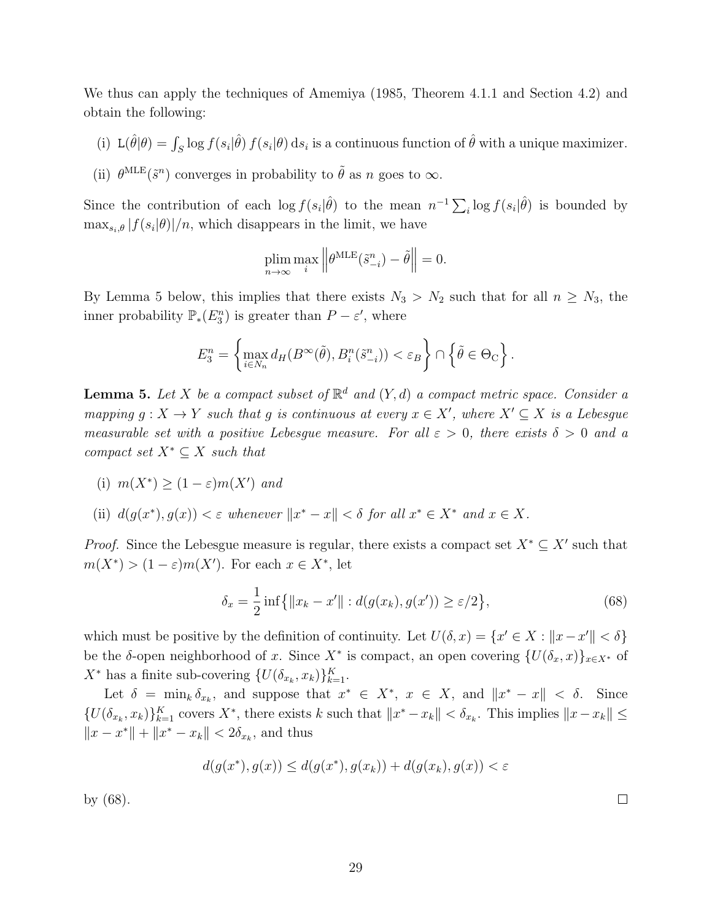We thus can apply the techniques of Amemiya (1985, Theorem 4.1.1 and Section 4.2) and obtain the following:

- (i)  $\mathcal{L}(\hat{\theta}|\theta) = \int_S \log f(s_i|\hat{\theta}) f(s_i|\theta) ds_i$  is a continuous function of  $\hat{\theta}$  with a unique maximizer.
- (ii)  $\theta^{\text{MLE}}(\tilde{s}^n)$  converges in probability to  $\tilde{\theta}$  as n goes to  $\infty$ .

Since the contribution of each  $\log f(s_i|\hat{\theta})$  to the mean  $n^{-1}\sum_i \log f(s_i|\hat{\theta})$  is bounded by  $\max_{s_i, \theta} |f(s_i|\theta)|/n$ , which disappears in the limit, we have

$$
\plim_{n \to \infty} \max_{i} \left\| \theta^{\text{MLE}}(\tilde{s}^n_{-i}) - \tilde{\theta} \right\| = 0.
$$

By Lemma 5 below, this implies that there exists  $N_3 > N_2$  such that for all  $n \ge N_3$ , the inner probability  $\mathbb{P}_*(E_3^n)$  is greater than  $P - \varepsilon'$ , where

$$
E_3^n = \left\{ \max_{i \in N_n} d_H(B^{\infty}(\tilde{\theta}), B_i^n(\tilde{s}_{-i}^n)) < \varepsilon_B \right\} \cap \left\{ \tilde{\theta} \in \Theta_{\mathcal{C}} \right\}.
$$

**Lemma 5.** Let X be a compact subset of  $\mathbb{R}^d$  and  $(Y,d)$  a compact metric space. Consider a mapping  $g: X \to Y$  such that g is continuous at every  $x \in X'$ , where  $X' \subseteq X$  is a Lebesgue measurable set with a positive Lebesgue measure. For all  $\varepsilon > 0$ , there exists  $\delta > 0$  and a compact set  $X^* \subseteq X$  such that

(i) 
$$
m(X^*) \ge (1 - \varepsilon)m(X')
$$
 and

(ii)  $d(g(x^*), g(x)) < \varepsilon$  whenever  $||x^* - x|| < \delta$  for all  $x^* \in X^*$  and  $x \in X$ .

*Proof.* Since the Lebesgue measure is regular, there exists a compact set  $X^* \subseteq X'$  such that  $m(X^*) > (1 - \varepsilon) m(X')$ . For each  $x \in X^*$ , let

$$
\delta_x = \frac{1}{2} \inf \{ \|x_k - x'\| : d(g(x_k), g(x')) \ge \varepsilon/2 \},\tag{68}
$$

which must be positive by the definition of continuity. Let  $U(\delta, x) = \{x' \in X : ||x - x'|| < \delta\}$ be the δ-open neighborhood of x. Since  $X^*$  is compact, an open covering  $\{U(\delta_x, x)\}_{x \in X^*}$  of  $X^*$  has a finite sub-covering  $\{U(\delta_{x_k}, x_k)\}_{k=1}^K$ .

Let  $\delta = \min_k \delta_{x_k}$ , and suppose that  $x^* \in X^*$ ,  $x \in X$ , and  $||x^* - x|| < \delta$ . Since  $\{U(\delta_{x_k}, x_k)\}_{k=1}^K$  covers  $X^*$ , there exists k such that  $||x^* - x_k|| < \delta_{x_k}$ . This implies  $||x - x_k|| \le$  $||x - x^*|| + ||x^* - x_k|| < 2\delta_{x_k}$ , and thus

$$
d(g(x^*), g(x)) \leq d(g(x^*), g(x_k)) + d(g(x_k), g(x)) < \varepsilon
$$

by (68).

 $\Box$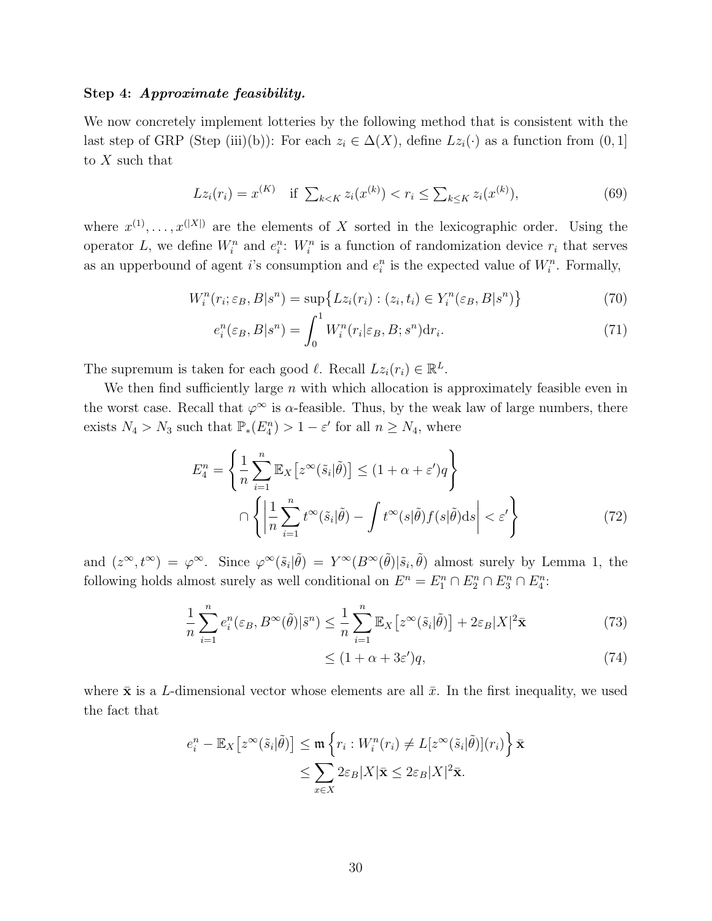#### Step 4: Approximate feasibility.

We now concretely implement lotteries by the following method that is consistent with the last step of GRP (Step (iii)(b)): For each  $z_i \in \Delta(X)$ , define  $Lz_i(\cdot)$  as a function from  $(0, 1]$ to  $X$  such that

$$
Lz_i(r_i) = x^{(K)} \quad \text{if } \sum_{k < K} z_i(x^{(k)}) < r_i \le \sum_{k \le K} z_i(x^{(k)}), \tag{69}
$$

where  $x^{(1)}, \ldots, x^{(|X|)}$  are the elements of X sorted in the lexicographic order. Using the operator L, we define  $W_i^n$  and  $e_i^n$ :  $W_i^n$  is a function of randomization device  $r_i$  that serves as an upperbound of agent *i*'s consumption and  $e_i^n$  is the expected value of  $W_i^n$ . Formally,

$$
W_i^n(r_i; \varepsilon_B, B|s^n) = \sup \{ Lz_i(r_i) : (z_i, t_i) \in Y_i^n(\varepsilon_B, B|s^n) \}
$$
(70)

$$
e_i^n(\varepsilon_B, B|s^n) = \int_0^1 W_i^n(r_i|\varepsilon_B, B; s^n) \mathrm{d}r_i. \tag{71}
$$

The supremum is taken for each good  $\ell$ . Recall  $Lz_i(r_i) \in \mathbb{R}^L$ .

We then find sufficiently large  $n$  with which allocation is approximately feasible even in the worst case. Recall that  $\varphi^{\infty}$  is  $\alpha$ -feasible. Thus, by the weak law of large numbers, there exists  $N_4 > N_3$  such that  $\mathbb{P}_*(E_4^n) > 1 - \varepsilon'$  for all  $n \ge N_4$ , where

$$
E_4^n = \left\{ \frac{1}{n} \sum_{i=1}^n \mathbb{E}_X \left[ z^{\infty}(\tilde{s}_i | \tilde{\theta}) \right] \le (1 + \alpha + \varepsilon')q \right\}
$$

$$
\cap \left\{ \left| \frac{1}{n} \sum_{i=1}^n t^{\infty}(\tilde{s}_i | \tilde{\theta}) - \int t^{\infty}(s | \tilde{\theta}) f(s | \tilde{\theta}) ds \right| < \varepsilon' \right\}
$$
(72)

and  $(z^{\infty}, t^{\infty}) = \varphi^{\infty}$ . Since  $\varphi^{\infty}(\tilde{s}_i|\tilde{\theta}) = Y^{\infty}(B^{\infty}(\tilde{\theta})|\tilde{s}_i, \tilde{\theta})$  almost surely by Lemma 1, the following holds almost surely as well conditional on  $E^n = E_1^n \cap E_2^n \cap E_3^n \cap E_4^n$ :

$$
\frac{1}{n}\sum_{i=1}^{n}e_{i}^{n}(\varepsilon_{B},B^{\infty}(\tilde{\theta})|\tilde{s}^{n}) \leq \frac{1}{n}\sum_{i=1}^{n}\mathbb{E}_{X}\left[z^{\infty}(\tilde{s}_{i}|\tilde{\theta})\right] + 2\varepsilon_{B}|X|^{2}\bar{\mathbf{x}}\tag{73}
$$

$$
\leq (1 + \alpha + 3\varepsilon')q,\tag{74}
$$

where  $\bar{\mathbf{x}}$  is a L-dimensional vector whose elements are all  $\bar{x}$ . In the first inequality, we used the fact that

$$
e_i^n - \mathbb{E}_X \big[ z^{\infty}(\tilde{s}_i | \tilde{\theta}) \big] \leq \mathfrak{m} \left\{ r_i : W_i^n(r_i) \neq L[z^{\infty}(\tilde{s}_i | \tilde{\theta})](r_i) \right\} \bar{\mathbf{x}} \leq \sum_{x \in X} 2\varepsilon_B |X| \bar{\mathbf{x}} \leq 2\varepsilon_B |X|^2 \bar{\mathbf{x}}.
$$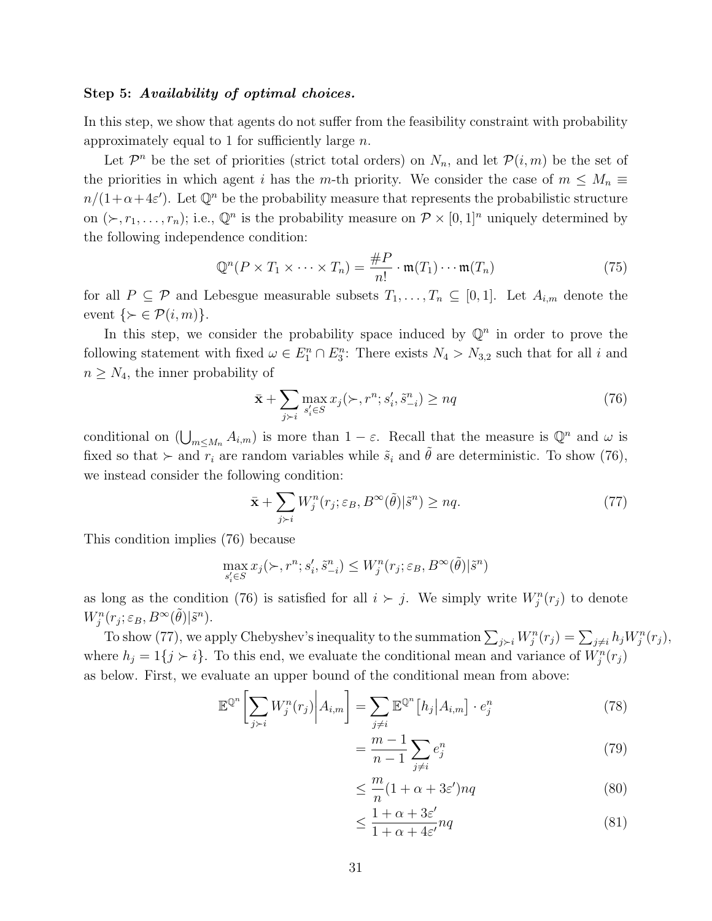#### Step 5: Availability of optimal choices.

In this step, we show that agents do not suffer from the feasibility constraint with probability approximately equal to 1 for sufficiently large  $n$ .

Let  $\mathcal{P}^n$  be the set of priorities (strict total orders) on  $N_n$ , and let  $\mathcal{P}(i,m)$  be the set of the priorities in which agent i has the m-th priority. We consider the case of  $m \leq M_n \equiv$  $n/(1+\alpha+4\varepsilon')$ . Let  $\mathbb{Q}^n$  be the probability measure that represents the probabilistic structure on  $(\succ, r_1, \ldots, r_n)$ ; i.e.,  $\mathbb{Q}^n$  is the probability measure on  $\mathcal{P} \times [0, 1]^n$  uniquely determined by the following independence condition:

$$
\mathbb{Q}^n(P \times T_1 \times \dots \times T_n) = \frac{\#P}{n!} \cdot \mathfrak{m}(T_1) \cdots \mathfrak{m}(T_n)
$$
\n(75)

for all  $P \subseteq \mathcal{P}$  and Lebesgue measurable subsets  $T_1, \ldots, T_n \subseteq [0,1]$ . Let  $A_{i,m}$  denote the event  $\{ \succ \in \mathcal{P}(i,m) \}.$ 

In this step, we consider the probability space induced by  $\mathbb{Q}^n$  in order to prove the following statement with fixed  $\omega \in E_1^n \cap E_3^n$ : There exists  $N_4 > N_{3,2}$  such that for all i and  $n \geq N_4$ , the inner probability of

$$
\bar{\mathbf{x}} + \sum_{j>i} \max_{s'_i \in S} x_j(\succ, r^n; s'_i, \tilde{s}_{-i}^n) \ge nq
$$
\n
$$
(76)
$$

conditional on  $(\bigcup_{m \leq M_n} A_{i,m})$  is more than  $1 - \varepsilon$ . Recall that the measure is  $\mathbb{Q}^n$  and  $\omega$  is fixed so that  $\succ$  and  $r_i$  are random variables while  $\tilde{s}_i$  and  $\tilde{\theta}$  are deterministic. To show (76), we instead consider the following condition:

$$
\bar{\mathbf{x}} + \sum_{j \succ i} W_j^n(r_j; \varepsilon_B, B^\infty(\tilde{\theta}) | \tilde{s}^n) \ge nq. \tag{77}
$$

This condition implies (76) because

$$
\max_{s'_i \in S} x_j(\succ, r^n; s'_i, \tilde{s}^n_{-i}) \le W_j^n(r_j; \varepsilon_B, B^\infty(\tilde{\theta}) | \tilde{s}^n)
$$

as long as the condition (76) is satisfied for all  $i \succ j$ . We simply write  $W_j^n(r_j)$  to denote  $W_j^n(r_j; \varepsilon_B, B^{\infty}(\tilde{\theta}) | \tilde{s}^n)$ .

To show (77), we apply Chebyshev's inequality to the summation  $\sum_{j\geq i}W_j^n(r_j)=\sum_{j\neq i}h_jW_j^n(r_j)$ , where  $h_j = 1\{j \succ i\}$ . To this end, we evaluate the conditional mean and variance of  $W_j^n(r_j)$ as below. First, we evaluate an upper bound of the conditional mean from above:

$$
\mathbb{E}^{\mathbb{Q}^n} \left[ \sum_{j \succ i} W_j^n(r_j) \middle| A_{i,m} \right] = \sum_{j \neq i} \mathbb{E}^{\mathbb{Q}^n} \left[ h_j \middle| A_{i,m} \right] \cdot e_j^n \tag{78}
$$

$$
=\frac{m-1}{n-1}\sum_{j\neq i}e_j^n\tag{79}
$$

$$
\leq \frac{m}{n}(1+\alpha+3\varepsilon')nq\tag{80}
$$

$$
\leq \frac{1+\alpha+3\varepsilon'}{1+\alpha+4\varepsilon'} nq \tag{81}
$$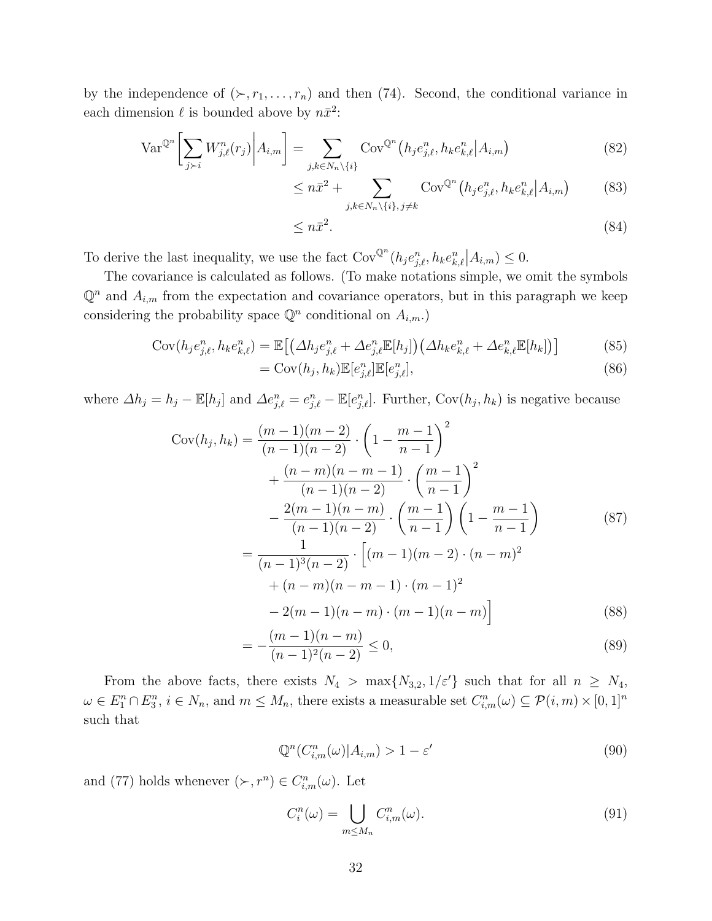by the independence of  $(\succ, r_1, \ldots, r_n)$  and then (74). Second, the conditional variance in each dimension  $\ell$  is bounded above by  $n\bar{x}^2$ :

$$
\text{Var}^{\mathbb{Q}^n} \left[ \sum_{j \succ i} W_{j,\ell}^n(r_j) \middle| A_{i,m} \right] = \sum_{j,k \in N_n \setminus \{i\}} \text{Cov}^{\mathbb{Q}^n} \left( h_j e_{j,\ell}^n, h_k e_{k,\ell}^n \middle| A_{i,m} \right) \tag{82}
$$

$$
\leq n\bar{x}^2 + \sum_{j,k \in N_n \setminus \{i\}, j \neq k} \text{Cov}^{\mathbb{Q}^n}(h_j e_{j,\ell}^n, h_k e_{k,\ell}^n | A_{i,m}) \tag{83}
$$

$$
\leq n\bar{x}^2. \tag{84}
$$

To derive the last inequality, we use the fact  $Cov^{\mathbb{Q}^n}(h_j e_{j,\ell}^n, h_k e_{k,\ell}^n | A_{i,m}) \leq 0$ .

The covariance is calculated as follows. (To make notations simple, we omit the symbols  $\mathbb{Q}^n$  and  $A_{i,m}$  from the expectation and covariance operators, but in this paragraph we keep considering the probability space  $\mathbb{Q}^n$  conditional on  $A_{i,m}$ .)

$$
Cov(h_j e_{j,\ell}^n, h_k e_{k,\ell}^n) = \mathbb{E}\left[\left(\Delta h_j e_{j,\ell}^n + \Delta e_{j,\ell}^n \mathbb{E}[h_j]\right)\left(\Delta h_k e_{k,\ell}^n + \Delta e_{k,\ell}^n \mathbb{E}[h_k]\right)\right]
$$
(85)

$$
= \text{Cov}(h_j, h_k) \mathbb{E}[e_{j,\ell}^n] \mathbb{E}[e_{j,\ell}^n],\tag{86}
$$

where  $\Delta h_j = h_j - \mathbb{E}[h_j]$  and  $\Delta e_{j,\ell}^n = e_{j,\ell}^n - \mathbb{E}[e_{j,\ell}^n]$ . Further,  $Cov(h_j, h_k)$  is negative because

$$
Cov(h_j, h_k) = \frac{(m-1)(m-2)}{(n-1)(n-2)} \cdot \left(1 - \frac{m-1}{n-1}\right)^2
$$
  
+ 
$$
\frac{(n-m)(n-m-1)}{(n-1)(n-2)} \cdot \left(\frac{m-1}{n-1}\right)^2
$$
  
- 
$$
\frac{2(m-1)(n-m)}{(n-1)(n-2)} \cdot \left(\frac{m-1}{n-1}\right) \left(1 - \frac{m-1}{n-1}\right)
$$
  
= 
$$
\frac{1}{(n-1)^3(n-2)} \cdot \left[(m-1)(m-2) \cdot (n-m)^2 + (n-m)(n-m-1) \cdot (m-1)^2 - 2(m-1)(n-m) \cdot (m-1)(n-m)\right]
$$
(88)

$$
=-\frac{(m-1)(n-m)}{(n-1)^2(n-2)} \le 0,
$$
\n(89)

From the above facts, there exists  $N_4 > \max\{N_{3,2}, 1/\varepsilon'\}$  such that for all  $n \ge N_4$ ,  $\omega \in E_1^n \cap E_3^n$ ,  $i \in N_n$ , and  $m \leq M_n$ , there exists a measurable set  $C_{i,m}^n(\omega) \subseteq \mathcal{P}(i,m) \times [0,1]^n$ such that

$$
\mathbb{Q}^n(C^n_{i,m}(\omega)|A_{i,m}) > 1 - \varepsilon'
$$
\n(90)

and (77) holds whenever  $(\succ, r^n) \in C^n_{i,m}(\omega)$ . Let

$$
C_i^n(\omega) = \bigcup_{m \le M_n} C_{i,m}^n(\omega). \tag{91}
$$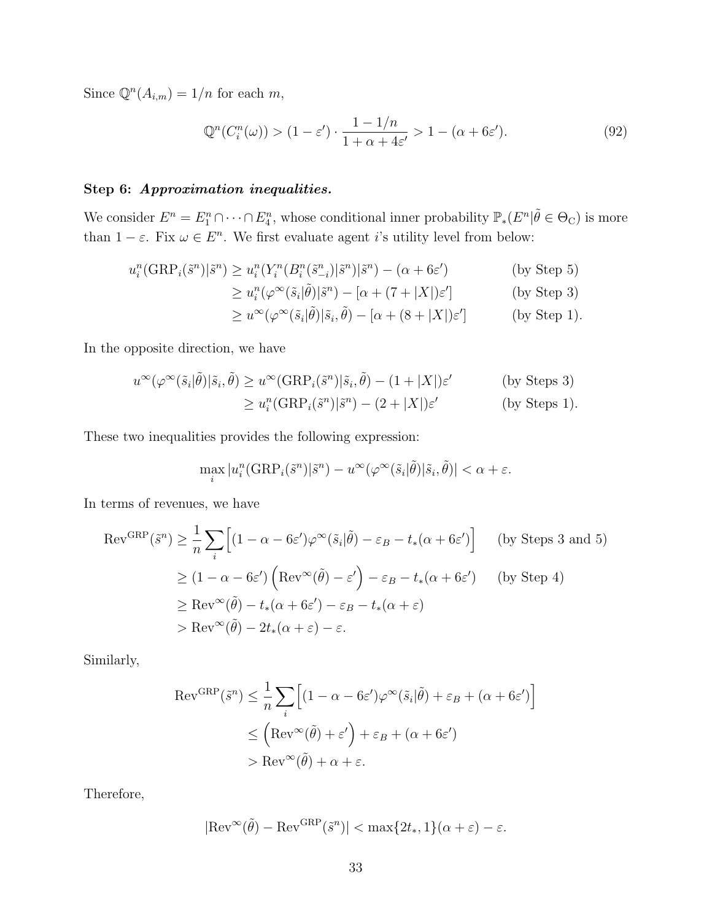Since  $\mathbb{Q}^n(A_{i,m}) = 1/n$  for each m,

$$
\mathbb{Q}^n(C_i^n(\omega)) > (1 - \varepsilon') \cdot \frac{1 - 1/n}{1 + \alpha + 4\varepsilon'} > 1 - (\alpha + 6\varepsilon'). \tag{92}
$$

# Step 6: Approximation inequalities.

We consider  $E^n = E_1^n \cap \cdots \cap E_4^n$ , whose conditional inner probability  $\mathbb{P}_*(E^n | \tilde{\theta} \in \Theta_{\mathbb{C}})$  is more than  $1 - \varepsilon$ . Fix  $\omega \in E^n$ . We first evaluate agent *i*'s utility level from below:

$$
u_i^n(\text{GRP}_i(\tilde{s}^n)|\tilde{s}^n) \ge u_i^n(Y_i^n(B_i^n(\tilde{s}_{-i}^n)|\tilde{s}^n)|\tilde{s}^n) - (\alpha + 6\varepsilon') \tag{by Step 5}
$$

$$
\geq u_i^n(\varphi^\infty(\tilde{s}_i|\tilde{\theta})|\tilde{s}^n) - [\alpha + (7+|X|)\varepsilon'] \qquad \text{(by Step 3)}
$$

$$
\geq u^{\infty}(\varphi^{\infty}(\tilde{s}_i|\tilde{\theta})|\tilde{s}_i,\tilde{\theta}) - [\alpha + (8+|X|)\varepsilon'] \qquad \text{(by Step 1)}.
$$

In the opposite direction, we have

$$
u^{\infty}(\varphi^{\infty}(\tilde{s}_i|\tilde{\theta})|\tilde{s}_i,\tilde{\theta}) \ge u^{\infty}(\text{GRP}_i(\tilde{s}^n)|\tilde{s}_i,\tilde{\theta}) - (1+|X|)\varepsilon' \qquad \text{(by Steps 3)}
$$
  

$$
\ge u_i^n(\text{GRP}_i(\tilde{s}^n)|\tilde{s}^n) - (2+|X|)\varepsilon' \qquad \text{(by Steps 1)}.
$$

These two inequalities provides the following expression:

$$
\max_{i}|u_i^n(\text{GRP}_i(\tilde{s}^n)|\tilde{s}^n) - u^\infty(\varphi^\infty(\tilde{s}_i|\tilde{\theta})|\tilde{s}_i, \tilde{\theta})| < \alpha + \varepsilon.
$$

In terms of revenues, we have

$$
\operatorname{Rev}^{\operatorname{GRP}}(\tilde{s}^n) \ge \frac{1}{n} \sum_{i} \left[ (1 - \alpha - 6\varepsilon') \varphi^{\infty}(\tilde{s}_i | \tilde{\theta}) - \varepsilon_B - t_*(\alpha + 6\varepsilon') \right] \quad \text{(by Steps 3 and 5)}
$$
  
\n
$$
\ge (1 - \alpha - 6\varepsilon') \left( \operatorname{Rev}^{\infty}(\tilde{\theta}) - \varepsilon' \right) - \varepsilon_B - t_*(\alpha + 6\varepsilon') \quad \text{(by Step 4)}
$$
  
\n
$$
\ge \operatorname{Rev}^{\infty}(\tilde{\theta}) - t_*(\alpha + 6\varepsilon') - \varepsilon_B - t_*(\alpha + \varepsilon)
$$
  
\n
$$
> \operatorname{Rev}^{\infty}(\tilde{\theta}) - 2t_*(\alpha + \varepsilon) - \varepsilon.
$$

Similarly,

$$
\text{Rev}^{\text{GRP}}(\tilde{s}^n) \leq \frac{1}{n} \sum_{i} \left[ (1 - \alpha - 6\varepsilon')\varphi^\infty(\tilde{s}_i | \tilde{\theta}) + \varepsilon_B + (\alpha + 6\varepsilon') \right]
$$
  

$$
\leq \left( \text{Rev}^\infty(\tilde{\theta}) + \varepsilon' \right) + \varepsilon_B + (\alpha + 6\varepsilon')
$$
  

$$
> \text{Rev}^\infty(\tilde{\theta}) + \alpha + \varepsilon.
$$

Therefore,

$$
|\text{Rev}^{\infty}(\tilde{\theta}) - \text{Rev}^{\text{GRP}}(\tilde{s}^n)| < \max\{2t_*, 1\}(\alpha + \varepsilon) - \varepsilon.
$$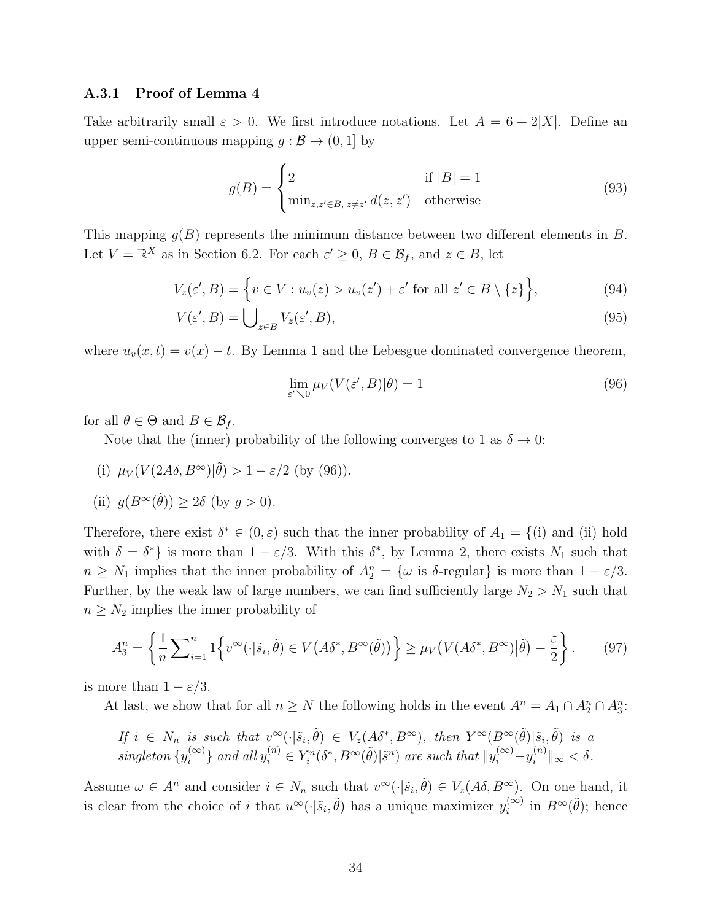### A.3.1 Proof of Lemma 4

Take arbitrarily small  $\varepsilon > 0$ . We first introduce notations. Let  $A = 6 + 2|X|$ . Define an upper semi-continuous mapping  $g : \mathcal{B} \to (0, 1]$  by

$$
g(B) = \begin{cases} 2 & \text{if } |B| = 1\\ \min_{z, z' \in B, z \neq z'} d(z, z') & \text{otherwise} \end{cases}
$$
(93)

This mapping  $q(B)$  represents the minimum distance between two different elements in B. Let  $V = \mathbb{R}^X$  as in Section 6.2. For each  $\varepsilon' \geq 0$ ,  $B \in \mathcal{B}_f$ , and  $z \in B$ , let

$$
V_z(\varepsilon', B) = \left\{ v \in V : u_v(z) > u_v(z') + \varepsilon' \text{ for all } z' \in B \setminus \{z\} \right\},\tag{94}
$$

$$
V(\varepsilon', B) = \bigcup_{z \in B} V_z(\varepsilon', B),\tag{95}
$$

where  $u_v(x, t) = v(x) - t$ . By Lemma 1 and the Lebesgue dominated convergence theorem,

$$
\lim_{\varepsilon' \searrow 0} \mu_V(V(\varepsilon', B)|\theta) = 1
$$
\n(96)

for all  $\theta \in \Theta$  and  $B \in \mathcal{B}_f$ .

Note that the (inner) probability of the following converges to 1 as  $\delta \to 0$ :

(i)  $\mu_V(V(2A\delta, B^{\infty})|\tilde{\theta}) > 1 - \varepsilon/2$  (by (96)).

(ii) 
$$
g(B^{\infty}(\tilde{\theta})) \ge 2\delta
$$
 (by  $g > 0$ ).

Therefore, there exist  $\delta^* \in (0, \varepsilon)$  such that the inner probability of  $A_1 = \{(\text{i}) \text{ and } (\text{ii}) \text{ hold}\}$ with  $\delta = \delta^*$  is more than  $1 - \varepsilon/3$ . With this  $\delta^*$ , by Lemma 2, there exists  $N_1$  such that  $n \geq N_1$  implies that the inner probability of  $A_2^n = {\omega$  is  $\delta$ -regular} is more than  $1 - \varepsilon/3$ . Further, by the weak law of large numbers, we can find sufficiently large  $N_2 > N_1$  such that  $n \geq N_2$  implies the inner probability of

$$
A_3^n = \left\{ \frac{1}{n} \sum_{i=1}^n 1 \left\{ v^\infty(\cdot | \tilde{s}_i, \tilde{\theta}) \in V\left(A\delta^*, B^\infty(\tilde{\theta})\right) \right\} \ge \mu_V\left(V(A\delta^*, B^\infty)|\tilde{\theta}\right) - \frac{\varepsilon}{2} \right\}.
$$
 (97)

is more than  $1 - \varepsilon/3$ .

At last, we show that for all  $n \geq N$  the following holds in the event  $A^n = A_1 \cap A_2^n \cap A_3^n$ :

If 
$$
i \in N_n
$$
 is such that  $v^{\infty}(\cdot|\tilde{s}_i, \tilde{\theta}) \in V_z(A\delta^*, B^{\infty})$ , then  $Y^{\infty}(B^{\infty}(\tilde{\theta})|\tilde{s}_i, \tilde{\theta})$  is a  
singleton  $\{y_i^{(\infty)}\}$  and all  $y_i^{(n)} \in Y_i^n(\delta^*, B^{\infty}(\tilde{\theta})|\tilde{s}^n)$  are such that  $||y_i^{(\infty)} - y_i^{(n)}||_{\infty} < \delta$ .

Assume  $\omega \in A^n$  and consider  $i \in N_n$  such that  $v^{\infty}(\cdot | \tilde{s}_i, \tilde{\theta}) \in V_z(A\delta, B^{\infty})$ . On one hand, it is clear from the choice of i that  $u^{\infty}(\cdot|\tilde{s}_i, \tilde{\theta})$  has a unique maximizer  $y_i^{(\infty)}$  $i^{(\infty)}$  in  $B^{\infty}(\tilde{\theta})$ ; hence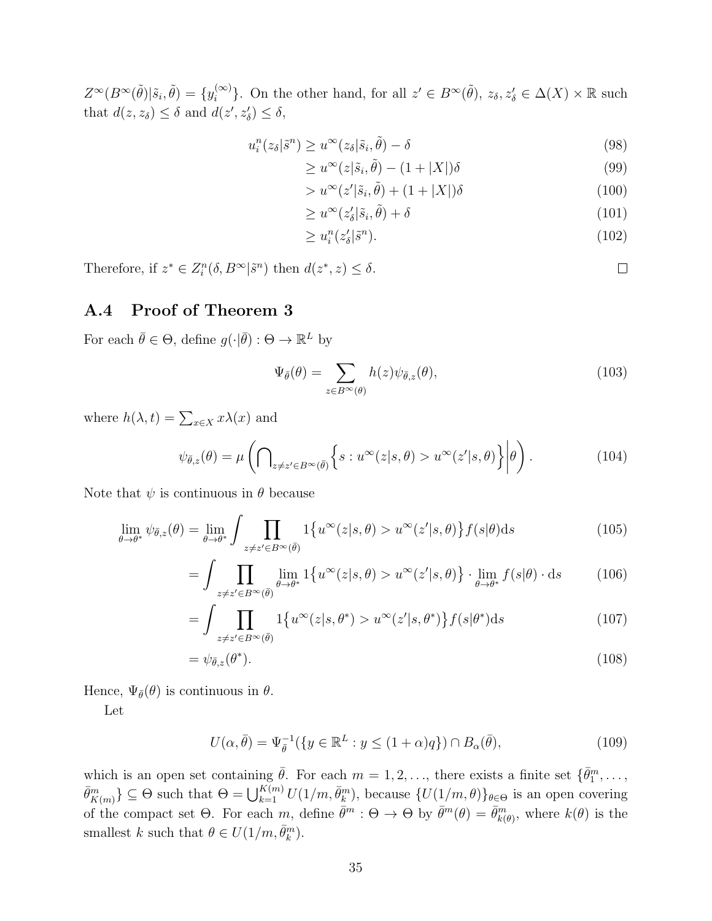$Z^{\infty}(B^{\infty}(\tilde{\theta})|\tilde{s}_i,\tilde{\theta}) = \{y_i^{(\infty)}\}$  $\{a^{(\infty)}\}$ . On the other hand, for all  $z' \in B^{\infty}(\tilde{\theta})$ ,  $z_{\delta}, z'_{\delta} \in \Delta(X) \times \mathbb{R}$  such that  $d(z, z_{\delta}) \leq \delta$  and  $d(z', z'_{\delta}) \leq \delta$ ,

$$
u_i^n(z_\delta|\tilde{s}^n) \ge u^\infty(z_\delta|\tilde{s}_i, \tilde{\theta}) - \delta \tag{98}
$$

$$
\geq u^{\infty}(z|\tilde{s}_i, \tilde{\theta}) - (1+|X|)\delta \tag{99}
$$

$$
> u^{\infty}(z'|\tilde{s}_i, \tilde{\theta}) + (1 + |X|)\delta \tag{100}
$$

$$
\geq u^{\infty}(z_{\delta}'|\tilde{s}_i, \tilde{\theta}) + \delta \tag{101}
$$

$$
\geq u_i^n(z_\delta'|\tilde{s}^n). \tag{102}
$$

Therefore, if  $z^* \in Z_i^n(\delta, B^{\infty} | \tilde{s}^n)$  then  $d(z^*, z) \leq \delta$ .

# A.4 Proof of Theorem 3

For each  $\bar{\theta} \in \Theta$ , define  $g(\cdot | \bar{\theta}) : \Theta \to \mathbb{R}^L$  by

$$
\Psi_{\bar{\theta}}(\theta) = \sum_{z \in B^{\infty}(\theta)} h(z) \psi_{\bar{\theta},z}(\theta), \qquad (103)
$$

where  $h(\lambda, t) = \sum_{x \in X} x\lambda(x)$  and

$$
\psi_{\bar{\theta},z}(\theta) = \mu \left( \bigcap_{z \neq z' \in B^{\infty}(\bar{\theta})} \left\{ s : u^{\infty}(z|s,\theta) > u^{\infty}(z'|s,\theta) \right\} \middle| \theta \right). \tag{104}
$$

Note that  $\psi$  is continuous in  $\theta$  because

$$
\lim_{\theta \to \theta^*} \psi_{\bar{\theta},z}(\theta) = \lim_{\theta \to \theta^*} \int \prod_{z \neq z' \in B^{\infty}(\bar{\theta})} 1\{u^{\infty}(z|s,\theta) > u^{\infty}(z'|s,\theta)\} f(s|\theta) ds \tag{105}
$$

$$
= \int \prod_{z \neq z' \in B^{\infty}(\bar{\theta})} \lim_{\theta \to \theta^*} 1\{u^{\infty}(z|s,\theta) > u^{\infty}(z'|s,\theta)\} \cdot \lim_{\theta \to \theta^*} f(s|\theta) \cdot ds \tag{106}
$$

$$
= \int \prod_{z \neq z' \in B^{\infty}(\bar{\theta})} 1\{u^{\infty}(z|s,\theta^*) > u^{\infty}(z'|s,\theta^*)\} f(s|\theta^*) ds \tag{107}
$$

$$
=\psi_{\bar{\theta},z}(\theta^*).
$$
\n(108)

Hence,  $\Psi_{\bar{\theta}}(\theta)$  is continuous in  $\theta$ .

Let

$$
U(\alpha, \bar{\theta}) = \Psi_{\bar{\theta}}^{-1}(\{y \in \mathbb{R}^L : y \le (1 + \alpha)q\}) \cap B_{\alpha}(\bar{\theta}), \tag{109}
$$

which is an open set containing  $\bar{\theta}$ . For each  $m = 1, 2, \ldots$ , there exists a finite set  $\{\bar{\theta}_1^m, \ldots, \}$  $\bar{\theta}_{K(m)}^m$ }  $\subseteq \Theta$  such that  $\Theta = \bigcup_{k=1}^{K(m)} U(1/m, \bar{\theta}_k^m)$ , because  $\{U(1/m, \theta)\}_{\theta \in \Theta}$  is an open covering of the compact set  $\Theta$ . For each m, define  $\bar{\theta}^m$ :  $\Theta \to \Theta$  by  $\bar{\theta}^m(\theta) = \bar{\theta}^m_{k(\theta)}$ , where  $k(\theta)$  is the smallest k such that  $\theta \in U(1/m, \bar{\theta}_k^m)$ .

 $\Box$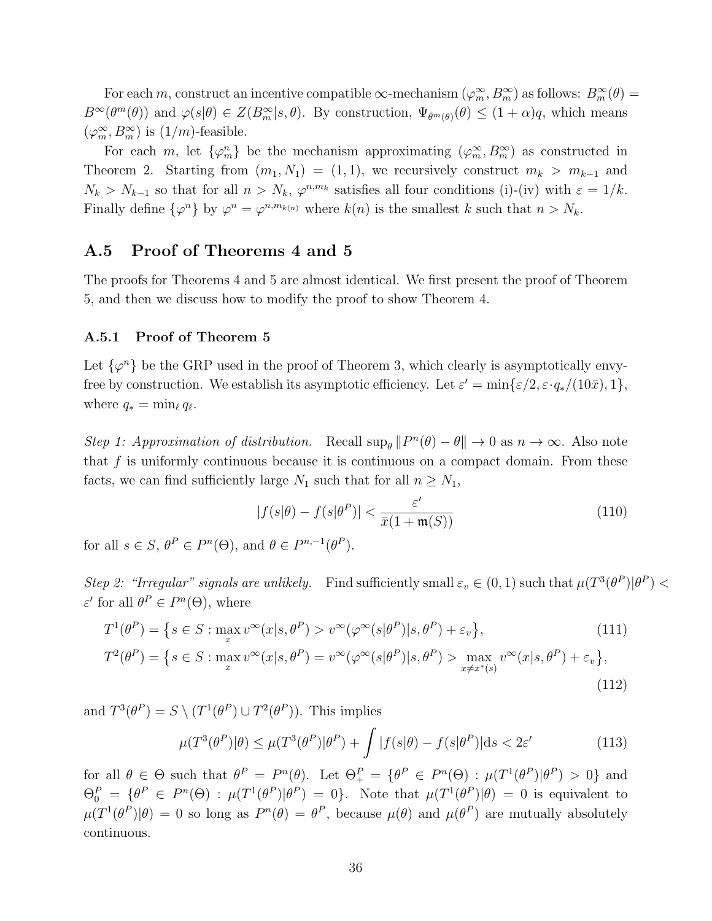For each m, construct an incentive compatible  $\infty$ -mechanism  $(\varphi_m^{\infty}, B_m^{\infty})$  as follows:  $B_m^{\infty}(\theta) =$  $B^{\infty}(\theta^m(\theta))$  and  $\varphi(s|\theta) \in Z(B_m^{\infty}|s,\theta)$ . By construction,  $\Psi_{\bar{\theta}^m(\theta)}(\theta) \leq (1+\alpha)q$ , which means  $(\varphi_m^\infty, B_m^\infty)$  is  $(1/m)\mbox{-\sf feasible}.$ 

For each m, let  $\{\varphi_m^n\}$  be the mechanism approximating  $(\varphi_m^\infty, B_m^\infty)$  as constructed in Theorem 2. Starting from  $(m_1, N_1) = (1, 1)$ , we recursively construct  $m_k > m_{k-1}$  and  $N_k > N_{k-1}$  so that for all  $n > N_k$ ,  $\varphi^{n,m_k}$  satisfies all four conditions (i)-(iv) with  $\varepsilon = 1/k$ . Finally define  $\{\varphi^n\}$  by  $\varphi^n = \varphi^{n,m_{k(n)}}$  where  $k(n)$  is the smallest k such that  $n > N_k$ .

# A.5 Proof of Theorems 4 and 5

The proofs for Theorems 4 and 5 are almost identical. We first present the proof of Theorem 5, and then we discuss how to modify the proof to show Theorem 4.

#### A.5.1 Proof of Theorem 5

Let  $\{\varphi^n\}$  be the GRP used in the proof of Theorem 3, which clearly is asymptotically envyfree by construction. We establish its asymptotic efficiency. Let  $\varepsilon' = \min\{\varepsilon/2, \varepsilon \cdot q_*/(10\bar{x}), 1\},\$ where  $q_* = \min_{\ell} q_{\ell}$ .

Step 1: Approximation of distribution. Recall  $\sup_{\theta} ||P^n(\theta) - \theta|| \to 0$  as  $n \to \infty$ . Also note that  $f$  is uniformly continuous because it is continuous on a compact domain. From these facts, we can find sufficiently large  $N_1$  such that for all  $n \geq N_1$ ,

$$
|f(s|\theta) - f(s|\theta^P)| < \frac{\varepsilon'}{\bar{x}(1 + \mathfrak{m}(S))} \tag{110}
$$

for all  $s \in S$ ,  $\theta^P \in P^n(\Theta)$ , and  $\theta \in P^{n,-1}(\theta^P)$ .

Step 2: "Irregular" signals are unlikely. Find sufficiently small  $\varepsilon_v \in (0,1)$  such that  $\mu(T^3(\theta^P)|\theta^P)$  $\varepsilon'$  for all  $\theta^P \in P^n(\Theta)$ , where

$$
T^{1}(\theta^{P}) = \{ s \in S : \max_{x} v^{\infty}(x|s, \theta^{P}) > v^{\infty}(\varphi^{\infty}(s|\theta^{P})|s, \theta^{P}) + \varepsilon_{v} \},
$$
\n(111)

$$
T^{2}(\theta^{P}) = \{ s \in S : \max_{x} v^{\infty}(x|s,\theta^{P}) = v^{\infty}(\varphi^{\infty}(s|\theta^{P})|s,\theta^{P}) > \max_{x \neq x^{*}(s)} v^{\infty}(x|s,\theta^{P}) + \varepsilon_{v} \},
$$
\n(112)

and  $T^3(\theta^P) = S \setminus (T^1(\theta^P) \cup T^2(\theta^P))$ . This implies

$$
\mu(T^3(\theta^P)|\theta) \le \mu(T^3(\theta^P)|\theta^P) + \int |f(s|\theta) - f(s|\theta^P)|ds < 2\varepsilon' \tag{113}
$$

for all  $\theta \in \Theta$  such that  $\theta^P = P^n(\theta)$ . Let  $\Theta^P_+ = {\theta^P \in P^n(\Theta) : \mu(T^1(\theta^P)|\theta^P) > 0}$  and  $\Theta_0^P = \{\theta^P \in P^n(\Theta) : \mu(T^1(\theta^P)|\theta^P) = 0\}.$  Note that  $\mu(T^1(\theta^P)|\theta) = 0$  is equivalent to  $\mu(T^1(\theta^P)|\theta) = 0$  so long as  $P^n(\theta) = \theta^P$ , because  $\mu(\theta)$  and  $\mu(\theta^P)$  are mutually absolutely continuous.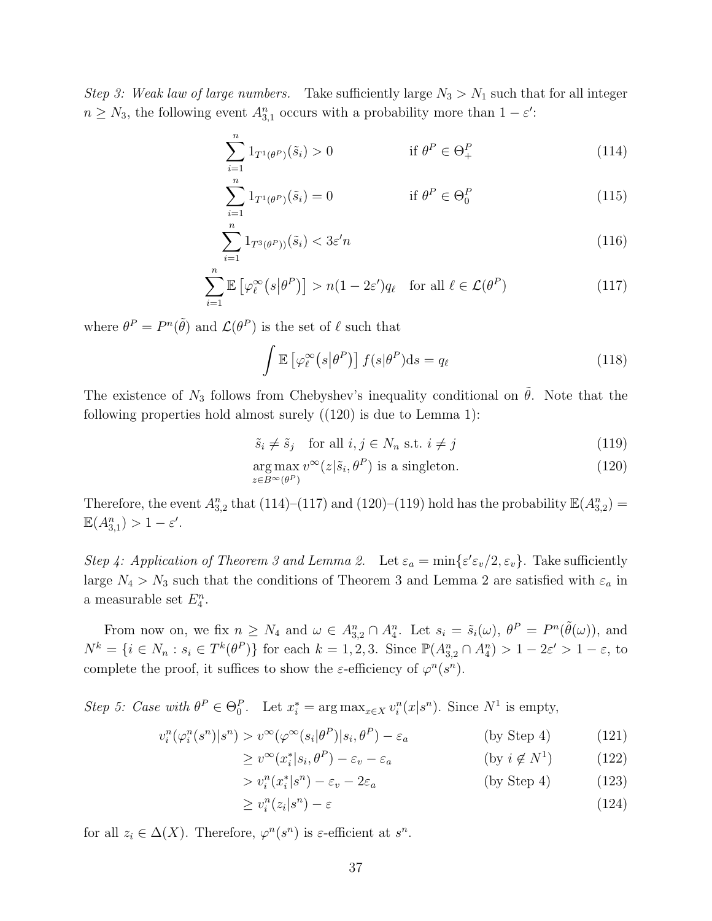Step 3: Weak law of large numbers. Take sufficiently large  $N_3 > N_1$  such that for all integer  $n \geq N_3$ , the following event  $A_{3,1}^n$  occurs with a probability more than  $1 - \varepsilon'$ :

$$
\sum_{i=1}^{n} 1_{T^{1}(\theta^{P})}(\tilde{s}_{i}) > 0 \qquad \text{if } \theta^{P} \in \Theta_{+}^{P} \qquad (114)
$$

$$
\sum_{i=1}^{n} 1_{T^{1}(\theta^{P})}(\tilde{s}_{i}) = 0 \qquad \text{if } \theta^{P} \in \Theta_{0}^{P} \qquad (115)
$$

$$
\sum_{i=1}^{n} 1_{T^{3}(\theta^{P})^{i}}(\tilde{s}_{i}) < 3\varepsilon' n \tag{116}
$$

$$
\sum_{i=1}^{n} \mathbb{E} \left[ \varphi_{\ell}^{\infty} \left( s | \theta^{P} \right) \right] > n(1 - 2\varepsilon') q_{\ell} \quad \text{for all } \ell \in \mathcal{L}(\theta^{P})
$$
 (117)

where  $\theta^P = P^n(\tilde{\theta})$  and  $\mathcal{L}(\theta^P)$  is the set of  $\ell$  such that

$$
\int \mathbb{E}\left[\varphi_{\ell}^{\infty}\left(s|\theta^{P}\right)\right]f(s|\theta^{P})\mathrm{d}s = q_{\ell} \tag{118}
$$

The existence of  $N_3$  follows from Chebyshev's inequality conditional on  $\tilde{\theta}$ . Note that the following properties hold almost surely  $((120)$  is due to Lemma 1):

$$
\tilde{s}_i \neq \tilde{s}_j \quad \text{for all } i, j \in N_n \text{ s.t. } i \neq j \tag{119}
$$

$$
\underset{z \in B^{\infty}(\theta^P)}{\arg \max} \, v^{\infty}(z|\tilde{s}_i, \theta^P) \text{ is a singleton.}
$$
 (120)

Therefore, the event  $A_{3,2}^n$  that (114)–(117) and (120)–(119) hold has the probability  $\mathbb{E}(A_{3,2}^n)$  =  $\mathbb{E}(A_{3,1}^n) > 1 - \varepsilon'.$ 

Step 4: Application of Theorem 3 and Lemma 2. Let  $\varepsilon_a = \min\{\varepsilon' \varepsilon_v/2, \varepsilon_v\}$ . Take sufficiently large  $N_4 > N_3$  such that the conditions of Theorem 3 and Lemma 2 are satisfied with  $\varepsilon_a$  in a measurable set  $E_4^n$ .

From now on, we fix  $n \geq N_4$  and  $\omega \in A_{3,2}^n \cap A_4^n$ . Let  $s_i = \tilde{s}_i(\omega)$ ,  $\theta^P = P^n(\tilde{\theta}(\omega))$ , and  $N^k = \{i \in N_n : s_i \in T^k(\theta^P)\}\$ for each  $k = 1, 2, 3$ . Since  $\mathbb{P}(A_{3,2}^n \cap A_4^n) > 1 - 2\varepsilon' > 1 - \varepsilon$ , to complete the proof, it suffices to show the  $\varepsilon$ -efficiency of  $\varphi^n(s^n)$ .

Step 5: Case with  $\theta^P \in \Theta_0^P$ . Let  $x_i^* = \arg \max_{x \in X} v_i^n(x|s^n)$ . Since  $N^1$  is empty,

$$
v_i^n(\varphi_i^n(s^n)|s^n) > v^\infty(\varphi^\infty(s_i|\theta^P)|s_i, \theta^P) - \varepsilon_a \tag{121}
$$

$$
\geq v^{\infty}(x_i^* | s_i, \theta^P) - \varepsilon_v - \varepsilon_a \qquad \qquad (\text{by } i \notin N^1) \tag{122}
$$

$$
> v_i^n(x_i^*|s^n) - \varepsilon_v - 2\varepsilon_a \tag{123}
$$

$$
\geq v_i^n(z_i|s^n) - \varepsilon \tag{124}
$$

for all  $z_i \in \Delta(X)$ . Therefore,  $\varphi^n(s^n)$  is  $\varepsilon$ -efficient at  $s^n$ .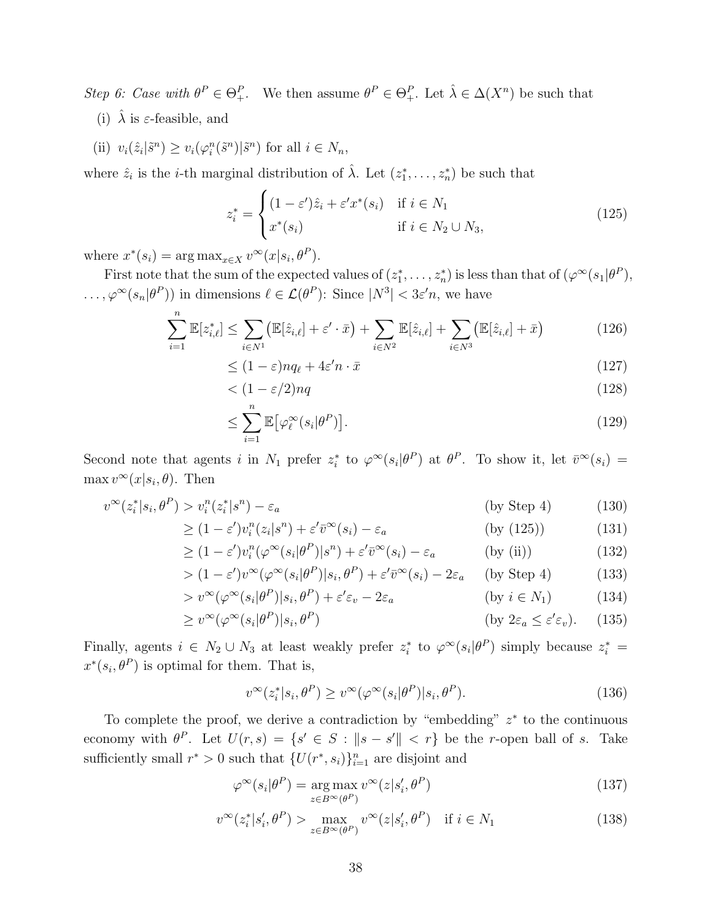Step 6: Case with  $\theta^P \in \Theta^P_+$ . We then assume  $\theta^P \in \Theta^P_+$ . Let  $\hat{\lambda} \in \Delta(X^n)$  be such that

- (i)  $\lambda$  is  $\varepsilon$ -feasible, and
- (ii)  $v_i(\hat{z}_i|\tilde{s}^n) \ge v_i(\varphi_i^n(\tilde{s}^n)|\tilde{s}^n)$  for all  $i \in N_n$ ,

where  $\hat{z}_i$  is the *i*-th marginal distribution of  $\hat{\lambda}$ . Let  $(z_1^*, \ldots, z_n^*)$  be such that

$$
z_i^* = \begin{cases} (1 - \varepsilon')\hat{z}_i + \varepsilon' x^*(s_i) & \text{if } i \in N_1 \\ x^*(s_i) & \text{if } i \in N_2 \cup N_3, \end{cases}
$$
(125)

where  $x^*(s_i) = \arg \max_{x \in X} v^\infty(x|s_i, \theta^P)$ .

First note that the sum of the expected values of  $(z_1^*, \ldots, z_n^*)$  is less than that of  $(\varphi^{\infty}(s_1 | \theta^P),$  $\ldots, \varphi^{\infty}(s_n|\theta^P)$  in dimensions  $\ell \in \mathcal{L}(\theta^P)$ : Since  $|N^3| < 3\varepsilon'n$ , we have

$$
\sum_{i=1}^{n} \mathbb{E}[z_{i,\ell}^*] \le \sum_{i \in N^1} (\mathbb{E}[\hat{z}_{i,\ell}] + \varepsilon' \cdot \bar{x}) + \sum_{i \in N^2} \mathbb{E}[\hat{z}_{i,\ell}] + \sum_{i \in N^3} (\mathbb{E}[\hat{z}_{i,\ell}] + \bar{x})
$$
(126)

$$
\leq (1 - \varepsilon) n q_{\ell} + 4\varepsilon' n \cdot \bar{x} \tag{127}
$$

$$
\langle (1 - \varepsilon/2)nq \tag{128}
$$

$$
\leq \sum_{i=1}^{n} \mathbb{E}\big[\varphi_{\ell}^{\infty}(s_i|\theta^P)\big].\tag{129}
$$

Second note that agents i in  $N_1$  prefer  $z_i^*$  to  $\varphi^{\infty}(s_i|\theta^P)$  at  $\theta^P$ . To show it, let  $\bar{v}^{\infty}(s_i)$  =  $\max v^{\infty}(x|s_i, \theta)$ . Then

$$
v^{\infty}(z_i^*|s_i, \theta^P) > v_i^n(z_i^*|s^n) - \varepsilon_a \tag{130}
$$

$$
\geq (1 - \varepsilon')v_i^n(z_i|s^n) + \varepsilon'\bar{v}^\infty(s_i) - \varepsilon_a \qquad \qquad \text{(by (125))} \tag{131}
$$

$$
\geq (1 - \varepsilon')v_i^n(\varphi^\infty(s_i|\theta^P)|s^n) + \varepsilon'\bar{v}^\infty(s_i) - \varepsilon_a \qquad \text{(by (ii))} \tag{132}
$$

$$
> (1 - \varepsilon')v^{\infty}(\varphi^{\infty}(s_i|\theta^P)|s_i, \theta^P) + \varepsilon'\bar{v}^{\infty}(s_i) - 2\varepsilon_a \quad \text{(by Step 4)}\tag{133}
$$

$$
> v^{\infty}(\varphi^{\infty}(s_i|\theta^P)|s_i, \theta^P) + \varepsilon' \varepsilon_v - 2\varepsilon_a \qquad \qquad (\text{by } i \in N_1)
$$
 (134)

$$
\geq v^{\infty}(\varphi^{\infty}(s_i|\theta^P)|s_i, \theta^P) \tag{135}
$$

Finally, agents  $i \in N_2 \cup N_3$  at least weakly prefer  $z_i^*$  to  $\varphi^{\infty}(s_i|\theta^P)$  simply because  $z_i^*$  $x^*(s_i, \theta^P)$  is optimal for them. That is,

$$
v^{\infty}(z_i^*|s_i, \theta^P) \ge v^{\infty}(\varphi^{\infty}(s_i|\theta^P)|s_i, \theta^P). \tag{136}
$$

To complete the proof, we derive a contradiction by "embedding"  $z^*$  to the continuous economy with  $\theta^P$ . Let  $U(r,s) = \{s' \in S : ||s - s'|| < r\}$  be the r-open ball of s. Take sufficiently small  $r^* > 0$  such that  $\{U(r^*, s_i)\}_{i=1}^n$  are disjoint and

$$
\varphi^{\infty}(s_i|\theta^P) = \underset{z \in B^{\infty}(\theta^P)}{\arg \max} v^{\infty}(z|s'_i, \theta^P)
$$
\n(137)

$$
v^{\infty}(z_i^* | s_i', \theta^P) > \max_{z \in B^{\infty}(\theta^P)} v^{\infty}(z | s_i', \theta^P) \quad \text{if } i \in N_1
$$
 (138)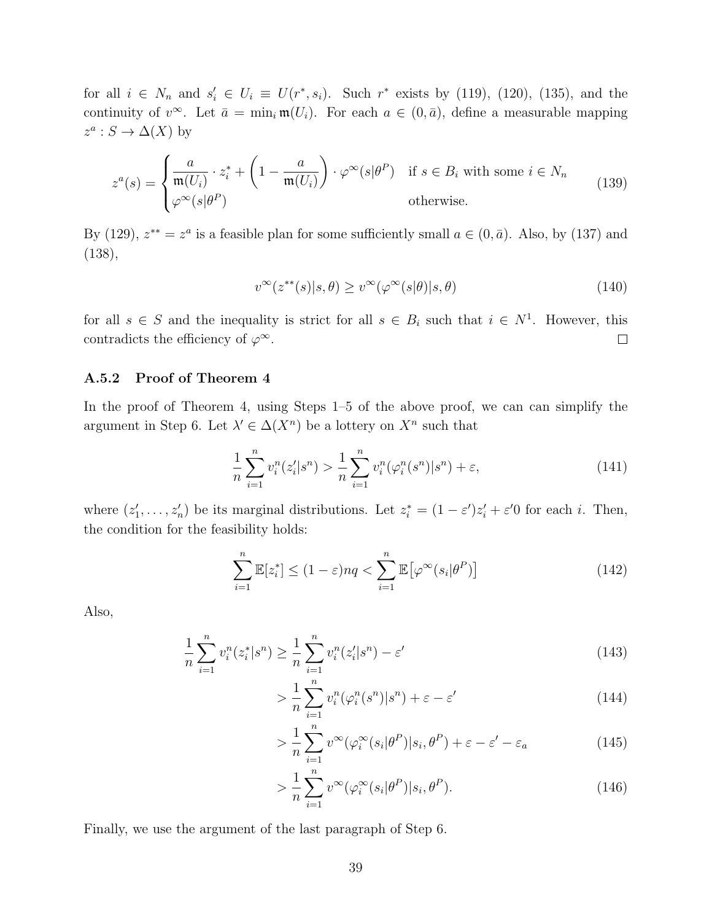for all  $i \in N_n$  and  $s'_i \in U_i \equiv U(r^*, s_i)$ . Such  $r^*$  exists by (119), (120), (135), and the continuity of  $v^{\infty}$ . Let  $\bar{a} = \min_i \mathfrak{m}(U_i)$ . For each  $a \in (0, \bar{a})$ , define a measurable mapping  $z^a: S \to \Delta(X)$  by

$$
z^{a}(s) = \begin{cases} \frac{a}{\mathfrak{m}(U_{i})} \cdot z_{i}^{*} + \left(1 - \frac{a}{\mathfrak{m}(U_{i})}\right) \cdot \varphi^{\infty}(s|\theta^{P}) & \text{if } s \in B_{i} \text{ with some } i \in N_{n} \\ \varphi^{\infty}(s|\theta^{P}) & \text{otherwise.} \end{cases}
$$
(139)

By (129),  $z^{**} = z^a$  is a feasible plan for some sufficiently small  $a \in (0, \bar{a})$ . Also, by (137) and (138),

$$
v^{\infty}(z^{**}(s)|s,\theta) \ge v^{\infty}(\varphi^{\infty}(s|\theta)|s,\theta)
$$
\n(140)

for all  $s \in S$  and the inequality is strict for all  $s \in B_i$  such that  $i \in N^1$ . However, this contradicts the efficiency of  $\varphi^{\infty}$ .  $\Box$ 

### A.5.2 Proof of Theorem 4

In the proof of Theorem 4, using Steps 1–5 of the above proof, we can can simplify the argument in Step 6. Let  $\lambda' \in \Delta(X^n)$  be a lottery on  $X^n$  such that

$$
\frac{1}{n}\sum_{i=1}^{n}v_i^n(z_i'|s^n) > \frac{1}{n}\sum_{i=1}^{n}v_i^n(\varphi_i^n(s^n)|s^n) + \varepsilon,\tag{141}
$$

where  $(z'_1, \ldots, z'_n)$  be its marginal distributions. Let  $z_i^* = (1 - \varepsilon')z'_i + \varepsilon'0$  for each i. Then, the condition for the feasibility holds:

$$
\sum_{i=1}^{n} \mathbb{E}[z_i^*] \le (1 - \varepsilon) nq < \sum_{i=1}^{n} \mathbb{E}[\varphi^\infty(s_i | \theta^P)] \tag{142}
$$

Also,

$$
\frac{1}{n}\sum_{i=1}^{n}v_i^n(z_i^*|s^n) \ge \frac{1}{n}\sum_{i=1}^{n}v_i^n(z_i'|s^n) - \varepsilon'
$$
\n(143)

$$
> \frac{1}{n} \sum_{i=1}^{n} v_i^n (\varphi_i^n(s^n) | s^n) + \varepsilon - \varepsilon' \tag{144}
$$

$$
> \frac{1}{n} \sum_{i=1}^{n} v^{\infty} (\varphi_i^{\infty}(s_i | \theta^P) | s_i, \theta^P) + \varepsilon - \varepsilon' - \varepsilon_a \tag{145}
$$

$$
> \frac{1}{n} \sum_{i=1}^{n} v^{\infty} (\varphi_i^{\infty}(s_i | \theta^P) | s_i, \theta^P).
$$
\n(146)

Finally, we use the argument of the last paragraph of Step 6.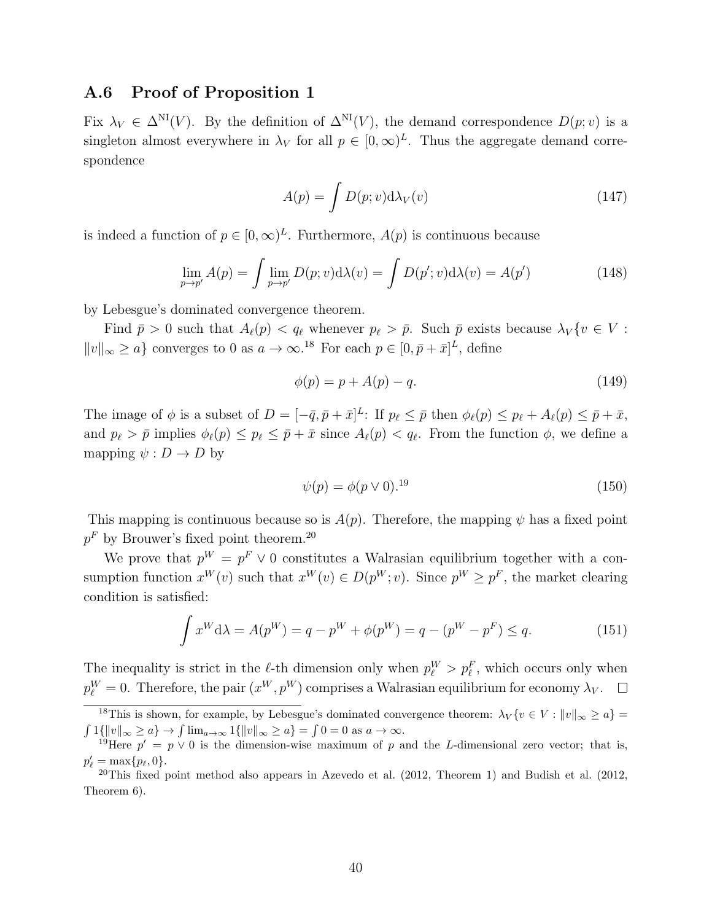### A.6 Proof of Proposition 1

Fix  $\lambda_V \in \Delta^{\text{NI}}(V)$ . By the definition of  $\Delta^{\text{NI}}(V)$ , the demand correspondence  $D(p; v)$  is a singleton almost everywhere in  $\lambda_V$  for all  $p \in [0,\infty)^L$ . Thus the aggregate demand correspondence

$$
A(p) = \int D(p; v) \mathrm{d}\lambda_V(v) \tag{147}
$$

is indeed a function of  $p \in [0,\infty)^L$ . Furthermore,  $A(p)$  is continuous because

$$
\lim_{p \to p'} A(p) = \int \lim_{p \to p'} D(p; v) d\lambda(v) = \int D(p'; v) d\lambda(v) = A(p')
$$
\n(148)

by Lebesgue's dominated convergence theorem.

Find  $\bar{p} > 0$  such that  $A_{\ell}(p) < q_{\ell}$  whenever  $p_{\ell} > \bar{p}$ . Such  $\bar{p}$  exists because  $\lambda_V \{v \in V :$  $||v||_{\infty} \ge a$ } converges to 0 as  $a \to \infty$ .<sup>18</sup> For each  $p \in [0, \bar{p} + \bar{x}]^L$ , define

$$
\phi(p) = p + A(p) - q.\tag{149}
$$

The image of  $\phi$  is a subset of  $D = [-\bar{q}, \bar{p} + \bar{x}]^L$ : If  $p_{\ell} \leq \bar{p}$  then  $\phi_{\ell}(p) \leq p_{\ell} + A_{\ell}(p) \leq \bar{p} + \bar{x}$ , and  $p_\ell > \bar{p}$  implies  $\phi_\ell(p) \leq p_\ell \leq \bar{p} + \bar{x}$  since  $A_\ell(p) < q_\ell$ . From the function  $\phi$ , we define a mapping  $\psi : D \to D$  by

$$
\psi(p) = \phi(p \lor 0).^{19} \tag{150}
$$

This mapping is continuous because so is  $A(p)$ . Therefore, the mapping  $\psi$  has a fixed point  $p<sup>F</sup>$  by Brouwer's fixed point theorem.<sup>20</sup>

We prove that  $p^W = p^F \vee 0$  constitutes a Walrasian equilibrium together with a consumption function  $x^W(v)$  such that  $x^W(v) \in D(p^W; v)$ . Since  $p^W \geq p^F$ , the market clearing condition is satisfied:

$$
\int x^{W} d\lambda = A(p^{W}) = q - p^{W} + \phi(p^{W}) = q - (p^{W} - p^{F}) \leq q.
$$
 (151)

The inequality is strict in the  $\ell$ -th dimension only when  $p_{\ell}^{W} > p_{\ell}^{F}$ , which occurs only when  $p_{\ell}^{W} = 0$ . Therefore, the pair  $(x^{W}, p^{W})$  comprises a Walrasian equilibrium for economy  $\lambda_{V}$ .

<sup>&</sup>lt;sup>18</sup>This is shown, for example, by Lebesgue's dominated convergence theorem:  $\lambda_V \{v \in V : ||v||_{\infty} \ge a\} =$  $\int 1{\{\Vert v\Vert_{\infty} \ge a\}} \to \int \lim_{a\to\infty} 1{\{\Vert v\Vert_{\infty} \ge a\}} = \int 0 = 0$  as  $a \to \infty$ .

<sup>&</sup>lt;sup>19</sup>Here  $p' = p \vee 0$  is the dimension-wise maximum of p and the L-dimensional zero vector; that is,  $p'_{\ell} = \max\{p_{\ell}, 0\}.$ 

<sup>&</sup>lt;sup>20</sup>This fixed point method also appears in Azevedo et al.  $(2012,$  Theorem 1) and Budish et al.  $(2012,$ Theorem 6).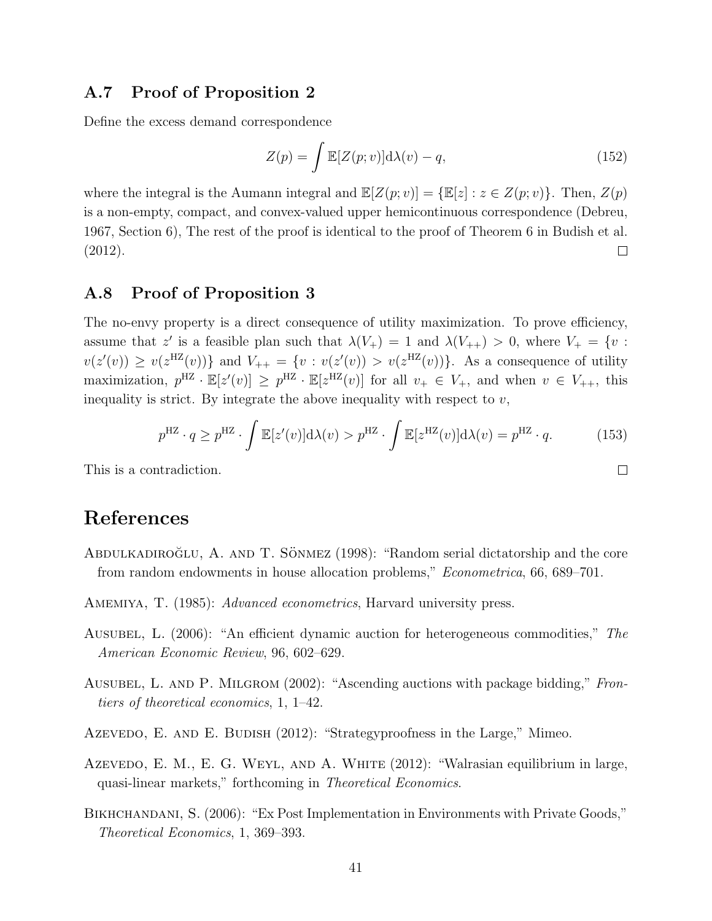# A.7 Proof of Proposition 2

Define the excess demand correspondence

$$
Z(p) = \int \mathbb{E}[Z(p; v)] d\lambda(v) - q,
$$
\n(152)

where the integral is the Aumann integral and  $\mathbb{E}[Z(p; v)] = \{\mathbb{E}[z] : z \in Z(p; v)\}\$ . Then,  $Z(p)$ is a non-empty, compact, and convex-valued upper hemicontinuous correspondence (Debreu, 1967, Section 6), The rest of the proof is identical to the proof of Theorem 6 in Budish et al. (2012).  $\Box$ 

# A.8 Proof of Proposition 3

The no-envy property is a direct consequence of utility maximization. To prove efficiency, assume that z' is a feasible plan such that  $\lambda(V_+) = 1$  and  $\lambda(V_{++}) > 0$ , where  $V_+ = \{v :$  $v(z'(v)) \geq v(z^{HZ}(v))\}$  and  $V_{++} = \{v : v(z'(v)) > v(z^{HZ}(v))\}$ . As a consequence of utility maximization,  $p^{HZ} \cdot \mathbb{E}[z'(v)] \geq p^{HZ} \cdot \mathbb{E}[z^{HZ}(v)]$  for all  $v_+ \in V_+$ , and when  $v \in V_{++}$ , this inequality is strict. By integrate the above inequality with respect to  $v$ ,

$$
p^{\mathrm{HZ}} \cdot q \ge p^{\mathrm{HZ}} \cdot \int \mathbb{E}[z'(v)] \mathrm{d}\lambda(v) > p^{\mathrm{HZ}} \cdot \int \mathbb{E}[z^{\mathrm{HZ}}(v)] \mathrm{d}\lambda(v) = p^{\mathrm{HZ}} \cdot q. \tag{153}
$$

 $\Box$ 

This is a contradiction.

# References

- ABDULKADIROGLU, A. AND T. SÖNMEZ  $(1998)$ : "Random serial dictatorship and the core from random endowments in house allocation problems," Econometrica, 66, 689–701.
- AMEMIYA, T. (1985): *Advanced econometrics*, Harvard university press.
- Ausubel, L. (2006): "An efficient dynamic auction for heterogeneous commodities," The American Economic Review, 96, 602–629.
- AUSUBEL, L. AND P. MILGROM (2002): "Ascending auctions with package bidding," Frontiers of theoretical economics, 1, 1–42.
- Azevedo, E. AND E. BUDISH (2012): "Strategyproofness in the Large," Mimeo.
- Azevedo, E. M., E. G. WEYL, AND A. WHITE (2012): "Walrasian equilibrium in large, quasi-linear markets," forthcoming in Theoretical Economics.
- BIKHCHANDANI, S. (2006): "Ex Post Implementation in Environments with Private Goods," Theoretical Economics, 1, 369–393.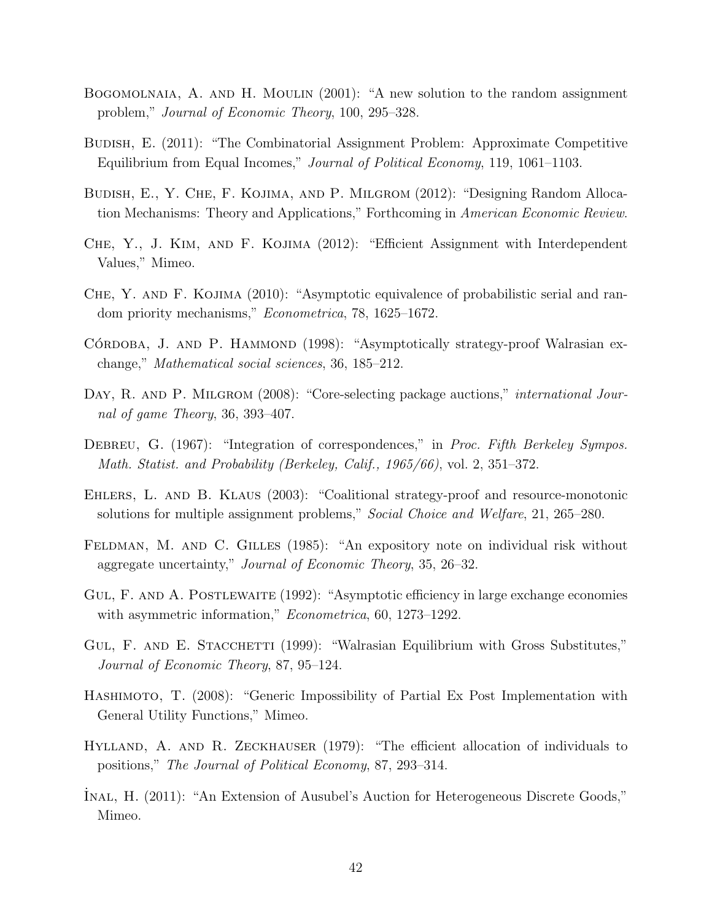- Bogomolnaia, A. and H. Moulin (2001): "A new solution to the random assignment problem," Journal of Economic Theory, 100, 295–328.
- Budish, E. (2011): "The Combinatorial Assignment Problem: Approximate Competitive Equilibrium from Equal Incomes," Journal of Political Economy, 119, 1061–1103.
- Budish, E., Y. Che, F. Kojima, and P. Milgrom (2012): "Designing Random Allocation Mechanisms: Theory and Applications," Forthcoming in American Economic Review.
- Che, Y., J. Kim, and F. Kojima (2012): "Efficient Assignment with Interdependent Values," Mimeo.
- CHE, Y. AND F. KOJIMA (2010): "Asymptotic equivalence of probabilistic serial and random priority mechanisms," Econometrica, 78, 1625–1672.
- CÓRDOBA, J. AND P. HAMMOND (1998): "Asymptotically strategy-proof Walrasian exchange," Mathematical social sciences, 36, 185–212.
- DAY, R. AND P. MILGROM (2008): "Core-selecting package auctions," *international Jour*nal of game Theory, 36, 393–407.
- DEBREU, G. (1967): "Integration of correspondences," in Proc. Fifth Berkeley Sympos. Math. Statist. and Probability (Berkeley, Calif., 1965/66), vol. 2, 351–372.
- Ehlers, L. and B. Klaus (2003): "Coalitional strategy-proof and resource-monotonic solutions for multiple assignment problems," Social Choice and Welfare, 21, 265–280.
- FELDMAN, M. AND C. GILLES (1985): "An expository note on individual risk without aggregate uncertainty," Journal of Economic Theory, 35, 26–32.
- GUL, F. AND A. POSTLEWAITE (1992): "Asymptotic efficiency in large exchange economies with asymmetric information," *Econometrica*, 60, 1273–1292.
- GUL, F. AND E. STACCHETTI (1999): "Walrasian Equilibrium with Gross Substitutes," Journal of Economic Theory, 87, 95–124.
- Hashimoto, T. (2008): "Generic Impossibility of Partial Ex Post Implementation with General Utility Functions," Mimeo.
- HYLLAND, A. AND R. ZECKHAUSER (1979): "The efficient allocation of individuals to positions," The Journal of Political Economy, 87, 293–314.
- ˙Inal, H. (2011): "An Extension of Ausubel's Auction for Heterogeneous Discrete Goods," Mimeo.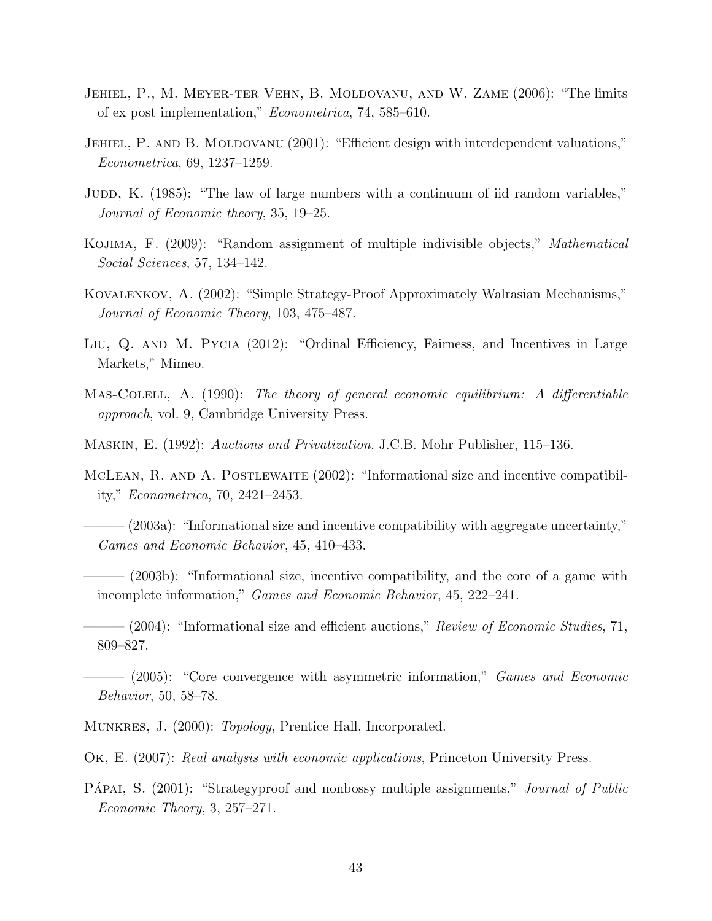- Jehiel, P., M. Meyer-ter Vehn, B. Moldovanu, and W. Zame (2006): "The limits of ex post implementation," Econometrica, 74, 585–610.
- JEHIEL, P. AND B. MOLDOVANU (2001): "Efficient design with interdependent valuations," Econometrica, 69, 1237–1259.
- JUDD, K. (1985): "The law of large numbers with a continuum of iid random variables," Journal of Economic theory, 35, 19–25.
- Kojima, F. (2009): "Random assignment of multiple indivisible objects," Mathematical Social Sciences, 57, 134–142.
- Kovalenkov, A. (2002): "Simple Strategy-Proof Approximately Walrasian Mechanisms," Journal of Economic Theory, 103, 475–487.
- Liu, Q. and M. Pycia (2012): "Ordinal Efficiency, Fairness, and Incentives in Large Markets," Mimeo.
- Mas-Colell, A. (1990): The theory of general economic equilibrium: A differentiable approach, vol. 9, Cambridge University Press.
- Maskin, E. (1992): Auctions and Privatization, J.C.B. Mohr Publisher, 115–136.
- McLean, R. and A. Postlewaite (2002): "Informational size and incentive compatibility," Econometrica, 70, 2421–2453.
- $-(2003a)$ : "Informational size and incentive compatibility with aggregate uncertainty," Games and Economic Behavior, 45, 410–433.
- $-$  (2003b): "Informational size, incentive compatibility, and the core of a game with incomplete information," Games and Economic Behavior, 45, 222–241.
- $-$  (2004): "Informational size and efficient auctions," Review of Economic Studies, 71, 809–827.
- $-$  (2005): "Core convergence with asymmetric information," Games and Economic Behavior, 50, 58–78.
- Munkres, J. (2000): Topology, Prentice Hall, Incorporated.

Ok, E. (2007): Real analysis with economic applications, Princeton University Press.

PÁPAI, S. (2001): "Strategyproof and nonbossy multiple assignments," Journal of Public Economic Theory, 3, 257–271.